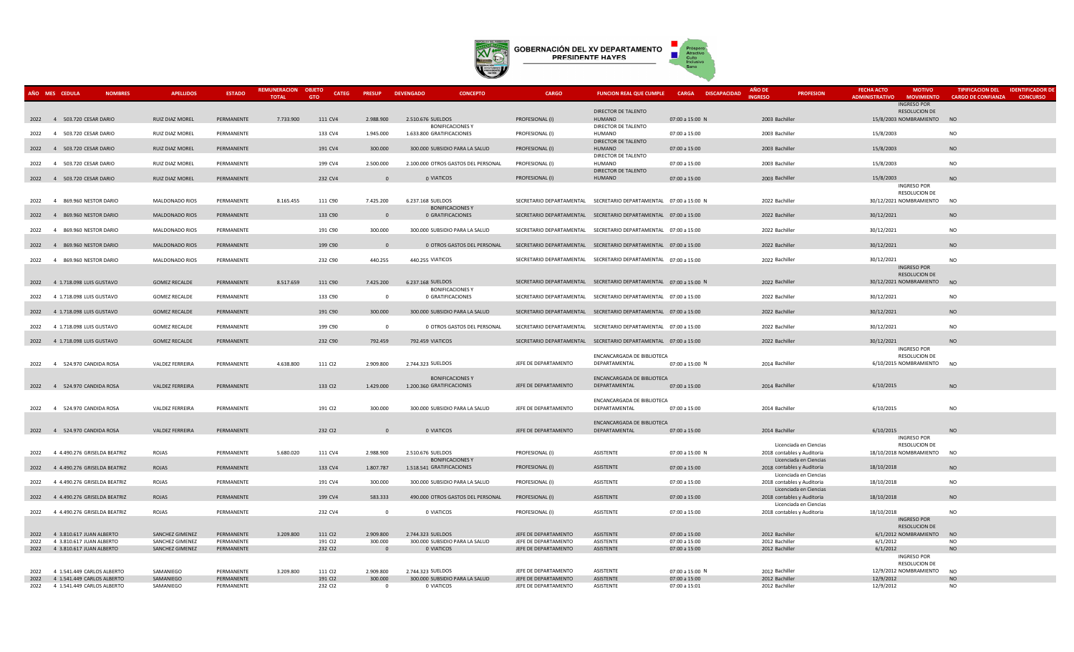

|      | AÑO MES CEDULA                         | <b>NOMBRES</b> | <b>APELLIDOS</b>       | <b>ESTADO</b> | <b>REMUNERACION</b> | <b>OBJETO</b><br><b>CATEG</b> | <b>PRESUP</b>  | <b>DEVENGADO</b><br><b>CONCEPTO</b> | <b>CARGO</b>         | <b>FUNCION REAL QUE CUMPLE</b>                                    | CARGA DISCAPACIDAD | <b>AÑO DE</b>              | <b>PROFESION</b>       | <b>FECHA ACTO</b>     | <b>MOTIVO</b>                           | <b>TIPIFICACION DEL</b>   | <b>IDENTIFICADOR DE</b> |
|------|----------------------------------------|----------------|------------------------|---------------|---------------------|-------------------------------|----------------|-------------------------------------|----------------------|-------------------------------------------------------------------|--------------------|----------------------------|------------------------|-----------------------|-----------------------------------------|---------------------------|-------------------------|
|      |                                        |                |                        |               | <b>TOTAL</b>        | <b>GTO</b>                    |                |                                     |                      |                                                                   |                    | <b>INGRESO</b>             |                        | <b>ADMINISTRATIVO</b> | <b>MOVIMIENTO</b><br><b>INGRESO POR</b> | <b>CARGO DE CONFIANZA</b> | <b>CONCURSO</b>         |
|      |                                        |                |                        |               |                     |                               |                |                                     |                      | DIRECTOR DE TALENTO                                               |                    |                            |                        |                       | <b>RESOLUCION DE</b>                    |                           |                         |
|      | 2022 4 503.720 CESAR DARIO             |                | <b>RUIZ DIAZ MOREL</b> | PERMANENTE    | 7,733,900           | 111 CV4                       | 2.988.900      | 2.510.676 SUELDOS                   | PROFESIONAL (I)      | HUMANO                                                            | 07:00 a 15:00 N    | 2003 Bachiller             |                        |                       | 15/8/2003 NOMBRAMIENTO                  | NO                        |                         |
|      |                                        |                |                        |               |                     |                               |                | <b>BONIFICACIONES Y</b>             |                      | DIRECTOR DE TALENTO                                               |                    |                            |                        |                       |                                         |                           |                         |
|      | 2022 4 503.720 CESAR DARIO             |                | RUIZ DIAZ MOREL        | PERMANENTE    |                     | 133 CV4                       | 1.945.000      | 1.633.800 GRATIFICACIONES           | PROFESIONAL (I)      | HUMANO                                                            | 07:00 a 15:00      | 2003 Bachiller             |                        | 15/8/2003             |                                         | <b>NO</b>                 |                         |
|      |                                        |                |                        |               |                     |                               |                |                                     |                      | DIRECTOR DE TALENTO                                               |                    |                            |                        |                       |                                         |                           |                         |
|      | 2022 4 503.720 CESAR DARIO             |                | <b>RUIZ DIAZ MOREL</b> | PERMANENTE    |                     | 191 CV4                       | 300.000        | 300,000 SUBSIDIO PARA LA SALUD      | PROFESIONAL (I)      | <b>HUMANO</b>                                                     | 07:00 a 15:00      | 2003 Bachiller             |                        | 15/8/2003             |                                         | <b>NO</b>                 |                         |
|      |                                        |                |                        |               |                     |                               |                |                                     |                      | DIRECTOR DE TALENTO                                               |                    |                            |                        |                       |                                         |                           |                         |
| 2022 | 4 503.720 CESAR DARIO                  |                | RUIZ DIAZ MOREL        | PERMANENTE    |                     | 199 CV4                       | 2.500.000      | 2.100.000 OTROS GASTOS DEL PERSONAL | PROFESIONAL (I)      | HUMANO                                                            | 07:00 a 15:00      | 2003 Bachiller             |                        | 15/8/2003             |                                         | <b>NO</b>                 |                         |
|      |                                        |                |                        |               |                     |                               | $\Omega$       |                                     |                      | DIRECTOR DE TALENTO                                               |                    |                            |                        |                       |                                         | <b>NO</b>                 |                         |
|      | 2022 4 503.720 CESAR DARIO             |                | RUIZ DIAZ MOREL        | PERMANENTE    |                     | 232 CV4                       |                | 0 VIATICOS                          | PROFESIONAL (I)      | <b>HUMANO</b>                                                     | 07:00 a 15:00      | 2003 Bachiller             |                        | 15/8/2003             | <b>INGRESO POR</b>                      |                           |                         |
|      |                                        |                |                        |               |                     |                               |                |                                     |                      |                                                                   |                    |                            |                        |                       | <b>RESOLUCION DE</b>                    |                           |                         |
| 2022 | $\overline{4}$<br>869.960 NESTOR DARIO |                | MALDONADO RIOS         | PERMANENTE    | 8.165.455           | 111 C90                       | 7.425.200      | 6.237.168 SUELDOS                   |                      | SECRETARIO DEPARTAMENTAL SECRETARIO DEPARTAMENTAL 07:00 a 15:00 N |                    | 2022 Bachiller             |                        |                       | 30/12/2021 NOMBRAMIENTO                 | <b>NO</b>                 |                         |
|      |                                        |                |                        |               |                     |                               |                | <b>BONIFICACIONES Y</b>             |                      |                                                                   |                    |                            |                        |                       |                                         |                           |                         |
| 2022 | 869.960 NESTOR DARIO<br>$\overline{4}$ |                | MALDONADO RIOS         | PERMANENTE    |                     | 133 C90                       | $\Omega$       | 0 GRATIFICACIONES                   |                      | SECRETARIO DEPARTAMENTAL SECRETARIO DEPARTAMENTAL 07:00 a 15:00   |                    | 2022 Bachiller             |                        | 30/12/2021            |                                         | <b>NO</b>                 |                         |
|      |                                        |                |                        |               |                     |                               |                |                                     |                      |                                                                   |                    |                            |                        |                       |                                         |                           |                         |
| 2022 | 4 869,960 NESTOR DARIO                 |                | MALDONADO RIOS         | PERMANENTE    |                     | 191 C90                       | 300.000        | 300,000 SUBSIDIO PARA LA SALUD      |                      | SECRETARIO DEPARTAMENTAL SECRETARIO DEPARTAMENTAL 07:00 a 15:00   |                    | 2022 Bachiller             |                        | 30/12/2021            |                                         | <b>NO</b>                 |                         |
|      |                                        |                |                        |               |                     |                               |                |                                     |                      |                                                                   |                    |                            |                        |                       |                                         |                           |                         |
|      | 2022 4 869.960 NESTOR DARIO            |                | MALDONADO RIOS         | PERMANENTE    |                     | 199 C90                       | $\Omega$       | 0 OTROS GASTOS DEL PERSONAL         |                      | SECRETARIO DEPARTAMENTAL SECRETARIO DEPARTAMENTAL 07:00 a 15:00   |                    | 2022 Bachiller             |                        | 30/12/2021            |                                         | <b>NO</b>                 |                         |
|      |                                        |                |                        |               |                     |                               |                |                                     |                      |                                                                   |                    |                            |                        |                       |                                         |                           |                         |
| 2022 | 869.960 NESTOR DARIO<br>$\overline{4}$ |                | MALDONADO RIOS         | PERMANENTE    |                     | 232 C90                       | 440.255        | 440.255 VIATICOS                    |                      | SECRETARIO DEPARTAMENTAL SECRETARIO DEPARTAMENTAL 07:00 a 15:00   |                    | 2022 Bachiller             |                        | 30/12/2021            | <b>INGRESO POR</b>                      | <b>NO</b>                 |                         |
|      |                                        |                |                        |               |                     |                               |                |                                     |                      |                                                                   |                    |                            |                        |                       | RESOLUCION DE                           |                           |                         |
|      | 2022 4 1.718.098 LUIS GUSTAVO          |                | <b>GOMEZ RECALDE</b>   | PERMANENTE    | 8.517.659           | 111 C90                       | 7.425.200      | 6.237.168 SUELDOS                   |                      | SECRETARIO DEPARTAMENTAL SECRETARIO DEPARTAMENTAL 07:00 a 15:00 N |                    | 2022 Bachiller             |                        |                       | 30/12/2021 NOMBRAMIENTO NO              |                           |                         |
|      |                                        |                |                        |               |                     |                               |                | <b>BONIFICACIONES Y</b>             |                      |                                                                   |                    |                            |                        |                       |                                         |                           |                         |
| 2022 | 4 1.718.098 LUIS GUSTAVO               |                | <b>GOMEZ RECALDE</b>   | PERMANENTE    |                     | 133 C90                       | $\overline{0}$ | 0 GRATIFICACIONES                   |                      | SECRETARIO DEPARTAMENTAL SECRETARIO DEPARTAMENTAL 07:00 a 15:00   |                    | 2022 Bachiller             |                        | 30/12/2021            |                                         | <b>NO</b>                 |                         |
|      |                                        |                |                        |               |                     |                               |                |                                     |                      |                                                                   |                    |                            |                        |                       |                                         |                           |                         |
|      | 2022 4 1.718.098 LUIS GUSTAVO          |                | <b>GOMEZ RECALDE</b>   | PERMANENTE    |                     | 191 C90                       | 300.000        | 300.000 SUBSIDIO PARA LA SALUD      |                      | SECRETARIO DEPARTAMENTAL SECRETARIO DEPARTAMENTAL 07:00 a 15:00   |                    | 2022 Bachiller             |                        | 30/12/2021            |                                         | <b>NO</b>                 |                         |
|      |                                        |                |                        |               |                     |                               |                |                                     |                      |                                                                   |                    |                            |                        |                       |                                         |                           |                         |
|      | 2022 4 1.718.098 LUIS GUSTAVO          |                | <b>GOMEZ RECALDE</b>   | PERMANENTE    |                     | 199 C90                       | $\Omega$       | 0 OTROS GASTOS DEL PERSONAL         |                      | SECRETARIO DEPARTAMENTAL SECRETARIO DEPARTAMENTAL 07:00 a 15:00   |                    | 2022 Bachiller             |                        | 30/12/2021            |                                         | <b>NO</b>                 |                         |
|      |                                        |                |                        |               |                     |                               |                |                                     |                      |                                                                   |                    |                            |                        |                       |                                         |                           |                         |
|      | 2022 4 1.718.098 LUIS GUSTAVO          |                | <b>GOMEZ RECALDE</b>   | PERMANENTE    |                     | 232 C90                       | 792.459        | 792.459 VIATICOS                    |                      | SECRETARIO DEPARTAMENTAL SECRETARIO DEPARTAMENTAL 07:00 a 15:00   |                    | 2022 Bachiller             |                        | 30/12/2021            | <b>INGRESO POR</b>                      | <b>NO</b>                 |                         |
|      |                                        |                |                        |               |                     |                               |                |                                     |                      | ENCANCARGADA DE BIBLIOTECA                                        |                    |                            |                        |                       | RESOLUCION DE                           |                           |                         |
|      | 2022 4 524.970 CANDIDA ROSA            |                | VALDEZ FERREIRA        | PERMANENTE    | 4.638.800           | 111 CI2                       | 2.909.800      | 2.744.323 SUELDOS                   | JEFE DE DEPARTAMENTO | DEPARTAMENTAL                                                     | 07:00 a 15:00 N    | 2014 Bachiller             |                        |                       | 6/10/2015 NOMBRAMIENTO                  | NO                        |                         |
|      |                                        |                |                        |               |                     |                               |                |                                     |                      |                                                                   |                    |                            |                        |                       |                                         |                           |                         |
|      |                                        |                |                        |               |                     |                               |                | <b>BONIFICACIONES Y</b>             |                      | ENCANCARGADA DE BIBLIOTECA                                        |                    |                            |                        |                       |                                         |                           |                         |
|      | 2022 4 524.970 CANDIDA ROSA            |                | <b>VALDEZ FERREIRA</b> | PERMANENTE    |                     | 133 CI2                       | 1.429.000      | 1.200.360 GRATIFICACIONES           | JEFE DE DEPARTAMENTO | DEPARTAMENTAL                                                     | 07:00 a 15:00      | 2014 Bachiller             |                        | 6/10/2015             |                                         | <b>NO</b>                 |                         |
|      |                                        |                |                        |               |                     |                               |                |                                     |                      |                                                                   |                    |                            |                        |                       |                                         |                           |                         |
|      |                                        |                |                        |               |                     |                               |                |                                     |                      | ENCANCARGADA DE BIBLIOTECA                                        |                    |                            |                        |                       |                                         |                           |                         |
| 2022 | 4 524.970 CANDIDA ROSA                 |                | VALDEZ FERREIRA        | PERMANENTE    |                     | 191 CI2                       | 300.000        | 300.000 SUBSIDIO PARA LA SALUD      | JEFE DE DEPARTAMENTO | DEPARTAMENTAL                                                     | 07:00 a 15:00      | 2014 Bachiller             |                        | 6/10/2015             |                                         | <b>NO</b>                 |                         |
|      |                                        |                |                        |               |                     |                               |                |                                     |                      | ENCANCARGADA DE BIBLIOTECA                                        |                    |                            |                        |                       |                                         |                           |                         |
|      | 2022 4 524.970 CANDIDA ROSA            |                | <b>VALDEZ FERREIRA</b> | PERMANENTE    |                     | 232 CI2                       | $\Omega$       | 0 VIATICOS                          | JEFE DE DEPARTAMENTO | DEPARTAMENTAL                                                     | 07:00 a 15:00      | 2014 Bachiller             |                        | 6/10/2015             |                                         | <b>NO</b>                 |                         |
|      |                                        |                |                        |               |                     |                               |                |                                     |                      |                                                                   |                    |                            |                        |                       | <b>INGRESO POR</b>                      |                           |                         |
|      |                                        |                |                        |               |                     |                               |                |                                     |                      |                                                                   |                    |                            | Licenciada en Ciencias |                       | <b>RESOLUCION DE</b>                    |                           |                         |
| 2022 | 4 4.490.276 GRISELDA BEATRIZ           |                | ROJAS                  | PERMANENTE    | 5.680.020           | 111 CV4                       | 2.988.900      | 2.510.676 SUELDOS                   | PROFESIONAL (I)      | ASISTENTE                                                         | 07:00 a 15:00 N    | 2018 contables y Auditoria |                        |                       | 18/10/2018 NOMBRAMIENTO                 | <b>NO</b>                 |                         |
|      |                                        |                |                        |               |                     |                               |                | <b>BONIFICACIONES Y</b>             |                      |                                                                   |                    |                            | Licenciada en Ciencias |                       |                                         |                           |                         |
|      | 2022 4 4.490.276 GRISELDA BEATRIZ      |                | ROJAS                  | PERMANENTE    |                     | 133 CV4                       | 1.807.787      | 1.518.541 GRATIFICACIONES           | PROFESIONAL (I)      | <b>ASISTENTE</b>                                                  | 07:00 a 15:00      | 2018 contables y Auditoria |                        | 18/10/2018            |                                         | <b>NO</b>                 |                         |
|      |                                        |                |                        |               |                     |                               |                |                                     |                      |                                                                   |                    |                            | Licenciada en Ciencias |                       |                                         |                           |                         |
| 2022 | 4 4.490.276 GRISELDA BEATRIZ           |                | ROJAS                  | PERMANENTE    |                     | 191 CV4                       | 300.000        | 300.000 SUBSIDIO PARA LA SALUD      | PROFESIONAL (I)      | ASISTENTE                                                         | 07:00 a 15:00      | 2018 contables y Auditoria |                        | 18/10/2018            |                                         | <b>NO</b>                 |                         |
|      | 4 4.490.276 GRISFI DA BEATRIZ          |                |                        |               |                     |                               | 583.333        |                                     |                      |                                                                   |                    |                            | Licenciada en Ciencias |                       |                                         | <b>NO</b>                 |                         |
| 2022 |                                        |                | ROJAS                  | PERMANENTE    |                     | 199 CV4                       |                | 490.000 OTROS GASTOS DEL PERSONAL   | PROFESIONAL (I)      | <b>ASISTENTE</b>                                                  | 07:00 a 15:00      | 2018 contables y Auditoria |                        | 18/10/2018            |                                         |                           |                         |
| 2022 | 4 4.490.276 GRISELDA BEATRIZ           |                | ROJAS                  | PERMANENTE    |                     | 232 CV4                       | $\Omega$       | 0 VIATICOS                          | PROFESIONAL (I)      | <b>ASISTENTE</b>                                                  | 07:00 a 15:00      | 2018 contables y Auditoria | Licenciada en Ciencias | 18/10/2018            |                                         | <b>NO</b>                 |                         |
|      |                                        |                |                        |               |                     |                               |                |                                     |                      |                                                                   |                    |                            |                        |                       | INGRESO POR                             |                           |                         |
|      |                                        |                |                        |               |                     |                               |                |                                     |                      |                                                                   |                    |                            |                        |                       | <b>RESOLUCION DE</b>                    |                           |                         |
| 2022 | 4 3.810.617 JUAN ALBERTO               |                | SANCHEZ GIMENEZ        | PERMANENTE    | 3.209.800           | 111 CI2                       | 2.909.800      | 2.744.323 SUELDOS                   | JEFE DE DEPARTAMENTO | <b>ASISTENTE</b>                                                  | 07:00 a 15:00      | 2012 Bachiller             |                        |                       | 6/1/2012 NOMBRAMIENTO                   | NO                        |                         |
| 2022 | 4 3.810.617 JUAN ALBERTO               |                | SANCHEZ GIMENEZ        | PERMANENTE    |                     | 191 CI2                       | 300.000        | 300.000 SUBSIDIO PARA LA SALUD      | JEFE DE DEPARTAMENTO | ASISTENTE                                                         | 07:00 a 15:00      | 2012 Bachiller             |                        | 6/1/2012              |                                         | <b>NO</b>                 |                         |
|      | 2022 4 3.810.617 JUAN ALBERTO          |                | SANCHEZ GIMENEZ        | PERMANENTE    |                     | 232 CI2                       |                | 0 VIATICOS                          | JEFE DE DEPARTAMENTO | <b>ASISTENTE</b>                                                  | 07:00 a 15:00      | 2012 Bachiller             |                        | 6/1/2012              |                                         | <b>NO</b>                 |                         |
|      |                                        |                |                        |               |                     |                               |                |                                     |                      |                                                                   |                    |                            |                        |                       | INGRESO POR                             |                           |                         |
|      |                                        |                |                        |               |                     |                               |                |                                     |                      |                                                                   |                    |                            |                        |                       | <b>RESOLUCION DE</b>                    |                           |                         |
| 2022 | 4 1.541.449 CARLOS ALBERTO             |                | SAMANIEGO              | PERMANENTE    | 3.209.800           | 111 CI2                       | 2.909.800      | 2.744.323 SUELDOS                   | JEFE DE DEPARTAMENTO | <b>ASISTENTE</b>                                                  | 07:00 a 15:00 N    | 2012 Bachiller             |                        |                       | 12/9/2012 NOMBRAMIENTO                  | <b>NO</b>                 |                         |
| 2022 | 4 1.541.449 CARLOS ALBERTO             |                | SAMANIEGO              | PERMANENTE    |                     | 191 CI2                       | 300.000        | 300.000 SUBSIDIO PARA LA SALUD      | JEFE DE DEPARTAMENTO | <b>ASISTENTE</b>                                                  | 07:00 a 15:00      | 2012 Bachiller             |                        | 12/9/2012             |                                         | <b>NO</b>                 |                         |
| 2022 | 4 1.541.449 CARLOS ALBERTO             |                | SAMANIEGO              | PERMANENTE    |                     | 232 CI2                       | $\Omega$       | 0 VIATICOS                          | JEFE DE DEPARTAMENTO | ASISTENTE                                                         | 07:00 a 15:01      | 2012 Bachiller             |                        | 12/9/2012             |                                         | <b>NO</b>                 |                         |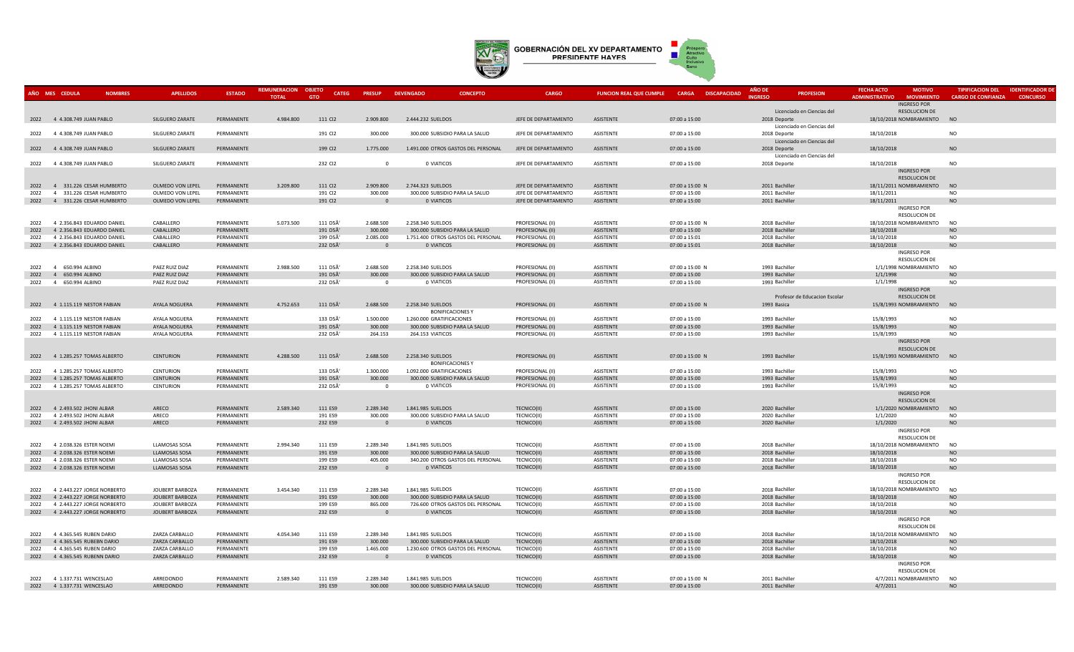

|              | AÑO MES CEDULA<br><b>NOMBRES</b>                   | <b>APELLIDOS</b>                      | <b>ESTADO</b>            | REMUNERACION OBJETO | <b>CATEG</b>       | <b>PRESUP</b>        | <b>CONCEPTO</b><br><b>DEVENGADO</b>                 | <b>CARGO</b>                | <b>FUNCION REAL QUE CUMPLE</b> | <b>CARGA</b><br><b>DISCAPACIDAD</b> | AÑO DE<br><b>PROFESION</b>                 | <b>FECHA ACTO</b><br><b>MOTIVO</b>         | <b>TIPIFICACION DEL</b>   | <b>IDENTIFICADOR DI</b> |
|--------------|----------------------------------------------------|---------------------------------------|--------------------------|---------------------|--------------------|----------------------|-----------------------------------------------------|-----------------------------|--------------------------------|-------------------------------------|--------------------------------------------|--------------------------------------------|---------------------------|-------------------------|
|              |                                                    |                                       |                          | <b>TOTAL</b>        | <b>GTO</b>         |                      |                                                     |                             |                                |                                     | <b>INGRESC</b>                             | <b>ADMINISTRATIVO</b><br><b>MOVIMIENTC</b> | <b>CARGO DE CONFIANZA</b> | <b>CONCURSO</b>         |
|              |                                                    |                                       |                          |                     |                    |                      |                                                     |                             |                                |                                     |                                            | <b>INGRESO POR</b>                         |                           |                         |
|              |                                                    |                                       |                          |                     |                    |                      |                                                     |                             |                                |                                     | Licenciado en Ciencias del                 | <b>RESOLUCION DE</b>                       |                           |                         |
|              | 2022 4 4.308.749 JUAN PABLO                        | SILGUERO ZARATE                       | PERMANENTE               | 4.984.800           | 111 CI2            | 2.909.800            | 2.444.232 SUELDOS                                   | JEFE DE DEPARTAMENTO        | ASISTENTE                      | 07:00 a 15:00                       | 2018 Deporte                               | 18/10/2018 NOMBRAMIENTO                    | <b>NO</b>                 |                         |
|              | 2022 4 4.308.749 JUAN PABLO                        | SILGUERO ZARATE                       | PERMANENTE               |                     | 191 CI2            | 300,000              | 300,000 SUBSIDIO PARA LA SALUD                      | <b>IFFF DE DEPARTAMENTO</b> | <b>ASISTENTE</b>               | 07:00 a 15:00                       | Licenciado en Ciencias del                 | 18/10/2018                                 | <b>NO</b>                 |                         |
|              |                                                    |                                       |                          |                     |                    |                      |                                                     |                             |                                |                                     | 2018 Deporte                               |                                            |                           |                         |
|              | 2022 4 4.308.749 JUAN PABLO                        | <b>SILGUERO ZARATE</b>                | PERMANENTE               |                     | 199 CI2            | 1,775,000            | 1.491.000 OTROS GASTOS DEL PERSONAL                 | JEFE DE DEPARTAMENTO        | ASISTENTE                      | 07:00 a 15:00                       | Licenciado en Ciencias del                 | 18/10/2018                                 | <b>NO</b>                 |                         |
|              |                                                    |                                       |                          |                     |                    |                      |                                                     |                             |                                |                                     | 2018 Deporte                               |                                            |                           |                         |
|              | 2022 4 4.308.749 JUAN PABLO                        | SILGUERO ZARATE                       | PERMANENTE               |                     | 232 CI2            | $\Omega$             | 0 VIATICOS                                          | JEFE DE DEPARTAMENTO        | ASISTENTE                      | 07:00 a 15:00                       | Licenciado en Ciencias del<br>2018 Deporte | 18/10/2018                                 | <b>NO</b>                 |                         |
|              |                                                    |                                       |                          |                     |                    |                      |                                                     |                             |                                |                                     |                                            | <b>INGRESO POR</b>                         |                           |                         |
|              |                                                    |                                       |                          |                     |                    |                      |                                                     |                             |                                |                                     |                                            | <b>RESOLUCION DE</b>                       |                           |                         |
|              | 2022 4 331.226 CESAR HUMBERTO                      | OLMEDO VON LEPEL                      | PERMANENTE               | 3.209.800           | 111 CI2            | 2.909.800            | 2.744.323 SUELDOS                                   | JEFE DE DEPARTAMENTO        | <b>ASISTENTE</b>               | 07:00 a 15:00 N                     | 2011 Bachiller                             | 18/11/2011 NOMBRAMIENTO                    | <b>NO</b>                 |                         |
| 2022         | 4 331.226 CESAR HUMBERTO                           | OLMEDO VON LEPEL                      | PERMANENTE               |                     | 191 CI2            | 300.000              | 300.000 SUBSIDIO PARA LA SALUD                      | JEFE DE DEPARTAMENTO        | ASISTENTE                      | 07:00 a 15:00                       | 2011 Bachiller                             | 18/11/2011                                 | <b>NO</b>                 |                         |
|              | 2022 4 331.226 CESAR HUMBERTO                      | OLMEDO VON LEPEL                      | PERMANENTE               |                     | 191 CI2            | $\Omega$             | 0 VIATICOS                                          | JEFE DE DEPARTAMENTO        | ASISTENTE                      | 07:00 a 15:00                       | 2011 Bachiller                             | 18/11/2011                                 | <b>NO</b>                 |                         |
|              |                                                    |                                       |                          |                     |                    |                      |                                                     |                             |                                |                                     |                                            | INGRESO POR                                |                           |                         |
|              |                                                    |                                       |                          |                     |                    |                      |                                                     |                             |                                |                                     |                                            | <b>RESOLUCION DE</b>                       |                           |                         |
| 2022         | 4 2.356.843 EDUARDO DANIEL                         | CABALLERO                             | PERMANENTE               | 5.073.500           | 111 D5Ã'           | 2.688.500            | 2.258.340 SUELDOS                                   | PROFESIONAL (II)            | ASISTENTE                      | 07:00 a 15:00 N                     | 2018 Bachiller                             | 18/10/2018 NOMBRAMIENTO                    | <b>NO</b>                 |                         |
| 2022         | 4 2.356.843 EDUARDO DANIEL                         | CABALLERO                             | PERMANENTE               |                     | 191 D5Ã'           | 300,000              | 300,000 SUBSIDIO PARA LA SALUD                      | PROFESIONAL (II)            | <b>ASISTENTE</b>               | 07:00 a 15:00                       | 2018 Bachiller                             | 18/10/2018                                 | <b>NO</b>                 |                         |
| 2022         | 4 2.356.843 EDUARDO DANIEL                         | CABALLERO                             | PERMANENTE               |                     | 199 D5Â'           | 2.085.000            | 1.751.400 OTROS GASTOS DEL PERSONAL                 | PROFESIONAL (II)            | ASISTENTE                      | 07:00 a 15:01                       | 2018 Bachiller                             | 18/10/2018                                 | <b>NO</b>                 |                         |
|              | 2022 4 2.356.843 EDUARDO DANIEL                    | CABALLERO                             | PERMANENTE               |                     | 232 D5Ã'           | $\Omega$             | 0 VIATICOS                                          | PROFESIONAL (II)            | ASISTENTE                      | 07:00 a 15:01                       | 2018 Bachiller                             | 18/10/2018                                 | NO                        |                         |
|              |                                                    |                                       |                          |                     |                    |                      |                                                     |                             |                                |                                     |                                            | INGRESO POR                                |                           |                         |
|              |                                                    |                                       |                          |                     |                    |                      |                                                     |                             |                                |                                     |                                            | <b>RESOLUCION DE</b>                       |                           |                         |
| 2022         | 4 650.994 ALBINO                                   | PAEZ RUIZ DIAZ                        | PERMANENTE               | 2.988.500           | 111 D5Ã'           | 2.688.500            | 2.258.340 SUELDOS                                   | PROFESIONAL (II)            | <b>ASISTENTE</b>               | 07:00 a 15:00 N                     | 1993 Bachiller                             | 1/1/1998 NOMBRAMIENTO                      | <b>NO</b>                 |                         |
| 2022         | 650.994 ALBINO<br>$\overline{4}$                   | PAEZ RUIZ DIAZ                        | PERMANENTE               |                     | 191 D5Ã'           | 300.000              | 300.000 SUBSIDIO PARA LA SALUD                      | PROFESIONAL (II)            | <b>ASISTENTE</b>               | 07:00 a 15:00                       | 1993 Bachiller                             | 1/1/1998                                   | <b>NO</b>                 |                         |
| 2022         | 4 650.994 ALBINO                                   | PAEZ RUIZ DIAZ                        | PERMANENTE               |                     | 232 D5Ã'           | $\Omega$             | 0 VIATICOS                                          | PROFESIONAL (II)            | ASISTENTE                      | 07:00 a 15:00                       | 1993 Bachiller                             | 1/1/1998                                   | <b>NO</b>                 |                         |
|              |                                                    |                                       |                          |                     |                    |                      |                                                     |                             |                                |                                     |                                            | INGRESO POR                                |                           |                         |
|              |                                                    |                                       |                          |                     |                    |                      |                                                     |                             |                                |                                     | Profesor de Educacion Escolar              | <b>RESOLUCION DE</b>                       |                           |                         |
|              | 2022 4 1.115.119 NESTOR FABIAN                     | AYALA NOGUERA                         | PERMANENTE               | 4.752.653           | 111 D5Ã'           | 2.688.500            | 2.258.340 SUELDOS                                   | PROFESIONAL (II)            | <b>ASISTENTE</b>               | 07:00 a 15:00 N                     | 1993 Basica                                | 15/8/1993 NOMBRAMIENTO NO                  |                           |                         |
|              |                                                    |                                       |                          |                     |                    |                      | <b>BONIFICACIONES Y</b>                             |                             |                                |                                     |                                            |                                            |                           |                         |
|              | 2022 4 1.115.119 NESTOR FABIAN                     | AYALA NOGUERA                         | PERMANENTE               |                     | 133 D5Ã'           | 1.500.000            | 1.260.000 GRATIFICACIONES                           | PROFESIONAL (II)            | ASISTENTE                      | 07:00 a 15:00                       | 1993 Bachiller                             | 15/8/1993                                  | <b>NO</b>                 |                         |
| 2022         | 4 1.115.119 NESTOR FABIAN                          | AYALA NOGUERA                         | PERMANENTE               |                     | 191 D5Ã'           | 300.000              | 300.000 SUBSIDIO PARA LA SALUD                      | PROFESIONAL (II)            | <b>ASISTENTE</b>               | 07:00 a 15:00                       | 1993 Bachiller                             | 15/8/1993                                  | <b>NO</b>                 |                         |
| 2022         | 4 1.115.119 NESTOR FABIAN                          | AYALA NOGUERA                         | PERMANENTE               |                     | 232 D5Ã'           | 264.153              | 264.153 VIATICOS                                    | PROFESIONAL (II)            | ASISTENTE                      | 07:00 a 15:00                       | 1993 Bachiller                             | 15/8/1993                                  | NO.                       |                         |
|              |                                                    |                                       |                          |                     |                    |                      |                                                     |                             |                                |                                     |                                            | <b>INGRESO POR</b>                         |                           |                         |
|              |                                                    |                                       |                          |                     |                    |                      |                                                     |                             |                                |                                     |                                            | <b>RESOLUCION DE</b>                       |                           |                         |
|              | 2022 4 1.285.257 TOMAS ALBERTO                     | <b>CENTURION</b>                      | PERMANENTE               | 4.288.500           | 111 D5Ã'           | 2.688.500            | 2.258.340 SUELDOS                                   | PROFESIONAL (II)            | ASISTENTE                      | 07:00 a 15:00 N                     | 1993 Bachiller                             | 15/8/1993 NOMBRAMIENTO                     | <b>NO</b>                 |                         |
|              |                                                    |                                       |                          |                     |                    |                      | <b>BONIFICACIONES Y</b>                             |                             |                                |                                     |                                            |                                            |                           |                         |
| 2022         | 4 1.285.257 TOMAS ALBERTO                          | <b>CENTURION</b>                      | PERMANENTE               |                     | 133 D5Ã'           | 1.300.000            | 1.092.000 GRATIFICACIONES                           | PROFESIONAL (II)            | ASISTENTE                      | 07:00 a 15:00                       | 1993 Bachiller                             | 15/8/1993                                  | <b>NO</b>                 |                         |
|              | 2022 4 1.285.257 TOMAS ALBERTO                     | <b>CENTURION</b>                      | PERMANENTE               |                     | 191 D5Ã'           | 300.000              | 300.000 SUBSIDIO PARA LA SALUD                      | PROFESIONAL (II)            | <b>ASISTENTE</b>               | 07:00 a 15:00                       | 1993 Bachiller                             | 15/8/1993                                  | <b>NO</b>                 |                         |
| 2022         | 4 1.285.257 TOMAS ALBERTO                          | <b>CENTURION</b>                      | PERMANENTE               |                     | 232 D5Ã'           | $\mathbf 0$          | 0 VIATICOS                                          | PROFESIONAL (II)            | ASISTENTE                      | 07:00 a 15:00                       | 1993 Bachiller                             | 15/8/1993                                  | <b>NO</b>                 |                         |
|              |                                                    |                                       |                          |                     |                    |                      |                                                     |                             |                                |                                     |                                            | <b>INGRESO POR</b>                         |                           |                         |
|              |                                                    |                                       |                          |                     |                    |                      |                                                     |                             |                                |                                     |                                            | <b>RESOLUCION DE</b>                       |                           |                         |
| 2022         | 4 2.493.502 JHONI ALBAR                            | ARECO                                 | PERMANENTE               | 2.589.340           | 111 ES9            | 2.289.340            | 1.841.985 SUELDOS                                   | TECNICO(II)                 | ASISTENTE                      | 07:00 a 15:00                       | 2020 Bachiller                             | 1/1/2020 NOMBRAMIENTO                      | <b>NO</b>                 |                         |
| 2022         | 4 2.493.502 JHONI ALBAR                            | ARECO                                 | PERMANENTE               |                     | 191 ES9            | 300.000              | 300,000 SUBSIDIO PARA LA SALUD                      | TECNICO(II)                 | ASISTENTE                      | 07:00 a 15:00                       | 2020 Bachiller                             | 1/1/2020                                   | <b>NO</b>                 |                         |
| 2022         | 4 2.493.502 JHONI ALBAR                            | ARECO                                 | PERMANENTE               |                     | 232 ES9            | $\mathbf{0}$         | 0 VIATICOS                                          | TECNICO(II)                 | ASISTENTE                      | 07:00 a 15:00                       | 2020 Bachiller                             | 1/1/2020                                   | <b>NO</b>                 |                         |
|              |                                                    |                                       |                          |                     |                    |                      |                                                     |                             |                                |                                     |                                            | <b>INGRESO POR</b>                         |                           |                         |
|              |                                                    |                                       |                          |                     |                    |                      |                                                     |                             |                                |                                     |                                            | <b>RESOLUCION DE</b>                       |                           |                         |
| 2022<br>2022 | 4 2.038.326 ESTER NOEMI<br>4 2.038.326 ESTER NOEMI | <b>LLAMOSAS SOSA</b>                  | PERMANENTE<br>PERMANENTE | 2.994.340           | 111 ES9            | 2.289.340<br>300,000 | 1.841.985 SUELDOS<br>300,000 SUBSIDIO PARA LA SALUD | TECNICO(II)<br>TECNICO(II)  | ASISTENTE<br><b>ASISTENTE</b>  | 07:00 a 15:00                       | 2018 Bachiller<br>2018 Bachiller           | 18/10/2018 NOMBRAMIENTO<br>18/10/2018      | <b>NO</b><br><b>NO</b>    |                         |
| 2022         | 4 2.038.326 ESTER NOEMI                            | <b>LLAMOSAS SOSA</b><br>LLAMOSAS SOSA | PERMANENTE               |                     | 191 ES9<br>199 ES9 | 405.000              | 340.200 OTROS GASTOS DEL PERSONAL                   | TECNICO(II)                 | ASISTENTE                      | 07:00 a 15:00<br>07:00 a 15:00      | 2018 Bachiller                             | 18/10/2018                                 | <b>NO</b>                 |                         |
|              | 2022 4 2.038.326 ESTER NOEMI                       | LLAMOSAS SOSA                         | PERMANENTE               |                     | 232 ES9            |                      | 0 VIATICOS                                          | TECNICO(II)                 | ASISTENTE                      | 07:00 a 15:00                       | 2018 Bachiller                             | 18/10/2018                                 | <b>NO</b>                 |                         |
|              |                                                    |                                       |                          |                     |                    |                      |                                                     |                             |                                |                                     |                                            | <b>INGRESO POR</b>                         |                           |                         |
|              |                                                    |                                       |                          |                     |                    |                      |                                                     |                             |                                |                                     |                                            | <b>RESOLUCION DE</b>                       |                           |                         |
| 2022         | 4 2.443.227 JORGE NORBERTO                         | JOUBERT BARBOZA                       | PERMANENTE               | 3.454.340           | 111 ES9            | 2.289.340            | 1.841.985 SUELDOS                                   | TECNICO(II)                 | ASISTENTE                      | 07:00 a 15:00                       | 2018 Bachiller                             | 18/10/2018 NOMBRAMIENTO                    | <b>NO</b>                 |                         |
| 2022         | 4 2.443.227 JORGE NORBERTO                         | JOUBERT BARBOZA                       | PERMANENTE               |                     | 191 ES9            | 300,000              | 300.000 SUBSIDIO PARA LA SALUD                      | TECNICO(II)                 | <b>ASISTENTE</b>               | 07:00 a 15:00                       | 2018 Bachiller                             | 18/10/2018                                 | <b>NO</b>                 |                         |
| 2022         | 4 2.443.227 JORGE NORBERTO                         | JOUBERT BARBOZA                       | PERMANENTE               |                     | 199 ES9            | 865.000              | 726.600 OTROS GASTOS DEL PERSONAL                   | TECNICO(II)                 | <b>ASISTENTE</b>               | 07:00 a 15:00                       | 2018 Bachiller                             | 18/10/2018                                 | <b>NO</b>                 |                         |
| 2022         | 4 2.443.227 JORGE NORBERTO                         | JOUBERT BARBOZA                       | PERMANENTE               |                     | 232 ES9            | $\Omega$             | 0 VIATICOS                                          | TECNICO(II)                 | ASISTENTE                      | 07:00 a 15:00                       | 2018 Bachiller                             | 18/10/2018                                 | <b>NO</b>                 |                         |
|              |                                                    |                                       |                          |                     |                    |                      |                                                     |                             |                                |                                     |                                            | INGRESO POR                                |                           |                         |
|              |                                                    |                                       |                          |                     |                    |                      |                                                     |                             |                                |                                     |                                            | <b>RESOLUCION DE</b>                       |                           |                         |
| 2022         | 4 4.365.545 RUBEN DARIO                            | ZARZA CARBALLO                        | PERMANENTE               | 4.054.340           | 111 ES9            | 2.289.340            | 1.841.985 SUELDOS                                   | TECNICO(II)                 | ASISTENTE                      | 07:00 a 15:00                       | 2018 Bachiller                             | 18/10/2018 NOMBRAMIENTO                    | <b>NO</b>                 |                         |
| 2022         | 4 4.365.545 RUBEBN DARIO                           | ZARZA CARBALLO                        | PERMANENTE               |                     | 191 ES9            | 300.000              | 300.000 SUBSIDIO PARA LA SALUD                      | TECNICO(II)                 | ASISTENTE                      | 07:00 a 15:00                       | 2018 Bachiller                             | 18/10/2018                                 | <b>NO</b>                 |                         |
| 2022         | 4 4.365.545 RUBEN DARIO                            | ZARZA CARBALLO                        | PERMANENTE               |                     | 199 ES9            | 1.465.000            | 1.230.600 OTROS GASTOS DEL PERSONAL                 | TECNICO(II)                 | ASISTENTE                      | 07:00 a 15:00                       | 2018 Bachiller                             | 18/10/2018                                 | <b>NO</b>                 |                         |
|              | 2022 4 4.365.545 RUBENN DARIO                      | ZARZA CARBALLO                        | PERMANENTE               |                     | 232 ES9            | $\overline{0}$       | 0 VIATICOS                                          | TECNICO(II)                 | ASISTENTE                      | 07:00 a 15:00                       | 2018 Bachiller                             | 18/10/2018                                 | <b>NO</b>                 |                         |
|              |                                                    |                                       |                          |                     |                    |                      |                                                     |                             |                                |                                     |                                            | <b>INGRESO POR</b>                         |                           |                         |
|              |                                                    |                                       |                          |                     |                    |                      |                                                     |                             |                                |                                     |                                            | <b>RESOLUCION DE</b>                       |                           |                         |
|              | 2022 4 1.337.731 WENCESLAO                         | ARREDONDO                             | PERMANENTE               | 2.589.340           | 111 ES9            | 2.289.340            | 1.841.985 SUELDOS                                   | TECNICO(II)                 | <b>ASISTENTE</b>               | 07:00 a 15:00 N                     | 2011 Bachiller                             | 4/7/2011 NOMBRAMIENTO                      | <b>NO</b>                 |                         |
|              | 2022 4 1.337.731 WENCESLAO                         | ARREDONDO                             | PERMANENTE               |                     | 191 ES9            | 300,000              | 300,000 SUBSIDIO PARA LA SALUD                      | TECNICO(II)                 | <b>ASISTENTE</b>               | 07:00 a 15:00                       | 2011 Bachiller                             | 4/7/2011                                   | <b>NO</b>                 |                         |
|              |                                                    |                                       |                          |                     |                    |                      |                                                     |                             |                                |                                     |                                            |                                            |                           |                         |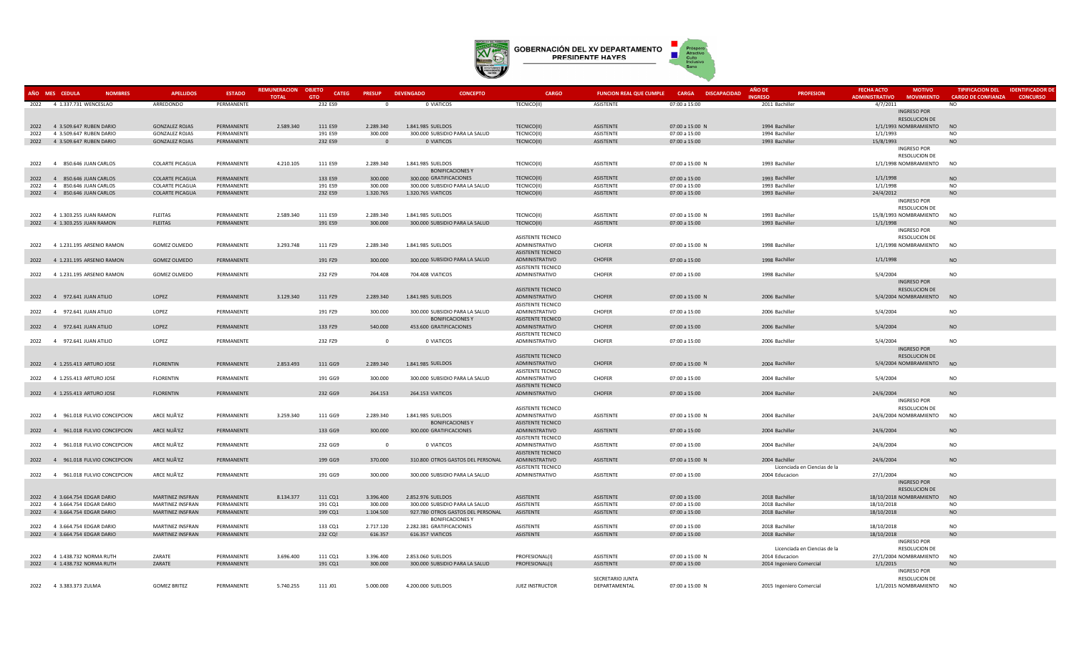

|      | AÑO MES CEDULA<br><b>NOMBRES</b> | <b>APELLIDOS</b>        | <b>ESTADO</b> | <b>REMUNERACION</b><br><b>TOTAL</b> | <b>OBJETO</b><br><b>CATEG</b><br><b>GTO</b> | <b>PRESUP</b>  | <b>DEVENGADO</b><br><b>CONCEPTO</b> | <b>CARGO</b>                               | <b>FUNCION REAL QUE CUMPLE</b> | <b>CARGA</b><br><b>DISCAPACIDAD</b> | <b>ANO DE</b><br><b>PROFESION</b><br><b>INGRESO</b> | <b>FECHA ACTO</b><br><b>MOTIVO</b><br><b>ADMINISTRATIVO</b><br><b>MOVIMIENTO</b> | <b>TIPIFICACION DEL</b><br><b>IDENTIFICADOR DE</b><br><b>CARGO DE CONFIANZA</b><br><b>CONCURSO</b> |
|------|----------------------------------|-------------------------|---------------|-------------------------------------|---------------------------------------------|----------------|-------------------------------------|--------------------------------------------|--------------------------------|-------------------------------------|-----------------------------------------------------|----------------------------------------------------------------------------------|----------------------------------------------------------------------------------------------------|
|      | 2022 4 1.337.731 WENCESLAO       | ARREDONDO               | PERMANENTE    |                                     | 232 ES9                                     | - 0            | 0 VIATICOS                          | TECNICO(II)                                | ASISTENTE                      | 07:00 a 15:00                       | 2011 Bachiller                                      | 4/7/2011                                                                         | N <sub>O</sub>                                                                                     |
|      |                                  |                         |               |                                     |                                             |                |                                     |                                            |                                |                                     |                                                     | <b>INGRESO POR</b>                                                               |                                                                                                    |
|      |                                  |                         |               |                                     |                                             |                |                                     |                                            |                                |                                     |                                                     | <b>RESOLUCION DE</b>                                                             |                                                                                                    |
| 2022 | 4 3.509.647 RUBEN DARIO          | <b>GONZALEZ ROJAS</b>   | PERMANENTE    | 2.589.340                           | 111 ES9                                     | 2.289.340      | 1.841.985 SUELDOS                   | TECNICO(II)                                | <b>ASISTENTE</b>               | 07:00 a 15:00 N                     | 1994 Bachiller                                      | 1/1/1993 NOMBRAMIENTO                                                            | <b>NO</b>                                                                                          |
| 2022 | 4 3.509.647 RUBEN DARIO          | <b>GONZALEZ ROJAS</b>   | PERMANENTE    |                                     | 191 ES9                                     | 300.000        | 300.000 SUBSIDIO PARA LA SALUD      | TECNICO(II)                                | ASISTENTE                      | 07:00 a 15:00                       | 1994 Bachiller                                      | 1/1/1993                                                                         | N <sub>O</sub>                                                                                     |
|      | 2022 4 3.509.647 RUBEN DARIO     | <b>GONZALEZ ROJAS</b>   | PERMANENTE    |                                     | 232 ES9                                     | $\Omega$       | 0 VIATICOS                          | TECNICO(II)                                | <b>ASISTENTE</b>               | 07:00 a 15:00                       | 1993 Bachiller                                      | 15/8/1993                                                                        | <b>NO</b>                                                                                          |
|      |                                  |                         |               |                                     |                                             |                |                                     |                                            |                                |                                     |                                                     | INGRESO POR                                                                      |                                                                                                    |
|      |                                  |                         |               |                                     |                                             |                |                                     |                                            |                                |                                     |                                                     | RESOLUCION DE                                                                    |                                                                                                    |
|      | 2022 4 850,646 JUAN CARLOS       | <b>COLARTE PICAGUA</b>  | PERMANENTE    | 4.210.105                           | 111 ES9                                     | 2.289.340      | 1.841.985 SUELDOS                   | TECNICO(II)                                | ASISTENTE                      | 07:00 a 15:00 N                     | 1993 Bachiller                                      | 1/1/1998 NOMBRAMIENTO NO                                                         |                                                                                                    |
|      |                                  |                         |               |                                     |                                             |                | <b>BONIFICACIONES Y</b>             |                                            |                                |                                     |                                                     |                                                                                  |                                                                                                    |
| 2022 | 4 850.646 JUAN CARLOS            | <b>COLARTE PICAGUA</b>  | PERMANENTE    |                                     | 133 ES9                                     | 300.000        | 300.000 GRATIFICACIONES             | TECNICO(II)                                | <b>ASISTENTE</b>               | 07:00 a 15:00                       | 1993 Bachiller                                      | 1/1/1998                                                                         | NO                                                                                                 |
| 2022 | 4 850.646 JUAN CARLOS            | <b>COLARTE PICAGUA</b>  | PERMANENTE    |                                     | 191 ES9                                     | 300,000        | 300.000 SUBSIDIO PARA LA SALUD      | TECNICO(II)                                | <b>ASISTENTE</b>               | 07:00 a 15:00                       | 1993 Bachiller                                      | 1/1/1998                                                                         | <b>NO</b>                                                                                          |
| 2022 | 4 850.646 JUAN CARLOS            | <b>COLARTE PICAGUA</b>  | PERMANENTE    |                                     | 232 ES9                                     | 1.320.765      | 1.320.765 VIATICOS                  | TECNICO(II)                                | ASISTENTE                      | 07:00 a 15:00                       | 1993 Bachiller                                      | 24/4/2012                                                                        | <b>NO</b>                                                                                          |
|      |                                  |                         |               |                                     |                                             |                |                                     |                                            |                                |                                     |                                                     | <b>INGRESO POR</b>                                                               |                                                                                                    |
|      |                                  |                         |               |                                     |                                             |                |                                     |                                            |                                |                                     |                                                     | RESOLUCION DE                                                                    |                                                                                                    |
| 2022 | 4 1.303.255 JUAN RAMON           | <b>FLEITAS</b>          | PERMANENTE    | 2.589.340                           | 111 ES9                                     | 2.289.340      | 1.841.985 SUELDOS                   | TECNICO(II)                                | ASISTENTE                      | 07:00 a 15:00 N                     | 1993 Bachiller                                      | 15/8/1993 NOMBRAMIENTO                                                           | <b>NO</b>                                                                                          |
|      | 2022 4 1.303.255 JUAN RAMON      | <b>FLEITAS</b>          | PERMANENTE    |                                     | 191 ES9                                     | 300.000        | 300.000 SUBSIDIO PARA LA SALUD      | TECNICO(II)                                | ASISTENTE                      | 07:00 a 15:00                       | 1993 Bachiller                                      | 1/1/1998                                                                         | N <sub>O</sub>                                                                                     |
|      |                                  |                         |               |                                     |                                             |                |                                     |                                            |                                |                                     |                                                     | INGRESO POR                                                                      |                                                                                                    |
|      |                                  |                         |               |                                     |                                             |                |                                     | ASISTENTE TECNICO                          |                                |                                     |                                                     | RESOLUCION DE                                                                    |                                                                                                    |
|      | 2022 4 1.231.195 ARSENIO RAMON   | <b>GOMEZ OLMEDO</b>     | PERMANENTE    | 3.293.748                           | 111 FZ9                                     | 2.289.340      | 1.841.985 SUELDOS                   | ADMINISTRATIVO                             | <b>CHOFER</b>                  | 07:00 a 15:00 N                     | 1998 Bachiller                                      | 1/1/1998 NOMBRAMIENTO NO                                                         |                                                                                                    |
|      |                                  |                         |               |                                     |                                             |                |                                     | <b>ASISTENTE TECNICO</b>                   |                                |                                     |                                                     |                                                                                  |                                                                                                    |
|      | 2022 4 1.231.195 ARSENIO RAMON   | <b>GOMEZ OLMEDO</b>     | PERMANENTE    |                                     | 191 FZ9                                     | 300.000        | 300.000 SUBSIDIO PARA LA SALUD      | ADMINISTRATIVO                             | <b>CHOFER</b>                  | 07:00 a 15:00                       | 1998 Bachiller                                      | 1/1/1998                                                                         | <b>NO</b>                                                                                          |
|      |                                  |                         |               |                                     |                                             |                |                                     | ASISTENTE TECNICO                          |                                |                                     |                                                     |                                                                                  |                                                                                                    |
| 2022 | 4 1.231.195 ARSENIO RAMON        | <b>GOMEZ OLMEDO</b>     | PERMANENTE    |                                     | 232 FZ9                                     | 704.408        | 704.408 VIATICOS                    | ADMINISTRATIVO                             | CHOFER                         | 07:00 a 15:00                       | 1998 Bachiller                                      | 5/4/2004                                                                         | <b>NO</b>                                                                                          |
|      |                                  |                         |               |                                     |                                             |                |                                     |                                            |                                |                                     |                                                     | INGRESO POR                                                                      |                                                                                                    |
|      |                                  |                         |               |                                     |                                             |                |                                     | ASISTENTE TECNICO                          |                                |                                     |                                                     | RESOLUCION DE                                                                    |                                                                                                    |
|      | 2022 4 972.641 JUAN ATILIO       | LOPEZ                   | PERMANENTE    | 3.129.340                           | 111 FZ9                                     | 2.289.340      | 1.841.985 SUELDOS                   | ADMINISTRATIVO                             | <b>CHOFER</b>                  | 07:00 a 15:00 N                     | 2006 Bachiller                                      | 5/4/2004 NOMBRAMIENTO NO                                                         |                                                                                                    |
|      |                                  |                         |               |                                     |                                             |                |                                     | ASISTENTE TECNICO                          |                                |                                     |                                                     |                                                                                  |                                                                                                    |
|      | 2022 4 972.641 JUAN ATILIO       | LOPEZ                   | PERMANENTE    |                                     | 191 FZ9                                     | 300.000        | 300.000 SUBSIDIO PARA LA SALUD      | ADMINISTRATIVO                             | <b>CHOFER</b>                  | 07:00 a 15:00                       | 2006 Bachiller                                      | 5/4/2004                                                                         | <b>NO</b>                                                                                          |
|      |                                  |                         |               |                                     |                                             |                | <b>BONIFICACIONES Y</b>             | <b>ASISTENTE TECNICO</b>                   |                                |                                     |                                                     |                                                                                  |                                                                                                    |
|      | 2022 4 972.641 JUAN ATILIO       | LOPEZ                   | PERMANENTE    |                                     | 133 FZ9                                     | 540.000        | 453.600 GRATIFICACIONES             | ADMINISTRATIVO                             | CHOFER                         | 07:00 a 15:00                       | 2006 Bachiller                                      | 5/4/2004                                                                         | <b>NO</b>                                                                                          |
|      | 2022 4 972.641 JUAN ATILIO       | LOPEZ                   |               |                                     |                                             | $\overline{0}$ | 0 VIATICOS                          | <b>ASISTENTE TECNICO</b><br>ADMINISTRATIVO | <b>CHOFER</b>                  | 07:00 a 15:00                       | 2006 Bachiller                                      |                                                                                  | <b>NO</b>                                                                                          |
|      |                                  |                         | PERMANENTE    |                                     | 232 FZ9                                     |                |                                     |                                            |                                |                                     |                                                     | 5/4/2004<br>INGRESO POR                                                          |                                                                                                    |
|      |                                  |                         |               |                                     |                                             |                |                                     | ASISTENTE TECNICO                          |                                |                                     |                                                     | RESOLUCION DE                                                                    |                                                                                                    |
|      | 2022 4 1.255.413 ARTURO JOSE     | <b>FLORENTIN</b>        | PERMANENTE    | 2.853.493                           | 111 GG9                                     | 2.289.340      | 1.841.985 SUELDOS                   | ADMINISTRATIVO                             | CHOFER                         | 07:00 a 15:00 N                     | 2004 Bachiller                                      | 5/4/2004 NOMBRAMIENTO NO                                                         |                                                                                                    |
|      |                                  |                         |               |                                     |                                             |                |                                     | ASISTENTE TECNICO                          |                                |                                     |                                                     |                                                                                  |                                                                                                    |
|      | 2022 4 1.255.413 ARTURO JOSE     | <b>FLORENTIN</b>        | PERMANENTE    |                                     | 191 GG9                                     | 300.000        | 300.000 SUBSIDIO PARA LA SALUD      | ADMINISTRATIVO                             | CHOFER                         | 07:00 a 15:00                       | 2004 Bachiller                                      | 5/4/2004                                                                         | <b>NO</b>                                                                                          |
|      |                                  |                         |               |                                     |                                             |                |                                     | ASISTENTE TECNICO                          |                                |                                     |                                                     |                                                                                  |                                                                                                    |
|      | 2022 4 1.255.413 ARTURO JOSE     | <b>FLORENTIN</b>        | PERMANENTE    |                                     | 232 GG9                                     | 264.153        | 264.153 VIATICOS                    | ADMINISTRATIVO                             | CHOFER                         | 07:00 a 15:00                       | 2004 Bachiller                                      | 24/6/2004                                                                        | <b>NO</b>                                                                                          |
|      |                                  |                         |               |                                     |                                             |                |                                     |                                            |                                |                                     |                                                     | <b>INGRESO POR</b>                                                               |                                                                                                    |
|      |                                  |                         |               |                                     |                                             |                |                                     | ASISTENTE TECNICO                          |                                |                                     |                                                     | RESOLUCION DE                                                                    |                                                                                                    |
| 2022 | 4 961.018 FULVIO CONCEPCION      | ARCE NUÃ'EZ             | PERMANENTE    | 3.259.340                           | 111 GG9                                     | 2.289.340      | 1.841.985 SUELDOS                   | ADMINISTRATIVO                             | ASISTENTE                      | 07:00 a 15:00 N                     | 2004 Bachiller                                      | 24/6/2004 NOMBRAMIENTO                                                           | <b>NO</b>                                                                                          |
|      |                                  |                         |               |                                     |                                             |                | <b>BONIFICACIONES Y</b>             | ASISTENTE TECNICO                          |                                |                                     |                                                     |                                                                                  |                                                                                                    |
|      | 2022 4 961.018 FULVIO CONCEPCION | ARCE NUÃ'EZ             | PERMANENTE    |                                     | 133 GG9                                     | 300.000        | 300.000 GRATIFICACIONES             | ADMINISTRATIVO                             | <b>ASISTENTE</b>               | 07:00 a 15:00                       | 2004 Bachiller                                      | 24/6/2004                                                                        | <b>NO</b>                                                                                          |
|      |                                  |                         |               |                                     |                                             |                |                                     | ASISTENTE TECNICO                          |                                |                                     |                                                     |                                                                                  |                                                                                                    |
|      | 2022 4 961.018 FULVIO CONCEPCION | ARCE NUÃ'EZ             | PERMANENTE    |                                     | 232 GG9                                     | $\overline{0}$ | 0 VIATICOS                          | ADMINISTRATIVO                             | ASISTENTE                      | 07:00 a 15:00                       | 2004 Bachiller                                      | 24/6/2004                                                                        | <b>NO</b>                                                                                          |
|      |                                  |                         |               |                                     |                                             |                |                                     | ASISTENTE TECNICO                          |                                |                                     |                                                     |                                                                                  |                                                                                                    |
|      | 2022 4 961.018 FULVIO CONCEPCION | ARCE NUÃ'EZ             | PERMANENTE    |                                     | 199 GG9                                     | 370.000        | 310.800 OTROS GASTOS DEL PERSONAL   | ADMINISTRATIVO                             | ASISTENTE                      | 07:00 a 15:00 N                     | 2004 Bachiller                                      | 24/6/2004                                                                        | <b>NO</b>                                                                                          |
|      |                                  |                         |               |                                     |                                             |                |                                     | ASISTENTE TECNICO                          |                                |                                     | Licenciada en Ciencias de la                        |                                                                                  |                                                                                                    |
| 2022 | 4 961.018 FULVIO CONCEPCION      | ARCE NUÃ'EZ             | PERMANENTE    |                                     | 191 GG9                                     | 300.000        | 300.000 SUBSIDIO PARA LA SALUD      | ADMINISTRATIVO                             | ASISTENTE                      | 07:00 a 15:00                       | 2004 Educacion                                      | 27/1/2004                                                                        | <b>NO</b>                                                                                          |
|      |                                  |                         |               |                                     |                                             |                |                                     |                                            |                                |                                     |                                                     | INGRESO POR                                                                      |                                                                                                    |
|      |                                  |                         |               |                                     |                                             |                |                                     |                                            |                                |                                     |                                                     | RESOLUCION DE                                                                    |                                                                                                    |
|      | 2022 4 3.664.754 EDGAR DARIO     | <b>MARTINEZ INSFRAN</b> | PERMANENTE    | 8.134.377                           | 111 CQ1                                     | 3.396.400      | 2.852.976 SUELDOS                   | ASISTENTE                                  | <b>ASISTENTE</b>               | 07:00 a 15:00                       | 2018 Bachiller                                      | 18/10/2018 NOMBRAMIENTO                                                          | <b>NO</b>                                                                                          |
| 2022 | 4 3.664.754 EDGAR DARIO          | MARTINEZ INSFRAN        | PERMANENTE    |                                     | 191 CQ1                                     | 300.000        | 300.000 SUBSIDIO PARA LA SALUD      | ASISTENTE                                  | ASISTENTE                      | 07:00 a 15:00                       | 2018 Bachiller                                      | 18/10/2018                                                                       | <b>NO</b>                                                                                          |
| 2022 | 4 3.664.754 EDGAR DARIO          | MARTINEZ INSFRAN        | PERMANENTE    |                                     | 199 CQ1                                     | 1.104.500      | 927.780 OTROS GASTOS DEL PERSONAL   | ASISTENTE                                  | ASISTENTE                      | 07:00 a 15:00                       | 2018 Bachiller                                      | 18/10/2018                                                                       | <b>NO</b>                                                                                          |
|      |                                  |                         |               |                                     |                                             |                | <b>BONIFICACIONES Y</b>             |                                            |                                |                                     |                                                     |                                                                                  |                                                                                                    |
| 2022 | 4 3.664.754 EDGAR DARIO          | MARTINEZ INSFRAN        | PERMANENTE    |                                     | 133 CQ1                                     | 2.717.120      | 2.282.381 GRATIFICACIONES           | ASISTENTE                                  | ASISTENTE                      | 07:00 a 15:00                       | 2018 Bachiller                                      | 18/10/2018                                                                       | <b>NO</b>                                                                                          |
|      | 2022 4 3.664.754 EDGAR DARIO     | <b>MARTINEZ INSFRAN</b> | PERMANENTE    |                                     | 232 CQ!                                     | 616.357        | 616.357 VIATICOS                    | ASISTENTE                                  | <b>ASISTENTE</b>               | 07:00 a 15:00                       | 2018 Bachiller                                      | 18/10/2018                                                                       | <b>NO</b>                                                                                          |
|      |                                  |                         |               |                                     |                                             |                |                                     |                                            |                                |                                     |                                                     | INGRESO POR                                                                      |                                                                                                    |
|      |                                  |                         |               |                                     |                                             |                |                                     |                                            |                                |                                     | Licenciada en Ciencias de la                        | <b>RESOLUCION DE</b>                                                             |                                                                                                    |
| 2022 | 4 1.438.732 NORMA RUTH           | ZARATE                  | PERMANENTE    | 3.696.400                           | 111 CQ1                                     | 3.396.400      | 2.853.060 SUELDOS                   | PROFESIONAL(I)                             | ASISTENTE                      | 07:00 a 15:00 N                     | 2014 Educacion                                      | 27/1/2004 NOMBRAMIENTO                                                           | <b>NO</b>                                                                                          |
|      | 2022 4 1.438.732 NORMA RUTH      | ZARATE                  | PERMANENTE    |                                     | 191 CQ1                                     | 300.000        | 300.000 SUBSIDIO PARA LA SALUD      | PROFESIONAL(I)                             | ASISTENTE                      | 07:00 a 15:00                       | 2014 Ingeniero Comercial                            | 1/1/2015                                                                         | <b>NO</b>                                                                                          |
|      |                                  |                         |               |                                     |                                             |                |                                     |                                            |                                |                                     |                                                     | <b>INGRESO POR</b>                                                               |                                                                                                    |
|      |                                  |                         |               |                                     |                                             |                |                                     |                                            | SECRETARIO JUNTA               |                                     |                                                     | <b>RESOLUCION DE</b>                                                             |                                                                                                    |
|      | 2022 4 3.383.373 ZULMA           | <b>GOMEZ BRITEZ</b>     | PERMANENTE    | 5.740.255                           | 111 J01                                     | 5.000.000      | 4.200.000 SUELDOS                   | JUEZ INSTRUCTOR                            | DEPARTAMENTAL                  | 07:00 a 15:00 N                     | 2015 Ingeniero Comercial                            | 1/1/2015 NOMBRAMIENTO                                                            | <b>NO</b>                                                                                          |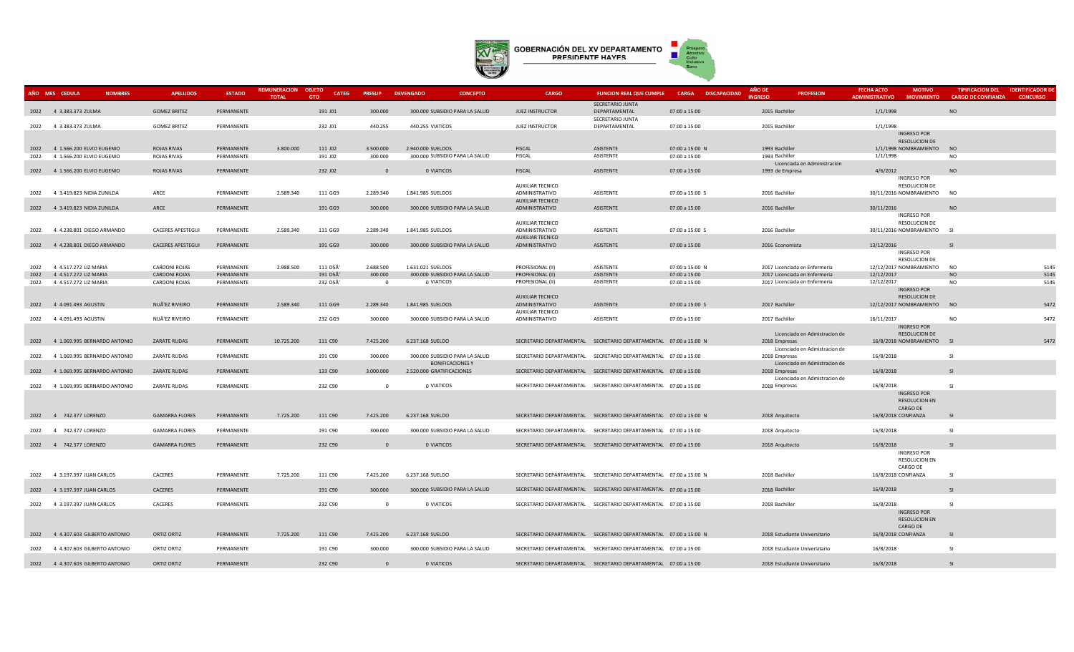

|      | AÑO MES CEDULA                    | <b>NOMBRES</b> | <b>APELLIDOS</b>         | <b>ESTADO</b> | REMUNERACION OBJETO<br><b>TOTAL</b> | <b>CATEG</b><br><b>GTO</b> | <b>PRESUP</b>  | <b>DEVENGADO</b>          | <b>CONCEPTO</b>                | <b>CARGO</b>                       | <b>FUNCION REAL QUE CUMPLE</b>                                    |                 | <b>CARGA DISCAPACIDAD</b> | AÑO DE<br><b>INGRESO</b> | <b>PROFESION</b>              | <b>FECHA ACTO</b><br><b>ADMINISTRATIVO</b> | <b>MOTIVO</b><br><b>MOVIMIENTO</b>  | <b>CARGO DE CONFIANZA</b> | TIPIFICACION DEL IDENTIFICADOR DE<br><b>CONCURSO</b> |
|------|-----------------------------------|----------------|--------------------------|---------------|-------------------------------------|----------------------------|----------------|---------------------------|--------------------------------|------------------------------------|-------------------------------------------------------------------|-----------------|---------------------------|--------------------------|-------------------------------|--------------------------------------------|-------------------------------------|---------------------------|------------------------------------------------------|
|      |                                   |                |                          |               |                                     |                            |                |                           |                                |                                    | SECRETARIO JUNTA                                                  |                 |                           |                          |                               |                                            |                                     |                           |                                                      |
|      | 2022 4 3.383.373 ZULMA            |                | <b>GOMEZ BRITEZ</b>      | PERMANENTE    |                                     | 191 J01                    | 300.000        |                           | 300.000 SUBSIDIO PARA LA SALUD | <b>JUEZ INSTRUCTOR</b>             | DEPARTAMENTAL                                                     | 07:00 a 15:00   |                           | 2015 Bachiller           |                               | 1/1/1998                                   |                                     | <b>NO</b>                 |                                                      |
|      |                                   |                |                          |               |                                     |                            |                |                           |                                |                                    | SECRETARIO JUNTA                                                  |                 |                           |                          |                               |                                            |                                     |                           |                                                      |
|      | 2022 4 3.383.373 ZULMA            |                | <b>GOMEZ BRITEZ</b>      | PERMANENTE    |                                     | 232 J01                    | 440.255        | 440.255 VIATICOS          |                                | <b>JUEZ INSTRUCTOR</b>             | DEPARTAMENTAL                                                     | 07:00 a 15:00   |                           | 2015 Bachiller           |                               | 1/1/1998                                   |                                     |                           |                                                      |
|      |                                   |                |                          |               |                                     |                            |                |                           |                                |                                    |                                                                   |                 |                           |                          |                               |                                            | <b>INGRESO POR</b><br>RESOLUCION DE |                           |                                                      |
|      | 2022 4 1.566.200 ELVIO EUGENIO    |                | <b>ROJAS RIVAS</b>       | PERMANENTE    | 3.800.000                           | 111 JO2                    | 3.500.000      | 2.940.000 SUELDOS         |                                | FISCAL                             | ASISTENTE                                                         | 07:00 a 15:00 N |                           | 1993 Bachiller           |                               | 1/1/1998 NOMBRAMIENTO                      |                                     | <b>NO</b>                 |                                                      |
| 2022 | 4 1.566.200 ELVIO EUGENIO         |                | ROJAS RIVAS              | PERMANENTE    |                                     | 191 J02                    | 300.000        |                           | 300.000 SUBSIDIO PARA LA SALUD | <b>FISCAL</b>                      | ASISTENTE                                                         | 07:00 a 15:00   |                           | 1993 Bachiller           |                               | 1/1/1998                                   |                                     | <b>NO</b>                 |                                                      |
|      |                                   |                |                          |               |                                     |                            |                |                           |                                |                                    |                                                                   |                 |                           |                          | Licenciada en Administracion  |                                            |                                     |                           |                                                      |
|      | 2022 4 1.566.200 ELVIO EUGENIO    |                | ROJAS RIVAS              | PERMANENTE    |                                     | 232 J02                    | $\Omega$       | O VIATICOS                |                                | <b>FISCAL</b>                      | ASISTENTE                                                         | 07:00 a 15:00   |                           | 1993 de Empresa          |                               | 4/6/2012                                   |                                     | <b>NO</b>                 |                                                      |
|      |                                   |                |                          |               |                                     |                            |                |                           |                                |                                    |                                                                   |                 |                           |                          |                               |                                            | <b>INGRESO POR</b>                  |                           |                                                      |
|      | 2022 4 3.419.823 NIDIA ZUNILDA    |                | ARCE                     | PERMANENTE    | 2.589.340                           | 111 GG9                    | 2.289.340      | 1.841.985 SUELDOS         |                                | AUXILIAR TECNICO<br>ADMINISTRATIVO | ASISTENTE                                                         | 07:00 a 15:00 S |                           | 2016 Bachiller           |                               | 30/11/2016 NOMBRAMIENTO NO                 | RESOLUCION DE                       |                           |                                                      |
|      |                                   |                |                          |               |                                     |                            |                |                           |                                | AUXILIAR TECNICO                   |                                                                   |                 |                           |                          |                               |                                            |                                     |                           |                                                      |
|      | 2022 4 3.419.823 NIDIA ZUNILDA    |                | ARCE                     | PERMANENTE    |                                     | 191 GG9                    | 300.000        |                           | 300.000 SUBSIDIO PARA LA SALUD | ADMINISTRATIVO                     | ASISTENTE                                                         | 07:00 a 15:00   |                           | 2016 Bachiller           |                               | 30/11/2016                                 |                                     | <b>NO</b>                 |                                                      |
|      |                                   |                |                          |               |                                     |                            |                |                           |                                |                                    |                                                                   |                 |                           |                          |                               |                                            | <b>INGRESO POR</b>                  |                           |                                                      |
|      |                                   |                |                          |               |                                     |                            |                |                           |                                | <b>AUXILIAR TECNICO</b>            |                                                                   |                 |                           |                          |                               |                                            | RESOLUCION DE                       |                           |                                                      |
| 2022 | 4 4.238.801 DIEGO ARMANDO         |                | <b>CACERES APESTEGUI</b> | PERMANENTE    | 2.589.340                           | 111 GG9                    | 2.289.340      | 1.841.985 SUELDOS         |                                | ADMINISTRATIVO                     | ASISTENTE                                                         | 07:00 a 15:00 S |                           | 2016 Bachiller           |                               | 30/11/2016 NOMBRAMIENTO SI                 |                                     |                           |                                                      |
|      |                                   |                |                          |               |                                     |                            |                |                           |                                | AUXILIAR TECNICO                   |                                                                   |                 |                           |                          |                               |                                            |                                     |                           |                                                      |
|      | 2022 4 4.238.801 DIEGO ARMANDO    |                | <b>CACERES APESTEGUI</b> | PERMANENTE    |                                     | 191 GG9                    | 300.000        |                           | 300.000 SUBSIDIO PARA LA SALUD | ADMINISTRATIVO                     | ASISTENTE                                                         | 07:00 a 15:00   |                           | 2016 Economista          |                               | 13/12/2016                                 | <b>INGRESO POR</b>                  | SI                        |                                                      |
|      |                                   |                |                          |               |                                     |                            |                |                           |                                |                                    |                                                                   |                 |                           |                          |                               |                                            | RESOLUCION DE                       |                           |                                                      |
| 2022 | 4 4.517.272 LIZ MARIA             |                | <b>CARDONI ROJAS</b>     | PERMANENTE    | 2.988.500                           | 111 D5Ã'                   | 2.688.500      | 1.631.021 SUELDOS         |                                | PROFESIONAL (II)                   | ASISTENTE                                                         | 07:00 a 15:00 N |                           |                          | 2017 Licenciada en Enfermeria | 12/12/2017 NOMBRAMIENTO                    |                                     | <b>NO</b>                 | 5145                                                 |
|      | 2022 4 4.517.272 LIZ MARIA        |                | <b>CARDONI ROJAS</b>     | PERMANENTE    |                                     | 191 D5Ã'                   | 300.000        |                           | 300.000 SUBSIDIO PARA LA SALUD | PROFESIONAL (II)                   | <b>ASISTENTE</b>                                                  | 07:00 a 15:00   |                           |                          | 2017 Licenciada en Enfermeria | 12/12/2017                                 |                                     | NO                        | 5145                                                 |
| 2022 | 4 4.517.272 LIZ MARIA             |                | CARDONI ROJAS            | PERMANENTE    |                                     | 232 D5Ã'                   | $\overline{0}$ | 0 VIATICOS                |                                | PROFESIONAL (II)                   | ASISTENTE                                                         | 07:00 a 15:00   |                           |                          | 2017 Licenciada en Enfermeria | 12/12/2017                                 |                                     | <b>NO</b>                 | 5145                                                 |
|      |                                   |                |                          |               |                                     |                            |                |                           |                                |                                    |                                                                   |                 |                           |                          |                               |                                            | <b>INGRESO POR</b>                  |                           |                                                      |
|      |                                   |                |                          |               |                                     |                            |                |                           |                                | <b>AUXILIAR TECNICO</b>            |                                                                   |                 |                           |                          |                               |                                            | RESOLUCION DE                       |                           |                                                      |
|      | 2022 4 4.091.493 AGUSTIN          |                | NUÃ'EZ RIVEIRO           | PERMANENTE    | 2.589.340                           | 111 GG9                    | 2.289.340      | 1.841.985 SUELDOS         |                                | ADMINISTRATIVO                     | ASISTENTE                                                         | 07:00 a 15:00 S |                           | 2017 Bachiller           |                               | 12/12/2017 NOMBRAMIENTO                    |                                     | NO                        | 5472                                                 |
|      | 2022 4 4.091.493 AGUSTIN          |                | NUÃ'EZ RIVEIRO           | PERMANENTE    |                                     | 232 GG9                    | 300.000        |                           | 300.000 SUBSIDIO PARA LA SALUD | AUXILIAR TECNICO<br>ADMINISTRATIVO | ASISTENTE                                                         | 07:00 a 15:00   |                           | 2017 Bachiller           |                               | 16/11/2017                                 |                                     | <b>NO</b>                 | 5472                                                 |
|      |                                   |                |                          |               |                                     |                            |                |                           |                                |                                    |                                                                   |                 |                           |                          |                               |                                            | <b>INGRESO POR</b>                  |                           |                                                      |
|      |                                   |                |                          |               |                                     |                            |                |                           |                                |                                    |                                                                   |                 |                           |                          | Licenciado en Admistracion de |                                            | RESOLUCION DE                       |                           |                                                      |
|      | 2022 4 1.069.995 BERNARDO ANTONIO |                | ZARATE RUDAS             | PERMANENTE    | 10.725.200                          | 111 C90                    | 7.425.200      | 6.237.168 SUELDO          |                                |                                    | SECRETARIO DEPARTAMENTAL SECRETARIO DEPARTAMENTAL 07:00 a 15:00 N |                 |                           | 2018 Empresas            |                               | 16/8/2018 NOMBRAMIENTO                     |                                     | SI                        | 5472                                                 |
|      |                                   |                |                          |               |                                     |                            |                |                           |                                |                                    |                                                                   |                 |                           |                          | Licenciado en Admistracion de |                                            |                                     |                           |                                                      |
| 2022 | 4 1.069.995 BERNARDO ANTONIO      |                | <b>ZARATE RUDAS</b>      | PERMANENTE    |                                     | 191 C90                    | 300.000        |                           | 300.000 SUBSIDIO PARA LA SALUD |                                    | SECRETARIO DEPARTAMENTAL SECRETARIO DEPARTAMENTAL 07:00 a 15:00   |                 |                           | 2018 Empresas            |                               | 16/8/2018                                  |                                     | <b>SI</b>                 |                                                      |
|      | 2022 4 1.069.995 BERNARDO ANTONIO |                | <b>ZARATE RUDAS</b>      | PERMANENTE    |                                     | 133 C90                    | 3.000.000      | 2.520.000 GRATIFICACIONES | <b>BONIFICACIONES Y</b>        |                                    | SECRETARIO DEPARTAMENTAL SECRETARIO DEPARTAMENTAL 07:00 a 15:00   |                 |                           | 2018 Empresas            | Licenciado en Admistracion de | 16/8/2018                                  |                                     | SI                        |                                                      |
|      |                                   |                |                          |               |                                     |                            |                |                           |                                |                                    |                                                                   |                 |                           |                          | Licenciado en Admistracion de |                                            |                                     |                           |                                                      |
|      | 2022 4 1.069.995 BERNARDO ANTONIO |                | <b>ZARATE RUDAS</b>      | PERMANENTE    |                                     | 232 C90                    | $\Omega$       | 0 VIATICOS                |                                |                                    | SECRETARIO DEPARTAMENTAL SECRETARIO DEPARTAMENTAL 07:00 a 15:00   |                 |                           | 2018 Empresas            |                               | 16/8/2018                                  |                                     | <b>SI</b>                 |                                                      |
|      |                                   |                |                          |               |                                     |                            |                |                           |                                |                                    |                                                                   |                 |                           |                          |                               |                                            | <b>INGRESO POR</b>                  |                           |                                                      |
|      |                                   |                |                          |               |                                     |                            |                |                           |                                |                                    |                                                                   |                 |                           |                          |                               |                                            | RESOLUCION EN                       |                           |                                                      |
|      |                                   |                |                          |               |                                     |                            |                |                           |                                |                                    |                                                                   |                 |                           |                          |                               | CARGO DE                                   |                                     |                           |                                                      |
|      | 2022 4 742.377 LORENZO            |                | <b>GAMARRA FLORES</b>    | PERMANENTE    | 7.725.200                           | 111 C90                    | 7.425.200      | 6.237.168 SUELDO          |                                |                                    | SECRETARIO DEPARTAMENTAL SECRETARIO DEPARTAMENTAL 07:00 a 15:00 N |                 |                           | 2018 Arquitecto          |                               | 16/8/2018 CONFIANZA                        |                                     | -SI                       |                                                      |
|      | 2022 4 742.377 LORENZO            |                | <b>GAMARRA FLORES</b>    | PERMANENTE    |                                     | 191 C90                    | 300.000        |                           | 300.000 SUBSIDIO PARA LA SALUD |                                    | SECRETARIO DEPARTAMENTAL SECRETARIO DEPARTAMENTAL 07:00 a 15:00   |                 |                           | 2018 Arquitecto          |                               | 16/8/2018                                  |                                     | SI                        |                                                      |
|      |                                   |                |                          |               |                                     |                            |                |                           |                                |                                    |                                                                   |                 |                           |                          |                               |                                            |                                     |                           |                                                      |
|      | 2022 4 742.377 LORENZO            |                | <b>GAMARRA FLORES</b>    | PERMANENTE    |                                     | 232 C90                    | $\Omega$       | 0 VIATICOS                |                                |                                    | SECRETARIO DEPARTAMENTAL SECRETARIO DEPARTAMENTAL 07:00 a 15:00   |                 |                           | 2018 Arquitecto          |                               | 16/8/2018                                  |                                     | $\mathsf{S}$              |                                                      |
|      |                                   |                |                          |               |                                     |                            |                |                           |                                |                                    |                                                                   |                 |                           |                          |                               |                                            | <b>INGRESO POR</b>                  |                           |                                                      |
|      |                                   |                |                          |               |                                     |                            |                |                           |                                |                                    |                                                                   |                 |                           |                          |                               |                                            | RESOLUCION EN                       |                           |                                                      |
|      |                                   |                |                          |               |                                     |                            |                |                           |                                |                                    |                                                                   |                 |                           |                          |                               | CARGO DE                                   |                                     |                           |                                                      |
|      | 2022 4 3.197.397 JUAN CARLOS      |                | CACERES                  | PERMANENTE    | 7.725.200                           | 111 C90                    | 7.425.200      | 6.237.168 SUELDO          |                                |                                    | SECRETARIO DEPARTAMENTAL SECRETARIO DEPARTAMENTAL 07:00 a 15:00 N |                 |                           | 2018 Bachiller           |                               | 16/8/2018 CONFIANZA                        |                                     | <b>SI</b>                 |                                                      |
|      | 2022 4 3.197.397 JUAN CARLOS      |                | CACERES                  | PERMANENTE    |                                     | 191 C90                    | 300.000        |                           | 300.000 SUBSIDIO PARA LA SALUD |                                    | SECRETARIO DEPARTAMENTAL SECRETARIO DEPARTAMENTAL 07:00 a 15:00   |                 |                           | 2018 Bachiller           |                               | 16/8/2018                                  |                                     | SI                        |                                                      |
|      |                                   |                |                          |               |                                     |                            |                |                           |                                |                                    |                                                                   |                 |                           |                          |                               |                                            |                                     |                           |                                                      |
|      | 2022 4 3.197.397 JUAN CARLOS      |                | CACERES                  | PERMANENTE    |                                     | 232 C90                    | $\Omega$       | 0 VIATICOS                |                                |                                    | SECRETARIO DEPARTAMENTAL SECRETARIO DEPARTAMENTAL 07:00 a 15:00   |                 |                           | 2018 Bachiller           |                               | 16/8/2018                                  |                                     | SI                        |                                                      |
|      |                                   |                |                          |               |                                     |                            |                |                           |                                |                                    |                                                                   |                 |                           |                          |                               |                                            | <b>INGRESO POR</b>                  |                           |                                                      |
|      |                                   |                |                          |               |                                     |                            |                |                           |                                |                                    |                                                                   |                 |                           |                          |                               |                                            | <b>RESOLUCION EN</b>                |                           |                                                      |
|      |                                   |                |                          |               |                                     |                            |                |                           |                                |                                    |                                                                   |                 |                           |                          |                               | CARGO DE                                   |                                     |                           |                                                      |
|      | 2022 4 4.307.603 GILBERTO ANTONIO |                | ORTIZ ORTIZ              | PERMANENTE    | 7.725.200                           | 111 C90                    | 7.425.200      | 6.237.168 SUELDO          |                                |                                    | SECRETARIO DEPARTAMENTAL SECRETARIO DEPARTAMENTAL 07:00 a 15:00 N |                 |                           |                          | 2018 Estudiante Universitario | 16/8/2018 CONFIANZA                        |                                     | -SI                       |                                                      |
| 2022 | 4 4.307.603 GILBERTO ANTONIO      |                | ORTIZ ORTIZ              | PERMANENTE    |                                     | 191 C90                    | 300.000        |                           | 300.000 SUBSIDIO PARA LA SALUD |                                    | SECRETARIO DEPARTAMENTAL SECRETARIO DEPARTAMENTAL 07:00 a 15:00   |                 |                           |                          | 2018 Estudiante Universitario | 16/8/2018                                  |                                     | <b>SI</b>                 |                                                      |
|      |                                   |                |                          |               |                                     |                            |                |                           |                                |                                    |                                                                   |                 |                           |                          |                               |                                            |                                     |                           |                                                      |
|      | 2022 4 4.307.603 GILBERTO ANTONIO |                | <b>ORTIZ ORTIZ</b>       | PERMANENTE    |                                     | 232 C90                    | $\Omega$       | 0 VIATICOS                |                                |                                    | SECRETARIO DEPARTAMENTAL SECRETARIO DEPARTAMENTAL 07:00 a 15:00   |                 |                           |                          | 2018 Estudiante Universitario | 16/8/2018                                  |                                     | -SI                       |                                                      |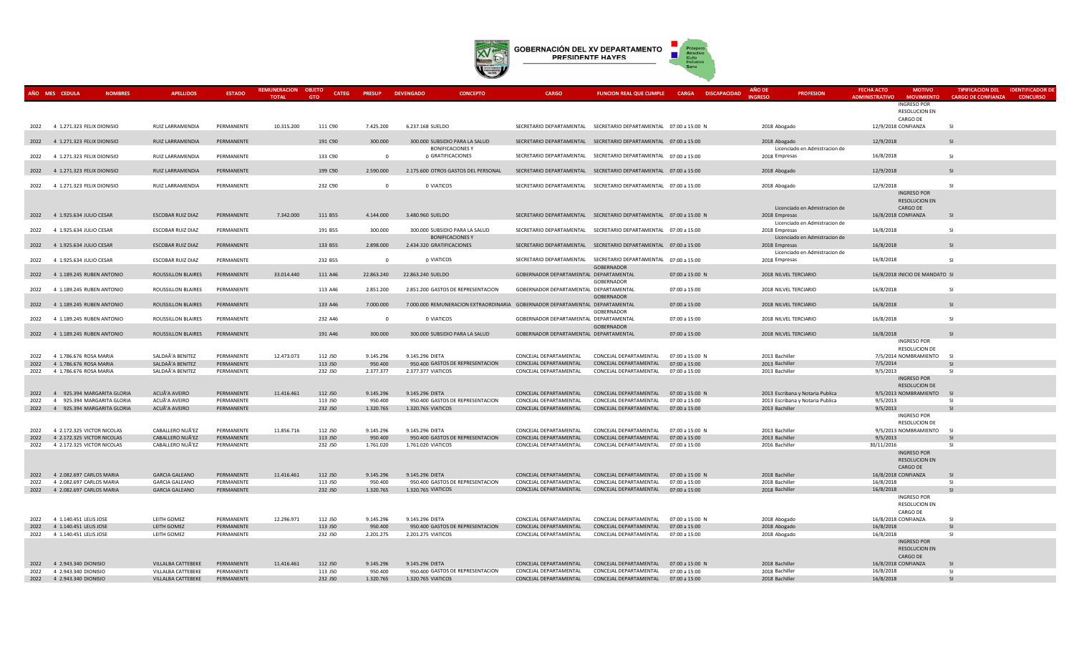

|      | AÑO MES CEDULA                  | <b>NOMBRES</b>           | <b>APELLIDOS</b>         | <b>ESTADO</b> |              | <b>OBJETO</b><br><b>CATEG</b> | <b>PRESUP</b>  | <b>DEVENGADO</b><br><b>CONCEPTO</b>                                          | <b>CARGO</b>                                                      | <b>FUNCION REAL QUE CUMPLE</b> | <b>CARGA</b><br><b>DISCAPACIDAD</b> | AÑO DE<br><b>PROFESION</b>       | <b>FECHA ACTO</b><br><b>MOTIVO</b>         | <b>TIPIFICACION DEL</b>   | <b>IDENTIFICADOR DE</b> |
|------|---------------------------------|--------------------------|--------------------------|---------------|--------------|-------------------------------|----------------|------------------------------------------------------------------------------|-------------------------------------------------------------------|--------------------------------|-------------------------------------|----------------------------------|--------------------------------------------|---------------------------|-------------------------|
|      |                                 |                          |                          |               | <b>TOTAL</b> | <b>GTO</b>                    |                |                                                                              |                                                                   |                                |                                     | <b>INGRESC</b>                   | <b>ADMINISTRATIVO</b><br><b>MOVIMIENTO</b> | <b>CARGO DE CONFIANZA</b> | <b>CONCURSO</b>         |
|      |                                 |                          |                          |               |              |                               |                |                                                                              |                                                                   |                                |                                     |                                  | <b>INGRESO POR</b>                         |                           |                         |
|      |                                 |                          |                          |               |              |                               |                |                                                                              |                                                                   |                                |                                     |                                  | RESOLUCION EN                              |                           |                         |
|      |                                 |                          |                          |               |              |                               |                |                                                                              |                                                                   |                                |                                     |                                  | CARGO DE                                   |                           |                         |
| 2022 | 4 1.271.323 FELIX DIONISIO      |                          | <b>RUIZ LARRAMENDIA</b>  | PERMANENTE    | 10.315.200   | 111 C90                       | 7.425.200      | 6.237.168 SUELDO                                                             | SECRETARIO DEPARTAMENTAL SECRETARIO DEPARTAMENTAL 07:00 a 15:00 N |                                |                                     | 2018 Abogado                     | 12/9/2018 CONFIANZA                        | <b>SI</b>                 |                         |
|      |                                 |                          |                          |               |              |                               |                |                                                                              |                                                                   |                                |                                     |                                  |                                            |                           |                         |
|      | 2022 4 1.271.323 FELIX DIONISIO |                          | RUIZ LARRAMENDIA         | PERMANENTE    |              | 191 C90                       | 300.000        | 300.000 SUBSIDIO PARA LA SALUD                                               | SECRETARIO DEPARTAMENTAL SECRETARIO DEPARTAMENTAL 07:00 a 15:00   |                                |                                     | 2018 Abogado                     | 12/9/2018                                  | -SI                       |                         |
|      |                                 |                          |                          |               |              |                               |                | <b>BONIFICACIONES Y</b>                                                      |                                                                   |                                |                                     | Licenciado en Admistracion de    |                                            |                           |                         |
| 2022 | 4 1.271.323 FELIX DIONISIO      |                          | RUIZ LARRAMENDIA         | PERMANENTE    |              | 133 C90                       | $\overline{0}$ | 0 GRATIFICACIONES                                                            | SECRETARIO DEPARTAMENTAL SECRETARIO DEPARTAMENTAL 07:00 a 15:00   |                                |                                     | 2018 Empresas                    | 16/8/2018                                  | SI.                       |                         |
|      |                                 |                          |                          |               |              |                               |                |                                                                              |                                                                   |                                |                                     |                                  |                                            | $\overline{S}$            |                         |
| 2022 | 4 1.271.323 FELIX DIONISIO      |                          | RUIZ LARRAMENDIA         | PERMANENTE    |              | 199 C90                       | 2.590.000      | 2.175.600 OTROS GASTOS DEL PERSONAL                                          | SECRETARIO DEPARTAMENTAL SECRETARIO DEPARTAMENTAL 07:00 a 15:00   |                                |                                     | 2018 Abogado                     | 12/9/2018                                  |                           |                         |
|      |                                 |                          |                          |               |              |                               |                |                                                                              |                                                                   |                                |                                     |                                  |                                            |                           |                         |
| 2022 | 4 1.271.323 FELIX DIONISIO      |                          | RUIZ LARRAMENDIA         | PERMANENTE    |              | 232 C90                       | $\overline{0}$ | 0 VIATICOS                                                                   | SECRETARIO DEPARTAMENTAL SECRETARIO DEPARTAMENTAL 07:00 a 15:00   |                                |                                     | 2018 Abogado                     | 12/9/2018                                  | SI                        |                         |
|      |                                 |                          |                          |               |              |                               |                |                                                                              |                                                                   |                                |                                     |                                  | <b>INGRESO POR</b>                         |                           |                         |
|      |                                 |                          |                          |               |              |                               |                |                                                                              |                                                                   |                                |                                     |                                  | <b>RESOLUCION EN</b>                       |                           |                         |
|      |                                 |                          |                          |               |              |                               |                |                                                                              | SECRETARIO DEPARTAMENTAL SECRETARIO DEPARTAMENTAL 07:00 a 15:00 N |                                |                                     | Licenciado en Admistracion de    | CARGO DE                                   |                           |                         |
|      | 2022 4 1.925.634 JULIO CESAR    |                          | ESCOBAR RUIZ DIAZ        | PERMANENTE    | 7.342.000    | 111 B55                       | 4.144.000      | 3.480.960 SUELDO                                                             |                                                                   |                                |                                     | 2018 Empresas                    | 16/8/2018 CONFIANZA                        | -SI                       |                         |
|      |                                 |                          |                          |               |              |                               |                | 300.000 SUBSIDIO PARA LA SALUD                                               | SECRETARIO DEPARTAMENTAL SECRETARIO DEPARTAMENTAL 07:00 a 15:00   |                                |                                     | Licenciado en Admistracion de    | 16/8/2018                                  |                           |                         |
| 2022 | 4 1.925.634 JULIO CESAR         |                          | ESCOBAR RUIZ DIAZ        | PERMANENTE    |              | 191 B55                       | 300.000        |                                                                              |                                                                   |                                |                                     | 2018 Empresas                    |                                            | SI.                       |                         |
|      | 4 1.925.634 JULIO CESAR         |                          |                          | PERMANENTE    |              |                               | 2.898.000      | <b>BONIFICACIONES Y</b><br>2.434.320 GRATIFICACIONES                         | SECRETARIO DEPARTAMENTAL SECRETARIO DEPARTAMENTAL 07:00 a 15:00   |                                |                                     | Licenciado en Admistracion de    |                                            | SI                        |                         |
| 2022 |                                 |                          | <b>ESCOBAR RUIZ DIAZ</b> |               |              | 133 B55                       |                |                                                                              |                                                                   |                                |                                     | 2018 Empresas                    | 16/8/2018                                  |                           |                         |
|      |                                 |                          |                          | PERMANENTE    |              | 232 B55                       | $\Omega$       | 0 VIATICOS                                                                   | SECRETARIO DEPARTAMENTAL SECRETARIO DEPARTAMENTAL 07:00 a 15:00   |                                |                                     | Licenciado en Admistracion de    | 16/8/2018                                  | SI                        |                         |
| 2022 | 4 1.925.634 JULIO CESAR         |                          | ESCOBAR RUIZ DIAZ        |               |              |                               |                |                                                                              |                                                                   | GOBERNADOR                     |                                     | 2018 Empresas                    |                                            |                           |                         |
| 2022 | 4 1.189.245 RUBEN ANTONIO       |                          | ROUSSILLON BLAIRES       | PERMANENTE    | 33.014.440   |                               | 22.863.240     | 22.863.240 SUELDO                                                            | GOBERNADOR DEPARTAMENTAL DEPARTAMENTAL                            |                                | 07:00 a 15:00 N                     | 2018 NILVEL TERCIARIO            | 16/8/2018 INICIO DE MANDATO SI             |                           |                         |
|      |                                 |                          |                          |               |              | 111 A46                       |                |                                                                              |                                                                   | GOBERNADOR                     |                                     |                                  |                                            |                           |                         |
| 2022 | 4 1.189.245 RUBEN ANTONIO       |                          | ROUSSILLON BLAIRES       | PERMANENTE    |              | 113 A46                       | 2.851.200      | 2.851.200 GASTOS DE REPRESENTACION                                           | GOBERNADOR DEPARTAMENTAL DEPARTAMENTAL                            |                                | 07:00 a 15:00                       | 2018 NILVEL TERCIARIO            | 16/8/2018                                  | -SI                       |                         |
|      |                                 |                          |                          |               |              |                               |                |                                                                              |                                                                   | <b>GOBERNADOR</b>              |                                     |                                  |                                            |                           |                         |
| 2022 | 4 1.189.245 RUBEN ANTONIO       |                          | ROUSSILLON BLAIRES       | PERMANENTE    |              | 133 A46                       | 7.000.000      | 7.000.000 REMUNERACION EXTRAORDINARIA GOBERNADOR DEPARTAMENTAL DEPARTAMENTAL |                                                                   |                                | 07:00 a 15:00                       | 2018 NILVEL TERCIARIO            | 16/8/2018                                  | -SI                       |                         |
|      |                                 |                          |                          |               |              |                               |                |                                                                              |                                                                   | GOBERNADOR                     |                                     |                                  |                                            |                           |                         |
| 2022 | 4 1.189.245 RUBEN ANTONIO       |                          | ROUSSILLON BLAIRES       | PERMANENTE    |              | 232 A46                       | $\overline{0}$ | 0 VIATICOS                                                                   | GOBERNADOR DEPARTAMENTAL DEPARTAMENTAL                            |                                | 07:00 a 15:00                       | 2018 NILVEL TERCIARIO            | 16/8/2018                                  | SI.                       |                         |
|      |                                 |                          |                          |               |              |                               |                |                                                                              |                                                                   | GOBERNADOR                     |                                     |                                  |                                            |                           |                         |
|      | 2022 4 1.189.245 RUBEN ANTONIO  |                          | ROUSSILLON BLAIRES       | PERMANENTE    |              | 191 A46                       | 300.000        | 300.000 SUBSIDIO PARA LA SALUD                                               | GOBERNADOR DEPARTAMENTAL DEPARTAMENTAL                            |                                | 07:00 a 15:00                       | 2018 NILVEL TERCIARIO            | 16/8/2018                                  | SI                        |                         |
|      |                                 |                          |                          |               |              |                               |                |                                                                              |                                                                   |                                |                                     |                                  | <b>INGRESO POR</b>                         |                           |                         |
|      |                                 |                          |                          |               |              |                               |                |                                                                              |                                                                   |                                |                                     |                                  | <b>RESOLUCION DE</b>                       |                           |                         |
| 2022 | 4 1.786.676 ROSA MARIA          |                          | SALDAÃ'A BENITEZ         | PERMANENTE    | 12.473.073   | 112 J50                       | 9.145.296      | 9.145.296 DIETA                                                              | CONCEJAL DEPARTAMENTAL                                            | CONCEJAL DEPARTAMENTAL         | 07:00 a 15:00 N                     | 2013 Bachiller                   | 7/5/2014 NOMBRAMIENTO SI                   |                           |                         |
| 2022 | 4 1.786.676 ROSA MARIA          |                          | SALDAÃ'A BENITEZ         | PERMANENTE    |              | 113 J50                       | 950.400        | 950.400 GASTOS DE REPRESENTACION                                             | CONCEJAL DEPARTAMENTAL                                            | CONCEJAL DEPARTAMENTAL         | 07:00 a 15:00                       | 2013 Bachiller                   | 7/5/2014                                   | $\overline{S}$            |                         |
| 2022 | 4 1.786.676 ROSA MARIA          |                          | SALDAÃ'A BENITEZ         | PERMANENTE    |              | 232 J50                       | 2.377.377      | 2.377.377 VIATICOS                                                           | CONCEJAL DEPARTAMENTAL                                            | CONCEJAL DEPARTAMENTAL         | 07:00 a 15:00                       | 2013 Bachiller                   | 9/5/2013                                   | -SI                       |                         |
|      |                                 |                          |                          |               |              |                               |                |                                                                              |                                                                   |                                |                                     |                                  | <b>INGRESO POR</b>                         |                           |                         |
|      |                                 |                          |                          |               |              |                               |                |                                                                              |                                                                   |                                |                                     |                                  | <b>RESOLUCION DE</b>                       |                           |                         |
| 2022 | $\overline{4}$                  | 925.394 MARGARITA GLORIA | ACUÃ'A AVEIRO            | PERMANENTE    | 11.416.461   | 112 J50                       | 9.145.296      | 9.145.296 DIETA                                                              | CONCEJAL DEPARTAMENTAL                                            | CONCEJAL DEPARTAMENTAL         | 07:00 a 15:00 N                     | 2013 Escribana y Notaria Publica | 9/5/2013 NOMBRAMIENTO<br>S <sub>l</sub>    |                           |                         |
| 2022 | 4 925.394 MARGARITA GLORIA      |                          | ACUÃ'A AVEIRO            | PERMANENTE    |              | 113 J50                       | 950.400        | 950.400 GASTOS DE REPRESENTACION                                             | CONCEJAL DEPARTAMENTAL                                            | CONCEJAL DEPARTAMENTAL         | 07:00 a 15:00                       | 2013 Escribana y Notaria Publica | 9/5/2013                                   | -SI                       |                         |
|      | 2022 4 925.394 MARGARITA GLORIA |                          | ACUÃ'A AVEIRO            | PERMANENTE    |              | 232 J50                       | 1.320.765      | 1.320.765 VIATICOS                                                           | CONCEJAL DEPARTAMENTAL                                            | CONCEJAL DEPARTAMENTAL         | 07:00 a 15:00                       | 2013 Bachiller                   | 9/5/2013                                   | <b>SI</b>                 |                         |
|      |                                 |                          |                          |               |              |                               |                |                                                                              |                                                                   |                                |                                     |                                  | <b>INGRESO POR</b>                         |                           |                         |
|      |                                 |                          |                          |               |              |                               |                |                                                                              |                                                                   |                                |                                     |                                  | RESOLUCION DE                              |                           |                         |
| 2022 | 4 2.172.325 VICTOR NICOLAS      |                          | CABALLERO NUÃ'EZ         | PERMANENTE    | 11.856.716   | 112 J50                       | 9.145.296      | 9.145.296 DIETA                                                              | CONCEJAL DEPARTAMENTAL                                            | CONCEJAL DEPARTAMENTAL         | 07:00 a 15:00 N                     | 2013 Bachiller                   | 9/5/2013 NOMBRAMIENTO                      | S1                        |                         |
| 2022 | 4 2.172.325 VICTOR NICOLAS      |                          | CABALLERO NUÃ'EZ         | PERMANENTE    |              | 113 J50                       | 950,400        | 950.400 GASTOS DE REPRESENTACION                                             | CONCEJAL DEPARTAMENTAL                                            | CONCEJAL DEPARTAMENTAL         | 07:00 a 15:00                       | 2013 Bachiller                   | 9/5/2013                                   | SI                        |                         |
| 2022 | 4 2.172.325 VICTOR NICOLAS      |                          | CABALLERO NUÃ'EZ         | PERMANENTE    |              | 232 J50                       | 1.761.020      | 1.761.020 VIATICOS                                                           | CONCEJAL DEPARTAMENTAL                                            | CONCEJAL DEPARTAMENTAL         | 07:00 a 15:00                       | 2016 Bachiller                   | 30/11/2016                                 | <b>SI</b>                 |                         |
|      |                                 |                          |                          |               |              |                               |                |                                                                              |                                                                   |                                |                                     |                                  | <b>INGRESO POR</b>                         |                           |                         |
|      |                                 |                          |                          |               |              |                               |                |                                                                              |                                                                   |                                |                                     |                                  | <b>RESOLUCION EN</b>                       |                           |                         |
|      |                                 |                          |                          |               |              |                               |                |                                                                              |                                                                   |                                |                                     |                                  | CARGO DE                                   |                           |                         |
| 2022 | 4 2.082.697 CARLOS MARIA        |                          | <b>GARCIA GALEANO</b>    | PERMANENTE    | 11.416.461   | 112 J50                       | 9.145.296      | 9.145.296 DIETA                                                              | CONCEJAL DEPARTAMENTAL                                            | CONCEJAL DEPARTAMENTAL         | 07:00 a 15:00 N                     | 2018 Bachiller                   | 16/8/2018 CONFIANZA                        | SI                        |                         |
| 2022 | 4 2.082.697 CARLOS MARIA        |                          | <b>GARCIA GALEANO</b>    | PERMANENTE    |              | 113 J50                       | 950.400        | 950.400 GASTOS DE REPRESENTACION                                             | CONCEJAL DEPARTAMENTAL                                            | CONCEJAL DEPARTAMENTAL         | 07:00 a 15:00                       | 2018 Bachiller                   | 16/8/2018                                  | $\mathsf{S}$              |                         |
| 2022 | 4 2.082.697 CARLOS MARIA        |                          | <b>GARCIA GALEANO</b>    | PERMANENTE    |              | 232 J50                       | 1.320.765      | 1.320.765 VIATICOS                                                           | CONCEJAL DEPARTAMENTAL                                            | CONCEJAL DEPARTAMENTAL         | 07:00 a 15:00                       | 2018 Bachiller                   | 16/8/2018                                  | <b>SI</b>                 |                         |
|      |                                 |                          |                          |               |              |                               |                |                                                                              |                                                                   |                                |                                     |                                  | <b>INGRESO POR</b>                         |                           |                         |
|      |                                 |                          |                          |               |              |                               |                |                                                                              |                                                                   |                                |                                     |                                  | <b>RESOLUCION EN</b>                       |                           |                         |
|      |                                 |                          |                          |               |              |                               |                |                                                                              |                                                                   |                                |                                     |                                  | CARGO DE                                   |                           |                         |
| 2022 | 4 1.140.451 LELIS JOSE          |                          | LEITH GOMEZ              | PERMANENTE    | 12.296.971   | 112 J50                       | 9.145.296      | 9.145.296 DIETA                                                              | CONCEJAL DEPARTAMENTAL                                            | CONCEJAL DEPARTAMENTAL         | 07:00 a 15:00 N                     | 2018 Abogado                     | 16/8/2018 CONFIANZA                        | -SI                       |                         |
| 2022 | 4 1.140.451 LELIS JOSE          |                          | LEITH GOMEZ              | PERMANENTE    |              | 113 J50                       | 950,400        | 950.400 GASTOS DE REPRESENTACION                                             | CONCEJAL DEPARTAMENTAL                                            | CONCEJAL DEPARTAMENTAL         | 07:00 a 15:00                       | 2018 Abogado                     | 16/8/2018                                  | <b>SI</b>                 |                         |
| 2022 | 4 1.140.451 LELIS JOSE          |                          | LEITH GOMEZ              | PERMANENTE    |              | 232 J50                       | 2.201.275      | 2.201.275 VIATICOS                                                           | CONCEJAL DEPARTAMENTAL                                            | CONCEJAL DEPARTAMENTAL         | 07:00 a 15:00                       | 2018 Abogado                     | 16/8/2018                                  | -SI                       |                         |
|      |                                 |                          |                          |               |              |                               |                |                                                                              |                                                                   |                                |                                     |                                  | <b>INGRESO POR</b>                         |                           |                         |
|      |                                 |                          |                          |               |              |                               |                |                                                                              |                                                                   |                                |                                     |                                  | <b>RESOLUCION EN</b>                       |                           |                         |
|      |                                 |                          |                          |               |              |                               |                |                                                                              |                                                                   |                                |                                     |                                  | CARGO DE                                   |                           |                         |
| 2022 | 4 2.943.340 DIONISIO            |                          | VILLALBA CATTEBEKE       | PERMANENTE    | 11.416.461   | 112 J50                       | 9.145.296      | 9.145.296 DIETA                                                              | CONCEJAL DEPARTAMENTAL                                            | CONCEJAL DEPARTAMENTAL         | 07:00 a 15:00 N                     | 2018 Bachiller                   | 16/8/2018 CONFIANZA                        | <b>SI</b>                 |                         |
| 2022 | 4 2.943.340 DIONISIO            |                          | VILLALBA CATTEBEKE       | PERMANENTE    |              | 113 J50                       | 950.400        | 950.400 GASTOS DE REPRESENTACION                                             | CONCEJAL DEPARTAMENTAL                                            | CONCEJAL DEPARTAMENTAL         | 07:00 a 15:00                       | 2018 Bachiller                   | 16/8/2018                                  | <b>SI</b>                 |                         |
| 2022 | 4 2.943.340 DIONISIO            |                          | VILLALBA CATTEBEKE       | PERMANENTE    |              | 232 J50                       | 1.320.765      | 1.320.765 VIATICOS                                                           | CONCEJAL DEPARTAMENTAL                                            | CONCEJAL DEPARTAMENTAL         | 07:00 a 15:00                       | 2018 Bachiller                   | 16/8/2018                                  | <b>SI</b>                 |                         |
|      |                                 |                          |                          |               |              |                               |                |                                                                              |                                                                   |                                |                                     |                                  |                                            |                           |                         |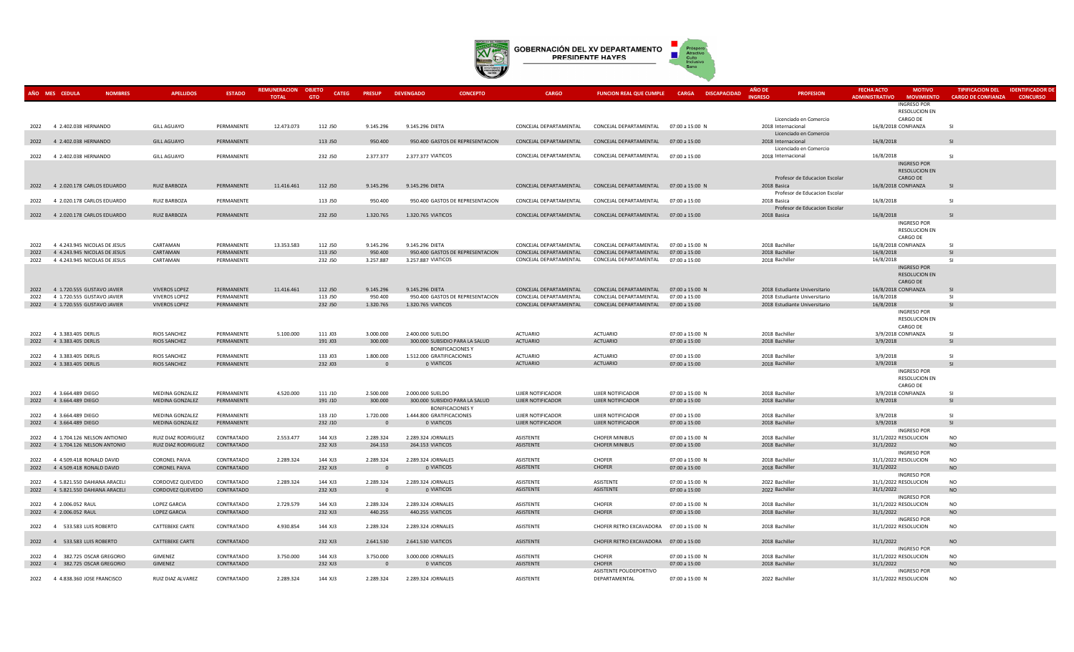

|      | AÑO MES CEDULA                    | <b>NOMBRES</b> | <b>APELLIDOS</b>       | <b>ESTADO</b> | <b>REMUNERACION</b> | <b>OBJETO</b><br><b>CATEG</b> | <b>PRESUP</b>  | <b>DEVENGADO</b><br><b>CONCEPTO</b>                  | <b>CARGO</b>           |                                          | <b>FUNCION REAL QUE CUMPLE CARGA DISCAPACIDAD</b> | <b>PROFESION</b>                             | <b>FECHA ACTO</b><br><b>MOTIVO</b>                               | <b>TIPIFICACION DEL</b><br><b>IDENTIFICADOR DI</b> |
|------|-----------------------------------|----------------|------------------------|---------------|---------------------|-------------------------------|----------------|------------------------------------------------------|------------------------|------------------------------------------|---------------------------------------------------|----------------------------------------------|------------------------------------------------------------------|----------------------------------------------------|
|      |                                   |                |                        |               | <b>TOTAL</b>        | <b>GTO</b>                    |                |                                                      |                        |                                          |                                                   | <b>INGRESO</b>                               | <b>ADMINISTRATIVO</b><br><b>MOVIMIENTO</b><br><b>INGRESO POR</b> | <b>CARGO DE CONFIANZA</b><br><b>CONCURSO</b>       |
|      |                                   |                |                        |               |                     |                               |                |                                                      |                        |                                          |                                                   |                                              | RESOLUCION EN                                                    |                                                    |
|      |                                   |                |                        |               |                     |                               |                |                                                      |                        |                                          |                                                   | Licenciado en Comercio                       | CARGO DE                                                         |                                                    |
|      | 2022 4 2.402.038 HERNANDO         |                | <b>GILL AGUAYO</b>     | PERMANENTE    | 12.473.073          | 112 J50                       | 9.145.296      | 9.145.296 DIETA                                      | CONCEJAL DEPARTAMENTAL | CONCEJAL DEPARTAMENTAL                   | 07:00 a 15:00 N                                   | 2018 Internacional                           | 16/8/2018 CONFIANZA                                              | <b>SI</b>                                          |
|      |                                   |                |                        |               |                     |                               |                |                                                      |                        |                                          |                                                   | Licenciado en Comercio                       |                                                                  |                                                    |
|      | 2022 4 2.402.038 HERNANDO         |                | <b>GILL AGUAYO</b>     | PERMANENTE    |                     | 113 J50                       | 950.400        | 950.400 GASTOS DE REPRESENTACION                     | CONCEJAL DEPARTAMENTAL | CONCEJAL DEPARTAMENTAL                   | 07:00 a 15:00                                     | 2018 Internacional                           | 16/8/2018                                                        | -SI                                                |
|      |                                   |                |                        |               |                     |                               |                |                                                      |                        |                                          |                                                   | Licenciado en Comercio                       |                                                                  |                                                    |
|      | 2022 4 2.402.038 HERNANDO         |                | <b>GILL AGUAYO</b>     | PERMANENTE    |                     | 232 J50                       | 2.377.377      | 2.377.377 VIATICOS                                   | CONCEJAL DEPARTAMENTAL | CONCEJAL DEPARTAMENTAL 07:00 a 15:00     |                                                   | 2018 Internacional                           | 16/8/2018                                                        | <b>SI</b>                                          |
|      |                                   |                |                        |               |                     |                               |                |                                                      |                        |                                          |                                                   |                                              | <b>INGRESO POR</b>                                               |                                                    |
|      |                                   |                |                        |               |                     |                               |                |                                                      |                        |                                          |                                                   |                                              | <b>RESOLUCION EN</b>                                             |                                                    |
|      |                                   |                |                        |               |                     |                               |                |                                                      |                        |                                          |                                                   | Profesor de Educacion Escolar                | CARGO DE                                                         |                                                    |
|      | 2022 4 2.020.178 CARLOS EDUARDO   |                | <b>RUIZ BARBOZA</b>    | PERMANENTE    | 11.416.461          | 112 J50                       | 9.145.296      | 9.145.296 DIETA                                      | CONCEJAL DEPARTAMENTAL | CONCEJAL DEPARTAMENTAL 07:00 a 15:00 N   |                                                   | 2018 Basica                                  | 16/8/2018 CONFIANZA                                              | SI                                                 |
|      |                                   |                |                        |               |                     |                               |                | 950.400 GASTOS DE REPRESENTACION                     | CONCEJAL DEPARTAMENTAL | CONCEJAL DEPARTAMENTAL                   |                                                   | Profesor de Educacion Escolar                | 16/8/2018                                                        | SI.                                                |
|      | 2022 4 2.020.178 CARLOS EDUARDO   |                | <b>RUIZ BARBOZA</b>    | PERMANENTE    |                     | 113 J50                       | 950.400        |                                                      |                        |                                          | 07:00 a 15:00                                     | 2018 Basica                                  |                                                                  |                                                    |
|      | 2022 4 2.020.178 CARLOS EDUARDO   |                | <b>RUIZ BARBOZA</b>    | PERMANENTE    |                     | 232 J50                       | 1.320.765      | 1.320.765 VIATICOS                                   | CONCEJAL DEPARTAMENTAL | CONCEJAL DEPARTAMENTAL 07:00 a 15:00     |                                                   | Profesor de Educacion Escolar<br>2018 Basica | 16/8/2018                                                        | -SI                                                |
|      |                                   |                |                        |               |                     |                               |                |                                                      |                        |                                          |                                                   |                                              | <b>INGRESO POR</b>                                               |                                                    |
|      |                                   |                |                        |               |                     |                               |                |                                                      |                        |                                          |                                                   |                                              | <b>RESOLUCION EN</b>                                             |                                                    |
|      |                                   |                |                        |               |                     |                               |                |                                                      |                        |                                          |                                                   |                                              | CARGO DE                                                         |                                                    |
| 2022 | 4 4.243.945 NICOLAS DE JESUS      |                | CARTAMAN               | PERMANENTE    | 13.353.583          | 112 J50                       | 9.145.296      | 9.145.296 DIETA                                      | CONCEJAL DEPARTAMENTAL | CONCEJAL DEPARTAMENTAL                   | 07:00 a 15:00 N                                   | 2018 Bachiller                               | 16/8/2018 CONFIANZA                                              | SI.                                                |
| 2022 | 4 4.243.945 NICOLAS DE JESUS      |                | CARTAMAN               | PERMANENTE    |                     | 113 J50                       | 950.400        | 950.400 GASTOS DE REPRESENTACION                     | CONCEJAL DEPARTAMENTAL | CONCEJAL DEPARTAMENTAL                   | 07:00 a 15:00                                     | 2018 Bachiller                               | 16/8/2018                                                        | SI                                                 |
|      | 2022 4 4.243.945 NICOLAS DE JESUS |                | CARTAMAN               | PERMANENTE    |                     | 232 J50                       | 3.257.887      | 3.257.887 VIATICOS                                   | CONCEJAL DEPARTAMENTAL | CONCEJAL DEPARTAMENTAL                   | 07:00 a 15:00                                     | 2018 Bachiller                               | 16/8/2018                                                        | <b>SI</b>                                          |
|      |                                   |                |                        |               |                     |                               |                |                                                      |                        |                                          |                                                   |                                              | <b>INGRESO POR</b>                                               |                                                    |
|      |                                   |                |                        |               |                     |                               |                |                                                      |                        |                                          |                                                   |                                              | <b>RESOLUCION EN</b>                                             |                                                    |
|      |                                   |                |                        |               |                     |                               |                |                                                      |                        |                                          |                                                   |                                              | CARGO DE                                                         |                                                    |
|      | 2022 4 1.720.555 GUSTAVO JAVIER   |                | <b>VIVEROS LOPEZ</b>   | PERMANENTE    | 11.416.461          | 112 J50                       | 9.145.296      | 9.145.296 DIETA                                      | CONCEJAL DEPARTAMENTAL | CONCEJAL DEPARTAMENTAL                   | 07:00 a 15:00 N                                   | 2018 Estudiante Universitario                | 16/8/2018 CONFIANZA                                              | SI                                                 |
| 2022 | 4 1.720.555 GUSTAVO JAVIER        |                | <b>VIVEROS LOPEZ</b>   | PERMANENTE    |                     | 113 J50                       | 950.400        | 950.400 GASTOS DE REPRESENTACION                     | CONCEJAL DEPARTAMENTAL | CONCEJAL DEPARTAMENTAL                   | 07:00 a 15:00                                     | 2018 Estudiante Universitario                | 16/8/2018                                                        | $\overline{\mathbf{S}}$                            |
|      | 2022 4 1.720.555 GUSTAVO JAVIER   |                | <b>VIVEROS LOPEZ</b>   | PERMANENTE    |                     | 232 J50                       | 1.320.765      | 1.320.765 VIATICOS                                   | CONCEJAL DEPARTAMENTAL | CONCEJAL DEPARTAMENTAL                   | 07:00 a 15:00                                     | 2018 Estudiante Universitario                | 16/8/2018                                                        | <b>SI</b>                                          |
|      |                                   |                |                        |               |                     |                               |                |                                                      |                        |                                          |                                                   |                                              | INGRESO POR<br><b>RESOLUCION EN</b>                              |                                                    |
|      |                                   |                |                        |               |                     |                               |                |                                                      |                        |                                          |                                                   |                                              | CARGO DE                                                         |                                                    |
|      | 2022 4 3.383.405 DERLIS           |                | <b>RIOS SANCHEZ</b>    | PERMANENTE    | 5.100.000           | 111 J03                       | 3.000.000      | 2.400.000 SUELDO                                     | <b>ACTUARIO</b>        | <b>ACTUARIO</b>                          | 07:00 a 15:00 N                                   | 2018 Bachiller                               | 3/9/2018 CONFIANZA                                               | -SI                                                |
|      | 2022 4 3.383.405 DERLIS           |                | RIOS SANCHEZ           | PERMANENTE    |                     | 191 J03                       | 300.000        | 300.000 SUBSIDIO PARA LA SALUD                       | <b>ACTUARIO</b>        | <b>ACTUARIO</b>                          | 07:00 a 15:00                                     | 2018 Bachiller                               | 3/9/2018                                                         | <b>SI</b>                                          |
|      |                                   |                |                        |               |                     |                               |                | <b>BONIFICACIONES Y</b>                              |                        |                                          |                                                   |                                              |                                                                  |                                                    |
|      | 2022 4 3.383.405 DERLIS           |                | <b>RIOS SANCHEZ</b>    | PERMANENTE    |                     | 133 J03                       | 1.800.000      | 1.512.000 GRATIFICACIONES                            | <b>ACTUARIO</b>        | <b>ACTUARIO</b>                          | 07:00 a 15:00                                     | 2018 Bachiller                               | 3/9/2018                                                         | -SI                                                |
|      | 2022 4 3.383.405 DERLIS           |                | <b>RIOS SANCHEZ</b>    | PERMANENTE    |                     | 232 J03                       | $\overline{0}$ | 0 VIATICOS                                           | <b>ACTUARIO</b>        | <b>ACTUARIO</b>                          | 07:00 a 15:00                                     | 2018 Bachiller                               | 3/9/2018                                                         | <b>SI</b>                                          |
|      |                                   |                |                        |               |                     |                               |                |                                                      |                        |                                          |                                                   |                                              | INGRESO POR                                                      |                                                    |
|      |                                   |                |                        |               |                     |                               |                |                                                      |                        |                                          |                                                   |                                              | <b>RESOLUCION EN</b>                                             |                                                    |
|      |                                   |                |                        |               |                     |                               |                |                                                      |                        |                                          |                                                   |                                              | CARGO DE                                                         |                                                    |
|      | 2022 4 3.664.489 DIEGO            |                | MEDINA GONZALEZ        | PERMANENTE    | 4.520.000           | 111 J10                       | 2.500.000      | 2.000.000 SUELDO                                     | UJIER NOTIFICADOR      | UJIER NOTIFICADOR                        | 07:00 a 15:00 N                                   | 2018 Bachiller                               | 3/9/2018 CONFIANZA                                               | <b>SI</b>                                          |
|      | 2022 4 3.664.489 DIEGO            |                | MEDINA GONZALEZ        | PERMANENTE    |                     | 191 J10                       | 300,000        | 300,000 SUBSIDIO PARA LA SALUD                       | UJIER NOTIFICADOR      | <b>UJIER NOTIFICADOR</b>                 | 07:00 a 15:00                                     | 2018 Bachiller                               | 3/9/2018                                                         | <b>SI</b>                                          |
|      | 2022 4 3.664.489 DIEGO            |                | MEDINA GONZALEZ        | PERMANENTE    |                     | 133 J10                       | 1.720.000      | <b>BONIFICACIONES Y</b><br>1.444.800 GRATIFICACIONES | UJIER NOTIFICADOR      | UJIER NOTIFICADOR                        | 07:00 a 15:00                                     | 2018 Bachiller                               | 3/9/2018                                                         | -SI                                                |
| 2022 | 4 3.664.489 DIEGO                 |                | MEDINA GONZALEZ        | PERMANENTE    |                     | 232 J10                       | $\Omega$       | 0 VIATICOS                                           | UJIER NOTIFICADOR      | <b>UJIER NOTIFICADOR</b>                 | 07:00 a 15:00                                     | 2018 Bachiller                               | 3/9/2018                                                         | <b>SI</b>                                          |
|      |                                   |                |                        |               |                     |                               |                |                                                      |                        |                                          |                                                   |                                              | <b>INGRESO POR</b>                                               |                                                    |
|      | 2022 4 1.704.126 NELSON ANTIONIO  |                | RUIZ DIAZ RODRIGUEZ    | CONTRATADO    | 2.553.477           | 144 XJ3                       | 2.289.324      | 2.289.324 JORNALES                                   | ASISTENTE              | <b>CHOFER MINIBUS</b>                    | 07:00 a 15:00 N                                   | 2018 Bachiller                               | 31/1/2022 RESOLUCION                                             | <b>NO</b>                                          |
|      | 2022 4 1.704.126 NELSON ANTONIO   |                | RUIZ DIAZ RODRIGUEZ    | CONTRATADO    |                     | 232 XJ3                       | 264.153        | 264.153 VIATICOS                                     | ASISTENTE              | <b>CHOFER MINIBUS</b>                    | 07:00 a 15:00                                     | 2018 Bachiller                               | 31/1/2022                                                        | <b>NO</b>                                          |
|      |                                   |                |                        |               |                     |                               |                |                                                      |                        |                                          |                                                   |                                              | <b>INGRESO POR</b>                                               |                                                    |
| 2022 | 4 4.509.418 RONALD DAVID          |                | <b>CORONEL PAIVA</b>   | CONTRATADO    | 2.289.324           | 144 XJ3                       | 2.289.324      | 2.289.324 JORNALES                                   | ASISTENTE              | <b>CHOFER</b>                            | 07:00 a 15:00 N                                   | 2018 Bachiller                               | 31/1/2022 RESOLUCION                                             | NO                                                 |
|      | 2022 4 4.509.418 RONALD DAVID     |                | <b>CORONEL PAIVA</b>   | CONTRATADO    |                     | 232 XJ3                       | $\Omega$       | 0 VIATICOS                                           | ASISTENTE              | <b>CHOFER</b>                            | 07:00 a 15:00                                     | 2018 Bachiller                               | 31/1/2022                                                        | <b>NO</b>                                          |
|      |                                   |                |                        |               |                     |                               |                |                                                      |                        |                                          |                                                   |                                              | <b>INGRESO POR</b>                                               |                                                    |
|      | 2022 4 5.821.550 DAHIANA ARACELI  |                | CORDOVEZ QUEVEDO       | CONTRATADO    | 2.289.324           | 144 XJ3                       | 2.289.324      | 2.289.324 JORNALES                                   | ASISTENTE              | ASISTENTE                                | 07:00 a 15:00 N                                   | 2022 Bachiller                               | 31/1/2022 RESOLUCION                                             | <b>NO</b>                                          |
| 2022 | 4 5.821.550 DAHIANA ARACELI       |                | CORDOVEZ QUEVEDO       | CONTRATADO    |                     | 232 XJ3                       | $\Omega$       | 0 VIATICOS                                           | ASISTENTE              | <b>ASISTENTE</b>                         | 07:00 a 15:00                                     | 2022 Bachiller                               | 31/1/2022                                                        | <b>NO</b>                                          |
|      |                                   |                |                        |               |                     |                               |                |                                                      |                        |                                          |                                                   |                                              | <b>INGRESO POR</b>                                               |                                                    |
|      | 2022 4 2.006.052 RAUL             |                | <b>LOPEZ GARCIA</b>    | CONTRATADO    | 2.729.579           | 144 XJ3                       | 2.289.324      | 2.289.324 JORNALES                                   | ASISTENTE              | <b>CHOFER</b>                            | 07:00 a 15:00 N                                   | 2018 Bachiller                               | 31/1/2022 RESOLUCION                                             | <b>NO</b>                                          |
|      | 2022 4 2.006.052 RAUL             |                | LOPEZ GARCIA           | CONTRATADO    |                     | 232 XJ3                       | 440.255        | 440.255 VIATICOS                                     | ASISTENTE              | <b>CHOFER</b>                            | 07:00 a 15:00                                     | 2018 Bachiller                               | 31/1/2022<br><b>INGRESO POR</b>                                  | <b>NO</b>                                          |
|      | 2022 4 533.583 LUIS ROBERTO       |                | <b>CATTEBEKE CARTE</b> | CONTRATADO    | 4.930.854           | 144 XJ3                       | 2.289.324      | 2.289.324 JORNALES                                   | ASISTENTE              | CHOFER RETRO EXCAVADORA  07:00 a 15:00 N |                                                   | 2018 Bachiller                               | 31/1/2022 RESOLUCION                                             | <b>NO</b>                                          |
|      |                                   |                |                        |               |                     |                               |                |                                                      |                        |                                          |                                                   |                                              |                                                                  |                                                    |
|      | 2022 4 533.583 LUIS ROBERTO       |                | <b>CATTEBEKE CARTE</b> | CONTRATADO    |                     | 232 XJ3                       | 2.641.530      | 2.641.530 VIATICOS                                   | ASISTENTE              | CHOFER RETRO EXCAVADORA 07:00 a 15:00    |                                                   | 2018 Bachiller                               | 31/1/2022                                                        | <b>NO</b>                                          |
|      |                                   |                |                        |               |                     |                               |                |                                                      |                        |                                          |                                                   |                                              | <b>INGRESO POR</b>                                               |                                                    |
|      | 2022 4 382.725 OSCAR GREGORIO     |                | GIMENEZ                | CONTRATADO    | 3.750.000           | 144 XJ3                       | 3.750.000      | 3.000.000 JORNALES                                   | ASISTENTE              | <b>CHOFER</b>                            | 07:00 a 15:00 N                                   | 2018 Bachiller                               | 31/1/2022 RESOLUCION                                             | NO                                                 |
|      | 2022 4 382.725 OSCAR GREGORIO     |                | GIMENEZ                | CONTRATADO    |                     | 232 XJ3                       | $\Omega$       | 0 VIATICOS                                           | ASISTENTE              | <b>CHOFER</b>                            | 07:00 a 15:00                                     | 2018 Bachiller                               | 31/1/2022                                                        | $\rm NO$                                           |
|      |                                   |                |                        |               |                     |                               |                |                                                      |                        | ASISTENTE POLIDEPORTIVO                  |                                                   |                                              | <b>INGRESO POR</b>                                               |                                                    |
|      | 2022 4 4.838.360 JOSE FRANCISCO   |                | RUIZ DIAZ ALVAREZ      | CONTRATADO    | 2.289.324           | 144 XJ3                       | 2.289.324      | 2.289.324 JORNALES                                   | ASISTENTE              | DEPARTAMENTAL                            | 07:00 a 15:00 N                                   | 2022 Bachiller                               | 31/1/2022 RESOLUCION                                             | <b>NO</b>                                          |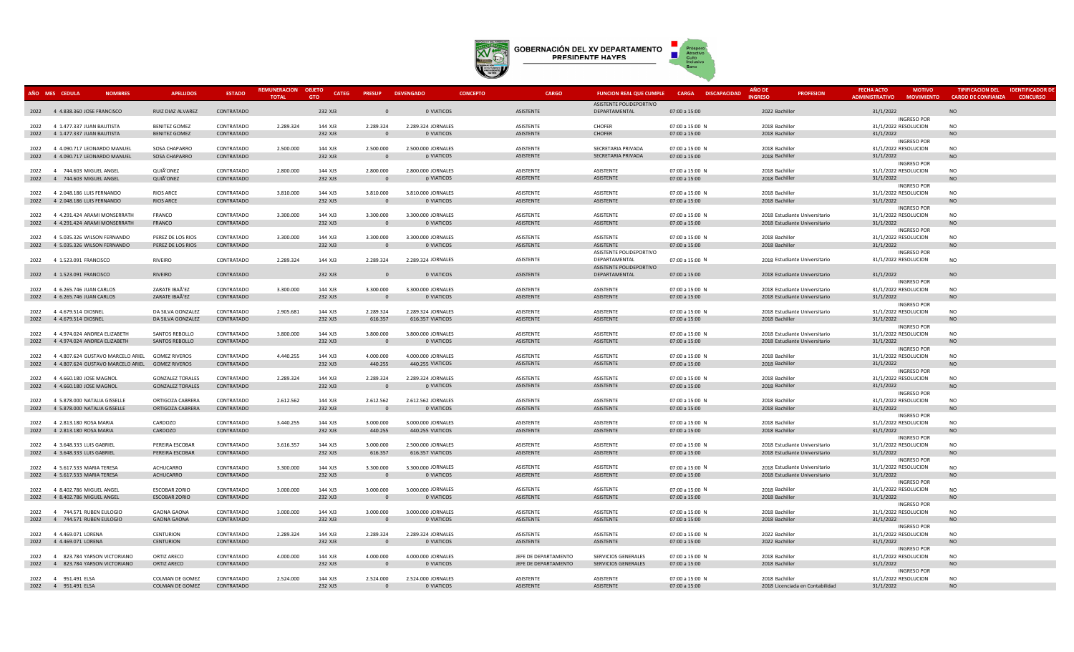

|                | AÑO MES CEDULA<br><b>NOMBRES</b>                 | <b>APELLIDOS</b>                         | <b>ESTADO</b>            | <b>REMUNERACION</b><br><b>TOTAL</b> | <b>OBJETO</b><br><b>CATEG</b><br><b>GTO</b> | <b>PRESUP</b>            | <b>DEVENGADO</b>                 | <b>CONCEPTO</b> | <b>CARGO</b>                  | <b>FUNCION REAL QUE CUMPLE</b>           | <b>CARGA</b><br><b>DISCAPACIDAD</b> | <b>AÑO DE</b><br><b>INGRESO</b>  | <b>PROFESION</b>                | <b>FECHA ACTO</b><br><b>ADMINISTRATIVO</b> | <b>MOTIVO</b><br><b>MOVIMIENTO</b> | <b>TIPIFICACION DEL</b><br><b>CARGO DE CONFIANZA</b> | <b>IDENTIFICADOR D</b><br><b>CONCURSO</b> |
|----------------|--------------------------------------------------|------------------------------------------|--------------------------|-------------------------------------|---------------------------------------------|--------------------------|----------------------------------|-----------------|-------------------------------|------------------------------------------|-------------------------------------|----------------------------------|---------------------------------|--------------------------------------------|------------------------------------|------------------------------------------------------|-------------------------------------------|
|                |                                                  |                                          |                          |                                     |                                             |                          |                                  |                 |                               | ASISTENTE POLIDEPORTIVO                  |                                     |                                  |                                 |                                            |                                    |                                                      |                                           |
|                | 2022 4 4.838.360 JOSE FRANCISCO                  | RUIZ DIAZ ALVAREZ                        | CONTRATADO               |                                     | 232 XJ3                                     | $\Omega$                 | 0 VIATICOS                       |                 | ASISTENTE                     | DEPARTAMENTAL                            | 07:00 a 15:00                       | 2022 Bachiller                   |                                 | 31/1/2022                                  |                                    | <b>NO</b>                                            |                                           |
|                |                                                  |                                          |                          |                                     |                                             |                          |                                  |                 |                               |                                          |                                     |                                  |                                 |                                            | <b>INGRESO POR</b>                 |                                                      |                                           |
| 2022           | 4 1.477.337 JUAN BAUTISTA                        | <b>BENITEZ GOMEZ</b>                     | CONTRATADO               | 2.289.324                           | 144 XJ3                                     | 2.289.324                | 2.289.324 JORNALES               |                 | ASISTENTE                     | CHOFFR                                   | 07:00 a 15:00 N                     | 2018 Bachiller                   |                                 | 31/1/2022 RESOLUCION                       |                                    | <b>NO</b>                                            |                                           |
| 2022           | 4 1.477.337 JUAN BAUTISTA                        | BENITEZ GOMEZ                            | CONTRATADO               |                                     | 232 XJ3                                     | $\overline{0}$           | 0 VIATICOS                       |                 | ASISTENTE                     | <b>CHOFER</b>                            | 07:00 a 15:00                       | 2018 Bachiller                   |                                 | 31/1/2022                                  |                                    | <b>NO</b>                                            |                                           |
| 2022           | 4 4.090.717 LEONARDO MANUEL                      | <b>SOSA CHAPARRO</b>                     | CONTRATADO               | 2.500.000                           | 144 XJ3                                     | 2.500.000                | 2.500.000 JORNALES               |                 | ASISTENTE                     | SECRETARIA PRIVADA                       | 07:00 a 15:00 N                     | 2018 Bachiller                   |                                 | 31/1/2022 RESOLUCION                       | INGRESO POR                        | <b>NO</b>                                            |                                           |
| 2022           | 4 4.090.717 LEONARDO MANUEL                      | SOSA CHAPARRO                            | CONTRATADO               |                                     | 232 XJ3                                     | $\overline{0}$           | 0 VIATICOS                       |                 | ASISTENTE                     | SECRETARIA PRIVADA                       | 07:00 a 15:00                       | 2018 Bachiller                   |                                 | 31/1/2022                                  |                                    | <b>NO</b>                                            |                                           |
|                |                                                  |                                          |                          |                                     |                                             |                          |                                  |                 |                               |                                          |                                     |                                  |                                 |                                            | INGRESO POR                        |                                                      |                                           |
| 2022           | 4 744.603 MIGUEL ANGEL                           | QUIÃ'ONEZ                                | CONTRATADO               | 2.800.000                           | 144 XJ3                                     | 2.800.000                | 2.800.000 JORNALES               |                 | ASISTENTE                     | ASISTENTE                                | 07:00 a 15:00 N                     | 2018 Bachiller                   |                                 | 31/1/2022 RESOLUCION                       |                                    | <b>NO</b>                                            |                                           |
| 2022           | 4 744.603 MIGUEL ANGEL                           | QUIÃ'ONEZ                                | CONTRATADO               |                                     | 232 XJ3                                     | $\overline{0}$           | 0 VIATICOS                       |                 | ASISTENTE                     | ASISTENTE                                | 07:00 a 15:00                       | 2018 Bachiller                   |                                 | 31/1/2022                                  |                                    | <b>NO</b>                                            |                                           |
|                |                                                  |                                          |                          |                                     |                                             |                          |                                  |                 |                               |                                          |                                     |                                  |                                 |                                            | <b>INGRESO POR</b>                 |                                                      |                                           |
| 2022           | 4 2.048.186 LUIS FERNANDO                        | <b>RIOS ARCE</b>                         | CONTRATADO               | 3.810.000                           | 144 XJ3                                     | 3.810.000                | 3.810.000 JORNALES               |                 | <b>ASISTENTE</b>              | <b>ASISTENTE</b>                         | 07:00 a 15:00 N                     | 2018 Bachiller                   |                                 | 31/1/2022 RESOLUCION                       |                                    | <b>NO</b>                                            |                                           |
| 2022           | 4 2.048.186 LUIS FERNANDO                        | RIOS ARCE                                | CONTRATADO               |                                     | 232 XJ3                                     | $\Omega$                 | 0 VIATICOS                       |                 | ASISTENTE                     | ASISTENTE                                | 07:00 a 15:00                       | 2018 Bachiller                   |                                 | 31/1/2022                                  | <b>INGRESO POR</b>                 | <b>NO</b>                                            |                                           |
|                | 2022 4 4.291.424 ARAMI MONSERRATH                | <b>FRANCO</b>                            | CONTRATADO               | 3.300.000                           | 144 X13                                     | 3.300.000                | 3.300.000 JORNALES               |                 | <b>ASISTENTE</b>              | <b>ASISTENTE</b>                         | 07:00 a 15:00 N                     |                                  | 2018 Estudiante Universitario   | 31/1/2022 RESOLUCION                       |                                    | <b>NO</b>                                            |                                           |
| 2022           | 4 4.291.424 ARAMI MONSERRATH                     | FRANCO                                   | CONTRATADO               |                                     | 232 XJ3                                     | $\Omega$                 | 0 VIATICOS                       |                 | ASISTENTE                     | <b>ASISTENTE</b>                         | 07:00 a 15:00                       |                                  | 2018 Estudiante Universitario   | 31/1/2022                                  |                                    | <b>NO</b>                                            |                                           |
|                |                                                  |                                          |                          |                                     |                                             |                          |                                  |                 |                               |                                          |                                     |                                  |                                 |                                            | <b>INGRESO POR</b>                 |                                                      |                                           |
| 2022           | 4 5.035.326 WILSON FERNANDO                      | PEREZ DE LOS RIOS                        | CONTRATADO               | 3.300.000                           | 144 XJ3                                     | 3.300.000                | 3.300.000 JORNALES               |                 | ASISTENTE                     | ASISTENTE                                | 07:00 a 15:00 N                     | 2018 Bachiller                   |                                 | 31/1/2022 RESOLUCION                       |                                    | <b>NO</b>                                            |                                           |
| 2022           | 4 5.035.326 WILSON FERNANDO                      | PEREZ DE LOS RIOS                        | CONTRATADO               |                                     | 232 XJ3                                     | $\overline{0}$           | 0 VIATICOS                       |                 | ASISTENTE                     | <b>ASISTENTE</b>                         | 07:00 a 15:00                       | 2018 Bachiller                   |                                 | 31/1/2022                                  |                                    | <b>NO</b>                                            |                                           |
|                |                                                  |                                          |                          |                                     |                                             |                          |                                  |                 |                               | ASISTENTE POLIDEPORTIVO                  |                                     |                                  |                                 |                                            | <b>INGRESO POR</b>                 |                                                      |                                           |
| 2022           | 4 1.523.091 FRANCISCO                            | RIVEIRO                                  | CONTRATADO               | 2.289.324                           | 144 XJ3                                     | 2.289.324                | 2.289.324 JORNALES               |                 | ASISTENTE                     | DEPARTAMENTAL<br>ASISTENTE POLIDEPORTIVO | 07:00 a 15:00 N                     |                                  | 2018 Estudiante Universitario   | 31/1/2022 RESOLUCION                       |                                    | <b>NO</b>                                            |                                           |
| 2022           | 4 1.523.091 FRANCISCO                            | RIVEIRO                                  | CONTRATADO               |                                     | 232 XJ3                                     | $\Omega$                 | 0 VIATICOS                       |                 | ASISTENTE                     | DEPARTAMENTAL                            | 07:00 a 15:00                       |                                  | 2018 Estudiante Universitario   | 31/1/2022                                  |                                    | <b>NO</b>                                            |                                           |
|                |                                                  |                                          |                          |                                     |                                             |                          |                                  |                 |                               |                                          |                                     |                                  |                                 |                                            | <b>INGRESO POR</b>                 |                                                      |                                           |
| 2022           | 4 6.265.746 JUAN CARLOS                          | ZARATE IBAÃ'EZ                           | CONTRATADO               | 3.300.000                           | 144 XJ3                                     | 3.300.000                | 3.300.000 JORNALES               |                 | ASISTENTE                     | ASISTENTE                                | 07:00 a 15:00 N                     |                                  | 2018 Estudiante Universitario   | 31/1/2022 RESOLUCION                       |                                    | <b>NO</b>                                            |                                           |
| 2022           | 4 6.265.746 JUAN CARLOS                          | ZARATE IBAÃ'EZ                           | CONTRATADO               |                                     | 232 XJ3                                     | $\overline{0}$           | 0 VIATICOS                       |                 | ASISTENTE                     | ASISTENTE                                | 07:00 a 15:00                       |                                  | 2018 Estudiante Universitario   | 31/1/2022                                  |                                    | <b>NO</b>                                            |                                           |
|                |                                                  |                                          |                          |                                     |                                             |                          |                                  |                 |                               |                                          |                                     |                                  |                                 |                                            | <b>INGRESO POR</b>                 |                                                      |                                           |
| 2022           | 4 4.679.514 DIOSNEL                              | DA SILVA GONZALEZ                        | CONTRATADO               | 2.905.681                           | 144 XJ3                                     | 2.289.324                | 2.289.324 JORNALES               |                 | ASISTENTE                     | ASISTENTE                                | 07:00 a 15:00 N                     |                                  | 2018 Estudiante Universitario   | 31/1/2022 RESOLUCION                       |                                    | <b>NO</b>                                            |                                           |
| 2022           | 4 4.679.514 DIOSNEL                              | DA SILVA GONZALEZ                        | CONTRATADO               |                                     | 232 XJ3                                     | 616.357                  | 616.357 VIATICOS                 |                 | ASISTENTE                     | ASISTENTE                                | 07:00 a 15:00                       | 2018 Bachiller                   |                                 | 31/1/2022                                  |                                    | <b>NO</b>                                            |                                           |
| 2022           | 4 4.974.024 ANDREA ELIZABETH                     | SANTOS REBOLLO                           | CONTRATADO               | 3.800.000                           | 144 XJ3                                     | 3.800.000                | 3.800.000 JORNALES               |                 | ASISTENTE                     | ASISTENTE                                | 07:00 a 15:00 N                     |                                  | 2018 Estudiante Universitario   | 31/1/2022 RESOLUCION                       | <b>INGRESO POR</b>                 | <b>NO</b>                                            |                                           |
| 2022           | 4 4.974.024 ANDREA ELIZABETH                     | SANTOS REBOLLO                           | CONTRATADO               |                                     | 232 XJ3                                     | $\Omega$                 | 0 VIATICOS                       |                 | ASISTENTE                     | ASISTENTE                                | 07:00 a 15:00                       |                                  | 2018 Estudiante Universitario   | 31/1/2022                                  |                                    | <b>NO</b>                                            |                                           |
|                |                                                  |                                          |                          |                                     |                                             |                          |                                  |                 |                               |                                          |                                     |                                  |                                 |                                            | INGRESO POR                        |                                                      |                                           |
| 2022           | 4 4.807.624 GUSTAVO MARCELO ARIEL                | <b>GOMEZ RIVEROS</b>                     | CONTRATADO               | 4.440.255                           | 144 XJ3                                     | 4.000.000                | 4.000.000 JORNALES               |                 | ASISTENTE                     | ASISTENTE                                | 07:00 a 15:00 N                     | 2018 Bachiller                   |                                 | 31/1/2022 RESOLUCION                       |                                    | <b>NO</b>                                            |                                           |
| 2022           | 4 4.807.624 GUSTAVO MARCELO ARIEL                | <b>GOMEZ RIVEROS</b>                     | CONTRATADO               |                                     | 232 XJ3                                     | 440.255                  | 440.255 VIATICOS                 |                 | ASISTENTE                     | ASISTENTE                                | 07:00 a 15:00                       | 2018 Bachiller                   |                                 | 31/1/2022                                  |                                    | <b>NO</b>                                            |                                           |
|                |                                                  |                                          |                          |                                     |                                             |                          |                                  |                 |                               |                                          |                                     |                                  |                                 |                                            | <b>INGRESO POR</b>                 |                                                      |                                           |
| 2022           | 4 4.660.180 JOSE MAGNOL                          | <b>GONZALEZ TORALES</b>                  | CONTRATADO               | 2.289.324                           | 144 XJ3                                     | 2.289.324                | 2.289.324 JORNALES               |                 | <b>ASISTENTE</b>              | <b>ASISTENTE</b>                         | 07:00 a 15:00 N                     | 2018 Bachiller                   |                                 | 31/1/2022 RESOLUCION                       |                                    | <b>NO</b>                                            |                                           |
| 2022           | 4 4.660.180 JOSE MAGNOL                          | <b>GONZALEZ TORALES</b>                  | CONTRATADO               |                                     | 232 XJ3                                     | $\overline{0}$           | 0 VIATICOS                       |                 | ASISTENTE                     | ASISTENTE                                | 07:00 a 15:00                       | 2018 Bachiller                   |                                 | 31/1/2022                                  |                                    | <b>NO</b>                                            |                                           |
|                | 2022 4 5.878,000 NATALIA GISSELLE                | ORTIGOZA CABRERA                         | CONTRATADO               | 2.612.562                           | 144 XJ3                                     | 2.612.562                | 2.612.562 JORNALES               |                 | <b>ASISTENTE</b>              | <b>ASISTENTE</b>                         | 07:00 a 15:00 N                     | 2018 Bachiller                   |                                 | 31/1/2022 RESOLUCION                       | <b>INGRESO POR</b>                 | <b>NO</b>                                            |                                           |
|                | 2022 4 5.878.000 NATALIA GISSELLE                | ORTIGOZA CABRERA                         | CONTRATADO               |                                     | 232 XJ3                                     | $\overline{\phantom{0}}$ | 0 VIATICOS                       |                 | ASISTENTE                     | ASISTENTE                                | 07:00 a 15:00                       | 2018 Bachiller                   |                                 | 31/1/2022                                  |                                    | <b>NO</b>                                            |                                           |
|                |                                                  |                                          |                          |                                     |                                             |                          |                                  |                 |                               |                                          |                                     |                                  |                                 |                                            | <b>INGRESO POR</b>                 |                                                      |                                           |
| 2022           | 4 2.813.180 ROSA MARIA                           | CARDOZO                                  | CONTRATADO               | 3.440.255                           | 144 XJ3                                     | 3.000.000                | 3.000.000 JORNALES               |                 | ASISTENTE                     | ASISTENTE                                | 07:00 a 15:00 N                     | 2018 Bachiller                   |                                 | 31/1/2022 RESOLUCION                       |                                    | <b>NO</b>                                            |                                           |
| 2022           | 4 2.813.180 ROSA MARIA                           | CARDOZO                                  | CONTRATADO               |                                     | 232 XJ3                                     | 440.255                  | 440.255 VIATICOS                 |                 | ASISTENTE                     | ASISTENTE                                | 07:00 a 15:00                       | 2018 Bachiller                   |                                 | 31/1/2022                                  |                                    | <b>NO</b>                                            |                                           |
|                |                                                  |                                          |                          |                                     |                                             |                          |                                  |                 |                               |                                          |                                     |                                  |                                 |                                            | <b>INGRESO POR</b>                 |                                                      |                                           |
| 2022           | 4 3.648.333 LUIS GABRIEL                         | PEREIRA ESCOBAR                          | CONTRATADO               | 3.616.357                           | 144 XJ3                                     | 3.000.000                | 2.500.000 JORNALES               |                 | ASISTENTE                     | ASISTENTE                                | 07:00 a 15:00 N                     |                                  | 2018 Estudiante Universitario   | 31/1/2022 RESOLUCION                       |                                    | <b>NO</b>                                            |                                           |
| 2022           | 4 3.648.333 LUIS GABRIEL                         | PEREIRA ESCOBAR                          | CONTRATADO               |                                     | 232 XJ3                                     | 616.357                  | 616.357 VIATICOS                 |                 | ASISTENTE                     | <b>ASISTENTE</b>                         | 07:00 a 15:00                       |                                  | 2018 Estudiante Universitario   | 31/1/2022                                  | <b>INGRESO POR</b>                 | <b>NO</b>                                            |                                           |
| 2022           | 4 5.617.533 MARIA TERESA                         | <b>ACHUCARRO</b>                         | CONTRATADO               | 3.300.000                           | 144 XJ3                                     | 3.300.000                | 3.300.000 JORNALES               |                 | ASISTENTE                     | ASISTENTE                                | 07:00 a 15:00 N                     |                                  | 2018 Estudiante Universitario   | 31/1/2022 RESOLUCION                       |                                    | <b>NO</b>                                            |                                           |
| 2022           | 4 5.617.533 MARIA TERESA                         | ACHUCARRO                                | CONTRATADO               |                                     | 232 XJ3                                     | $\overline{0}$           | 0 VIATICOS                       |                 | ASISTENTE                     | ASISTENTE                                | 07:00 a 15:00                       |                                  | 2018 Estudiante Universitario   | 31/1/2022                                  |                                    | <b>NO</b>                                            |                                           |
|                |                                                  |                                          |                          |                                     |                                             |                          |                                  |                 |                               |                                          |                                     |                                  |                                 |                                            | <b>INGRESO POR</b>                 |                                                      |                                           |
| 2022           | 4 8.402.786 MIGUEL ANGEL                         | <b>ESCOBAR ZORIO</b>                     | CONTRATADO               | 3.000.000                           | 144 XJ3                                     | 3.000.000                | 3.000.000 JORNALES               |                 | ASISTENTE                     | ASISTENTE                                | 07:00 a 15:00 N                     | 2018 Bachiller                   |                                 | 31/1/2022 RESOLUCION                       |                                    | <b>NO</b>                                            |                                           |
| 2022           | 4 8.402.786 MIGUEL ANGEL                         | ESCOBAR ZORIO                            | CONTRATADO               |                                     | 232 XJ3                                     | $\overline{0}$           | 0 VIATICOS                       |                 | ASISTENTE                     | ASISTENTE                                | 07:00 a 15:00                       | 2018 Bachiller                   |                                 | 31/1/2022                                  |                                    | <b>NO</b>                                            |                                           |
|                |                                                  |                                          |                          |                                     |                                             |                          |                                  |                 |                               |                                          |                                     |                                  |                                 |                                            | <b>INGRESO POR</b>                 |                                                      |                                           |
| 2022<br>2022 4 | 4 744.571 RUBEN EULOGIO<br>744.571 RUBEN EULOGIO | <b>GAONA GAONA</b><br><b>GAONA GAONA</b> | CONTRATADO<br>CONTRATADO | 3.000.000                           | 144 XJ3<br>232 XJ3                          | 3.000.000<br>$\Omega$    | 3.000.000 JORNALES<br>0 VIATICOS |                 | <b>ASISTENTE</b><br>ASISTENTE | <b>ASISTENTE</b><br><b>ASISTENTE</b>     | 07:00 a 15:00 N<br>07:00 a 15:00    | 2018 Bachiller<br>2018 Bachiller |                                 | 31/1/2022 RESOLUCION<br>31/1/2022          |                                    | <b>NO</b><br><b>NO</b>                               |                                           |
|                |                                                  |                                          |                          |                                     |                                             |                          |                                  |                 |                               |                                          |                                     |                                  |                                 |                                            | <b>INGRESO POR</b>                 |                                                      |                                           |
| 2022           | 4 4.469.071 LORENA                               | <b>CENTURION</b>                         | CONTRATADO               | 2.289.324                           | 144 XJ3                                     | 2.289.324                | 2.289.324 JORNALES               |                 | ASISTENTE                     | ASISTENTE                                | 07:00 a 15:00 N                     | 2022 Bachiller                   |                                 | 31/1/2022 RESOLUCION                       |                                    | <b>NO</b>                                            |                                           |
| 2022           | 4 4.469.071 LORENA                               | <b>CENTURION</b>                         | CONTRATADO               |                                     | 232 XJ3                                     | $\overline{0}$           | 0 VIATICOS                       |                 | ASISTENTE                     | ASISTENTE                                | 07:00 a 15:00                       | 2022 Bachiller                   |                                 | 31/1/2022                                  |                                    | <b>NO</b>                                            |                                           |
|                |                                                  |                                          |                          |                                     |                                             |                          |                                  |                 |                               |                                          |                                     |                                  |                                 |                                            | <b>INGRESO POR</b>                 |                                                      |                                           |
| 2022           | 4 823.784 YARSON VICTORIANO                      | ORTIZ ARECO                              | CONTRATADO               | 4.000.000                           | 144 XJ3                                     | 4.000.000                | 4.000.000 JORNALES               |                 | JEFE DE DEPARTAMENTO          | SERVICIOS GENERALES                      | 07:00 a 15:00 N                     | 2018 Bachiller                   |                                 | 31/1/2022 RESOLUCION                       |                                    | <b>NO</b>                                            |                                           |
|                | 2022 4 823.784 YARSON VICTORIANO                 | ORTIZ ARECO                              | CONTRATADO               |                                     | 232 XJ3                                     | $\Omega$                 | 0 VIATICOS                       |                 | JEFE DE DEPARTAMENTO          | SERVICIOS GENERALES                      | 07:00 a 15:00                       | 2018 Bachiller                   |                                 | 31/1/2022                                  |                                    | <b>NO</b>                                            |                                           |
|                |                                                  |                                          |                          | 2.524.000                           | 144 XJ3                                     |                          |                                  |                 |                               |                                          |                                     |                                  |                                 |                                            | <b>INGRESO POR</b>                 | <b>NO</b>                                            |                                           |
|                | 2022 4 951.491 ELSA                              | COLMAN DE GOMEZ                          | CONTRATADO<br>CONTRATADO |                                     |                                             | 2.524.000<br>$\Omega$    | 2.524.000 JORNALES<br>0 VIATICOS |                 | ASISTENTE<br><b>ASISTENTE</b> | <b>ASISTENTE</b><br><b>ASISTENTE</b>     | 07:00 a 15:00 N                     | 2018 Bachiller                   | 2018 Licenciada en Contabilidad | 31/1/2022 RESOLUCION<br>31/1/2022          |                                    | <b>NO</b>                                            |                                           |
|                | 2022 4 951.491 ELSA                              | COLMAN DE GOMEZ                          |                          |                                     | 232 XJ3                                     |                          |                                  |                 |                               |                                          | 07:00 a 15:00                       |                                  |                                 |                                            |                                    |                                                      |                                           |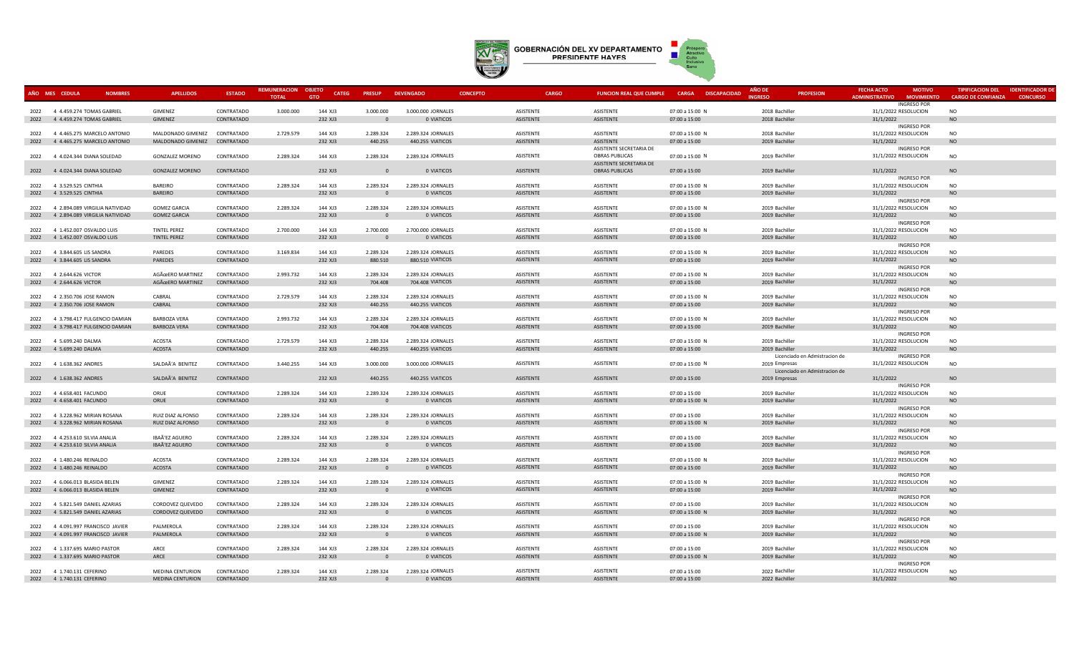

|      | AÑO MES CEDULA<br><b>NOMBRES</b>                | <b>APELLIDOS</b>             | <b>ESTADO</b>            | REMUNERACION | <b>OBJETO</b><br><b>CATEG</b> | <b>PRESUP</b>         | <b>DEVENGADO</b>                 | <b>CONCEPTO</b>               | <b>CARGO</b> | <b>FUNCION REAL QUE CUMPLE</b>       | <b>CARGA DISCAPACIDAD</b> | AÑO DE                           | <b>PROFESION</b>              | <b>FECHA ACTO</b>     | <b>MOTIVO</b>                              | <b>TIPIFICACION DEL</b>   | <b>IDENTIFICADOR D</b> |
|------|-------------------------------------------------|------------------------------|--------------------------|--------------|-------------------------------|-----------------------|----------------------------------|-------------------------------|--------------|--------------------------------------|---------------------------|----------------------------------|-------------------------------|-----------------------|--------------------------------------------|---------------------------|------------------------|
|      |                                                 |                              |                          | <b>TOTAL</b> | <b>GTO</b>                    |                       |                                  |                               |              |                                      |                           | <b>NGRESC</b>                    |                               | <b>ADMINISTRATIVO</b> | <b>MOVIMIENTO</b>                          | <b>CARGO DE CONFIANZA</b> | <b>CONCURSO</b>        |
|      | 2022 4 4.459.274 TOMAS GABRIEL                  | <b>GIMENEZ</b>               | CONTRATADO               | 3.000.000    | 144 XJ3                       | 3.000.000             | 3.000.000 JORNALES               | ASISTENTE                     |              | ASISTENTE                            | 07:00 a 15:00 N           | 2018 Bachiller                   |                               |                       | <b>INGRESO POR</b><br>31/1/2022 RESOLUCION | <b>NO</b>                 |                        |
|      | 2022 4 4.459.274 TOMAS GABRIEL                  | GIMENEZ                      | CONTRATADO               |              | 232 XJ3                       | $\Omega$              | 0 VIATICOS                       | ASISTENTE                     |              | ASISTENTE                            | 07:00 a 15:00             | 2018 Bachiller                   |                               | 31/1/2022             |                                            | <b>NO</b>                 |                        |
|      |                                                 |                              |                          |              |                               |                       |                                  |                               |              |                                      |                           |                                  |                               |                       | <b>INGRESO POR</b>                         |                           |                        |
|      | 2022 4 4.465.275 MARCELO ANTONIO                | MALDONADO GIMENEZ            | CONTRATADO               | 2.729.579    | 144 XJ3                       | 2.289.324             | 2.289.324 JORNALES               | <b>ASISTENTE</b>              |              | <b>ASISTENTE</b>                     | 07:00 a 15:00 N           | 2018 Bachiller                   |                               |                       | 31/1/2022 RESOLUCION                       | <b>NO</b>                 |                        |
| 2022 | 4 4.465.275 MARCELO ANTONIO                     | MALDONADO GIMENEZ CONTRATADO |                          |              | 232 XJ3                       | 440.255               | 440.255 VIATICOS                 | ASISTENTE                     |              | <b>ASISTENTE</b>                     | 07:00 a 15:00             | 2019 Bachiller                   |                               | 31/1/2022             |                                            | <b>NO</b>                 |                        |
|      |                                                 |                              |                          |              |                               |                       |                                  |                               |              | ASISTENTE SECRETARIA DE              |                           |                                  |                               |                       | <b>INGRESO POR</b>                         |                           |                        |
| 2022 | 4 4.024.344 DIANA SOLEDAD                       | <b>GONZALEZ MORENO</b>       | CONTRATADO               | 2.289.324    | 144 XJ3                       | 2.289.324             | 2.289.324 JORNALES               | ASISTENTE                     |              | <b>OBRAS PUBLICAS</b>                | 07:00 a 15:00 N           | 2019 Bachiller                   |                               | 31/1/2022 RESOLUCION  |                                            | <b>NO</b>                 |                        |
|      |                                                 |                              |                          |              |                               |                       |                                  |                               |              | ASISTENTE SECRETARIA DE              |                           |                                  |                               |                       |                                            |                           |                        |
|      | 2022 4 4.024.344 DIANA SOLEDAD                  | <b>GONZALEZ MORENO</b>       | CONTRATADO               |              | 232 XJ3                       | $\Omega$              | 0 VIATICOS                       | ASISTENTE                     |              | <b>OBRAS PUBLICAS</b>                | 07:00 a 15:00             | 2019 Bachiller                   |                               | 31/1/2022             |                                            | <b>NO</b>                 |                        |
|      |                                                 |                              |                          |              |                               |                       |                                  |                               |              |                                      |                           |                                  |                               |                       | <b>INGRESO POR</b>                         |                           |                        |
| 2022 | 4 3.529.525 CINTHIA                             | <b>BAREIRO</b>               | CONTRATADO               | 2.289.324    | 144 XJ3                       | 2.289.324             | 2.289.324 JORNALES               | ASISTENTE                     |              | ASISTENTE                            | 07:00 a 15:00 N           | 2019 Bachiller                   |                               |                       | 31/1/2022 RESOLUCION                       | <b>NO</b>                 |                        |
| 2022 | 4 3.529.525 CINTHIA                             | <b>BAREIRO</b>               | CONTRATADO               |              | 232 XJ3                       | $\Omega$              | 0 VIATICOS                       | ASISTENTE                     |              | ASISTENTE                            | 07:00 a 15:00             | 2019 Bachiller                   |                               | 31/1/2022             |                                            | <b>NO</b>                 |                        |
|      |                                                 |                              |                          |              |                               |                       |                                  |                               |              |                                      |                           |                                  |                               |                       | <b>INGRESO POR</b>                         |                           |                        |
| 2022 | 4 2.894.089 VIRGILIA NATIVIDAD                  | <b>GOMEZ GARCIA</b>          | CONTRATADO               | 2.289.324    | 144 XJ3                       | 2.289.324             | 2.289.324 JORNALES               | ASISTENTE                     |              | <b>ASISTENTE</b>                     | 07:00 a 15:00 N           | 2019 Bachiller                   |                               |                       | 31/1/2022 RESOLUCION                       | <b>NO</b>                 |                        |
| 2022 | 4 2.894.089 VIRGILIA NATIVIDAD                  | <b>GOMEZ GARCIA</b>          | CONTRATADO               |              | 232 XJ3                       | $\Omega$              | 0 VIATICOS                       | ASISTENTE                     |              | <b>ASISTENTE</b>                     | 07:00 a 15:00             | 2019 Bachiller                   |                               | 31/1/2022             |                                            | <b>NO</b>                 |                        |
|      |                                                 |                              |                          |              |                               |                       |                                  |                               |              |                                      |                           |                                  |                               |                       | <b>INGRESO POR</b>                         |                           |                        |
|      | 2022 4 1.452.007 OSVALDO LUIS                   | <b>TINTEL PEREZ</b>          | CONTRATADO               | 2.700.000    | 144 XJ3                       | 2.700.000             | 2,700,000 JORNALES               | <b>ASISTENTE</b>              |              | <b>ASISTENTE</b>                     | 07:00 a 15:00 N           | 2019 Bachiller                   |                               |                       | 31/1/2022 RESOLUCION                       | <b>NO</b>                 |                        |
|      | 2022 4 1.452.007 OSVALDO LUIS                   | TINTEL PEREZ                 | CONTRATADO               |              | 232 XJ3                       | $\Omega$              | 0 VIATICOS                       | ASISTENTE                     |              | ASISTENTE                            | 07:00 a 15:00             | 2019 Bachiller                   |                               | 31/1/2022             |                                            | <b>NO</b>                 |                        |
|      |                                                 |                              |                          |              |                               |                       |                                  |                               |              |                                      |                           |                                  |                               |                       | <b>INGRESO POR</b>                         |                           |                        |
| 2022 | 4 3.844.605 LIS SANDRA                          | PAREDES                      | CONTRATADO               | 3.169.834    | 144 XJ3                       | 2.289.324             | 2.289.324 JORNALES               | ASISTENTE                     |              | <b>ASISTENTE</b>                     | 07:00 a 15:00 N           | 2019 Bachiller                   |                               |                       | 31/1/2022 RESOLUCION                       | <b>NO</b>                 |                        |
| 2022 | 4 3.844.605 LIS SANDRA                          | PAREDES                      | CONTRATADO               |              | 232 XJ3                       | 880.510               | 880.510 VIATICOS                 | <b>ASISTENTE</b>              |              | ASISTENTE                            | 07:00 a 15:00             | 2019 Bachiller                   |                               | 31/1/2022             |                                            | NO                        |                        |
| 2022 | 4 2.644.626 VICTOR                              | AGÜERO MARTINEZ              | CONTRATADO               | 2.993.732    | 144 XJ3                       | 2.289.324             | 2.289.324 JORNALES               | <b>ASISTENTE</b>              |              | <b>ASISTENTE</b>                     | 07:00 a 15:00 N           | 2019 Bachiller                   |                               |                       | <b>INGRESO POR</b><br>31/1/2022 RESOLUCION | <b>NO</b>                 |                        |
| 2022 | 4 2.644.626 VICTOR                              | AGÜERO MARTINEZ              | CONTRATADO               |              | 232 XJ3                       | 704.408               | 704.408 VIATICOS                 | ASISTENTE                     |              | <b>ASISTENTE</b>                     | 07:00 a 15:00             | 2019 Bachiller                   |                               | 31/1/2022             |                                            | <b>NO</b>                 |                        |
|      |                                                 |                              |                          |              |                               |                       |                                  |                               |              |                                      |                           |                                  |                               |                       | <b>INGRESO POR</b>                         |                           |                        |
| 2022 | 4 2.350.706 JOSE RAMON                          | CABRAL                       | CONTRATADO               | 2.729.579    | 144 XJ3                       | 2.289.324             | 2.289.324 JORNALES               | ASISTENTE                     |              | ASISTENTE                            | 07:00 a 15:00 N           | 2019 Bachiller                   |                               |                       | 31/1/2022 RESOLUCION                       | <b>NO</b>                 |                        |
|      | 2022 4 2.350.706 JOSE RAMON                     | CABRAL                       | CONTRATADO               |              | 232 XJ3                       | 440.255               | 440.255 VIATICOS                 | ASISTENTE                     |              | ASISTENTE                            | 07:00 a 15:00             | 2019 Bachiller                   |                               | 31/1/2022             |                                            | <b>NO</b>                 |                        |
|      |                                                 |                              |                          |              |                               |                       |                                  |                               |              |                                      |                           |                                  |                               |                       | <b>INGRESO POR</b>                         |                           |                        |
| 2022 | 4 3.798.417 FULGENCIO DAMIAN                    | <b>BARBOZA VERA</b>          | CONTRATADO               | 2.993.732    | 144 XJ3                       | 2.289.324             | 2.289.324 JORNALES               | ASISTENTE                     |              | ASISTENTE                            | 07:00 a 15:00 N           | 2019 Bachiller                   |                               |                       | 31/1/2022 RESOLUCION                       | <b>NO</b>                 |                        |
| 2022 | 4 3.798.417 FULGENCIO DAMIAN                    | <b>BARBOZA VERA</b>          | CONTRATADO               |              | 232 XJ3                       | 704.408               | 704.408 VIATICOS                 | <b>ASISTENTE</b>              |              | <b>ASISTENTE</b>                     | 07:00 a 15:00             | 2019 Bachiller                   |                               | 31/1/2022             |                                            | <b>NO</b>                 |                        |
|      |                                                 |                              |                          |              |                               |                       |                                  |                               |              |                                      |                           |                                  |                               |                       | <b>INGRESO POR</b>                         |                           |                        |
| 2022 | 4 5.699.240 DALMA                               | ACOSTA                       | CONTRATADO               | 2.729.579    | 144 XJ3                       | 2.289.324             | 2.289.324 JORNALES               | ASISTENTE                     |              | ASISTENTE                            | 07:00 a 15:00 N           | 2019 Bachiller                   |                               |                       | 31/1/2022 RESOLUCION                       | <b>NO</b>                 |                        |
|      | 2022 4 5.699.240 DALMA                          | ACOSTA                       | CONTRATADO               |              | 232 XJ3                       | 440.255               | 440.255 VIATICOS                 | ASISTENTE                     |              | <b>ASISTENTE</b>                     | 07:00 a 15:00             | 2019 Bachiller                   |                               | 31/1/2022             |                                            | <b>NO</b>                 |                        |
|      |                                                 |                              |                          |              |                               |                       |                                  |                               |              |                                      |                           |                                  | Licenciado en Admistracion de |                       | <b>INGRESO POR</b>                         |                           |                        |
|      | 2022 4 1.638.362 ANDRES                         | SALDAÃ'A BENITEZ             | CONTRATADO               | 3.440.255    | 144 XJ3                       | 3.000.000             | 3.000.000 JORNALES               | ASISTENTE                     |              | ASISTENTE                            | 07:00 a 15:00 N           | 2019 Empresas                    |                               | 31/1/2022 RESOLUCION  |                                            | <b>NO</b>                 |                        |
|      |                                                 |                              |                          |              |                               |                       |                                  |                               |              |                                      |                           |                                  | Licenciado en Admistracion de |                       |                                            |                           |                        |
|      | 2022 4 1.638.362 ANDRES                         | SALDAÃ'A BENITEZ             | CONTRATADO               |              | 232 XJ3                       | 440.255               | 440.255 VIATICOS                 | <b>ASISTENTE</b>              |              | <b>ASISTENTE</b>                     | 07:00 a 15:00             | 2019 Empresas                    |                               | 31/1/2022             |                                            | <b>NO</b>                 |                        |
|      |                                                 |                              |                          |              |                               |                       |                                  |                               |              |                                      |                           |                                  |                               |                       | <b>INGRESO POR</b>                         |                           |                        |
| 2022 | 4 4.658.401 FACUNDO<br>2022 4 4.658.401 FACUNDO | ORUE<br>ORUE                 | CONTRATADO<br>CONTRATADO | 2.289.324    | 144 XJ3<br>232 XJ3            | 2.289.324<br>$\Omega$ | 2.289.324 JORNALES<br>0 VIATICOS | ASISTENTE<br><b>ASISTENTE</b> |              | ASISTENTE<br><b>ASISTENTE</b>        | 07:00 a 15:00             | 2019 Bachiller<br>2019 Bachiller |                               | 31/1/2022             | 31/1/2022 RESOLUCION                       | <b>NO</b><br><b>NO</b>    |                        |
|      |                                                 |                              |                          |              |                               |                       |                                  |                               |              |                                      | 07:00 a 15:00 N           |                                  |                               |                       | <b>INGRESO POR</b>                         |                           |                        |
| 2022 | 4 3.228.962 MIRIAN ROSANA                       | RUIZ DIAZ ALFONSO            | CONTRATADO               | 2.289.324    | 144 XJ3                       | 2.289.324             | 2.289.324 JORNALES               | ASISTENTE                     |              | ASISTENTE                            | 07:00 a 15:00             | 2019 Bachiller                   |                               |                       | 31/1/2022 RESOLUCION                       | <b>NO</b>                 |                        |
| 2022 | 4 3.228.962 MIRIAN ROSANA                       | RUIZ DIAZ ALFONSO            | CONTRATADO               |              | 232 XJ3                       | $\Omega$              | 0 VIATICOS                       | ASISTENTE                     |              | <b>ASISTENTE</b>                     | 07:00 a 15:00 N           | 2019 Bachiller                   |                               | 31/1/2022             |                                            | <b>NO</b>                 |                        |
|      |                                                 |                              |                          |              |                               |                       |                                  |                               |              |                                      |                           |                                  |                               |                       | <b>INGRESO POR</b>                         |                           |                        |
| 2022 | 4 4.253.610 SILVIA ANALIA                       | IBAÃ'EZ AGUERO               | CONTRATADO               | 2.289.324    | 144 XJ3                       | 2.289.324             | 2.289.324 JORNALES               | <b>ASISTENTE</b>              |              | ASISTENTE                            | 07:00 a 15:00             | 2019 Bachiller                   |                               |                       | 31/1/2022 RESOLUCION                       | <b>NO</b>                 |                        |
| 2022 | 4 4.253.610 SILVIA ANALIA                       | IBAÃ'EZ AGUERO               | CONTRATADO               |              | 232 XJ3                       | $\Omega$              | 0 VIATICOS                       | ASISTENTE                     |              | ASISTENTE                            | 07:00 a 15:00             | 2019 Bachiller                   |                               | 31/1/2022             |                                            | <b>NO</b>                 |                        |
|      |                                                 |                              |                          |              |                               |                       |                                  |                               |              |                                      |                           |                                  |                               |                       | <b>INGRESO POR</b>                         |                           |                        |
| 2022 | 4 1.480.246 REINALDO                            | ACOSTA                       | CONTRATADO               | 2.289.324    | 144 XJ3                       | 2.289.324             | 2.289.324 JORNALES               | ASISTENTE                     |              | ASISTENTE                            | 07:00 a 15:00 N           | 2019 Bachiller                   |                               |                       | 31/1/2022 RESOLUCION                       | <b>NO</b>                 |                        |
| 2022 | 4 1.480.246 REINALDO                            | ACOSTA                       | CONTRATADO               |              | 232 XJ3                       | $\Omega$              | 0 VIATICOS                       | ASISTENTE                     |              | <b>ASISTENTE</b>                     | 07:00 a 15:00             | 2019 Bachiller                   |                               | 31/1/2022             |                                            | <b>NO</b>                 |                        |
|      |                                                 |                              |                          |              |                               |                       |                                  |                               |              |                                      |                           |                                  |                               |                       | <b>INGRESO POR</b>                         |                           |                        |
| 2022 | 4 6.066.013 BLASIDA BELEN                       | GIMENEZ                      | CONTRATADO               | 2.289.324    | 144 XJ3                       | 2.289.324             | 2.289.324 JORNALES               | ASISTENTE                     |              | ASISTENTE                            | 07:00 a 15:00 N           | 2019 Bachiller                   |                               |                       | 31/1/2022 RESOLUCION                       | <b>NO</b>                 |                        |
| 2022 | 4 6.066.013 BLASIDA BELEN                       | GIMENEZ                      | CONTRATADO               |              | 232 XJ3                       | $\Omega$              | 0 VIATICOS                       | ASISTENTE                     |              | ASISTENTE                            | 07:00 a 15:00             | 2019 Bachiller                   |                               | 31/1/2022             |                                            | <b>NO</b>                 |                        |
|      |                                                 |                              |                          |              |                               |                       |                                  |                               |              |                                      |                           |                                  |                               |                       | <b>INGRESO POR</b>                         |                           |                        |
| 2022 | 4 5.821.549 DANIEL AZARIAS                      | CORDOVEZ QUEVEDO             | CONTRATADO               | 2.289.324    | 144 XJ3                       | 2.289.324             | 2.289.324 JORNALES               | ASISTENTE                     |              | ASISTENTE                            | 07:00 a 15:00             | 2019 Bachiller                   |                               |                       | 31/1/2022 RESOLUCION                       | <b>NO</b>                 |                        |
| 2022 | 4 5.821.549 DANIEL AZARIAS                      | CORDOVEZ QUEVEDO             | CONTRATADO               |              | 232 XJ3                       | $\Omega$              | 0 VIATICOS                       | ASISTENTE                     |              | ASISTENTE                            | 07:00 a 15:00 N           | 2019 Bachiller                   |                               | 31/1/2022             |                                            | <b>NO</b>                 |                        |
|      |                                                 |                              |                          |              |                               |                       |                                  |                               |              |                                      |                           |                                  |                               |                       | <b>INGRESO POR</b>                         |                           |                        |
| 2022 | 4 4.091.997 FRANCISCO JAVIER                    | PALMEROLA                    | CONTRATADO               | 2.289.324    | 144 XJ3                       | 2.289.324             | 2.289.324 JORNALES<br>0 VIATICOS | <b>ASISTENTE</b><br>ASISTENTE |              | <b>ASISTENTE</b><br><b>ASISTENTE</b> | 07:00 a 15:00             | 2019 Bachiller                   |                               | 31/1/2022             | 31/1/2022 RESOLUCION                       | <b>NO</b>                 |                        |
| 2022 | 4 4.091.997 FRANCISCO JAVIER                    | PALMEROLA                    | CONTRATADO               |              | 232 XJ3                       | $\Omega$              |                                  |                               |              |                                      | 07:00 a 15:00 N           | 2019 Bachiller                   |                               |                       |                                            | <b>NO</b>                 |                        |
|      | 2022 4 1.337.695 MARIO PASTOR                   | ARCE                         | CONTRATADO               | 2.289.324    | 144 XJ3                       | 2.289.324             | 2.289.324 JORNALES               | <b>ASISTENTE</b>              |              | ASISTENTE                            | 07:00 a 15:00             | 2019 Bachiller                   |                               |                       | <b>INGRESO POR</b>                         | <b>NO</b>                 |                        |
|      | 2022 4 1.337.695 MARIO PASTOR                   | ARCE                         | CONTRATADO               |              | 232 XJ3                       | $\Omega$              | 0 VIATICOS                       | ASISTENTE                     |              | <b>ASISTENTE</b>                     | 07:00 a 15:00 N           | 2019 Bachiller                   |                               | 31/1/2022             | 31/1/2022 RESOLUCION                       | <b>NO</b>                 |                        |
|      |                                                 |                              |                          |              |                               |                       |                                  |                               |              |                                      |                           |                                  |                               |                       | <b>INGRESO POR</b>                         |                           |                        |
|      | 2022 4 1.740.131 CEFERINO                       | <b>MEDINA CENTURION</b>      | CONTRATADO               | 2.289.324    | 144 XJ3                       | 2.289.324             | 2.289.324 JORNALES               | ASISTENTE                     |              | <b>ASISTENTE</b>                     | 07:00 a 15:00             | 2022 Bachiller                   |                               |                       | 31/1/2022 RESOLUCION                       | <b>NO</b>                 |                        |
|      | 2022 4 1.740.131 CEFERINO                       | <b>MEDINA CENTURION</b>      | CONTRATADO               |              | 232 XJ3                       |                       | 0 VIATICOS                       | <b>ASISTENTE</b>              |              | <b>ASISTENTE</b>                     | 07:00 a 15:00             | 2022 Bachiller                   |                               | 31/1/2022             |                                            | <b>NO</b>                 |                        |
|      |                                                 |                              |                          |              |                               |                       |                                  |                               |              |                                      |                           |                                  |                               |                       |                                            |                           |                        |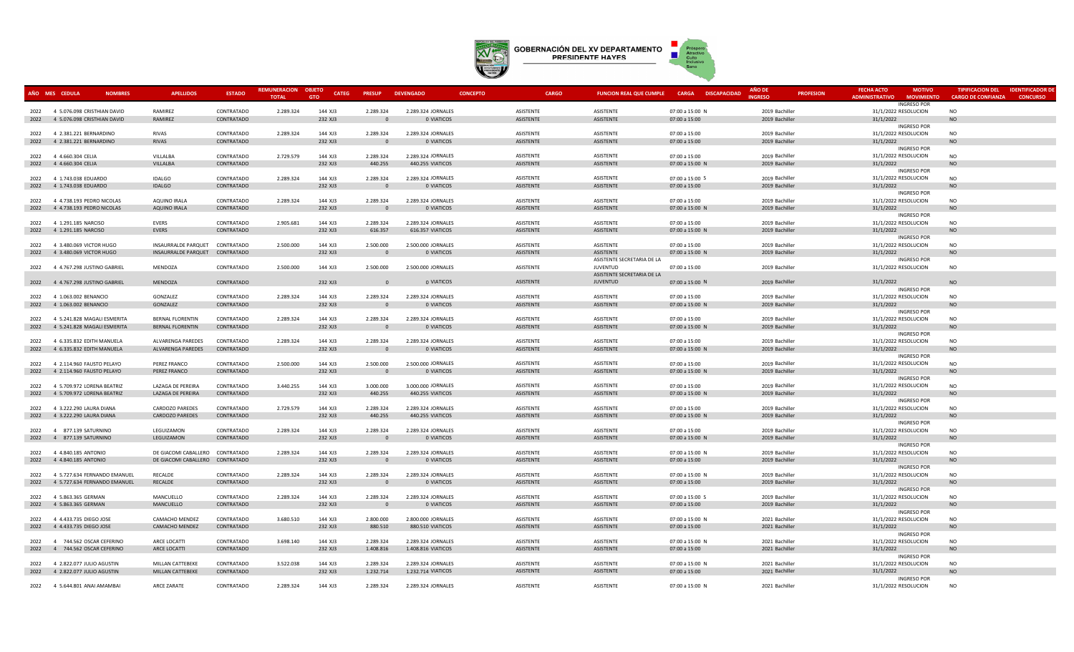

| AÑO MES CEDULA | <b>NOMBRES</b>                                               | <b>APELLIDOS</b>                | <b>ESTADO</b>            | <b>REMUNERACION</b> | <b>OBJETO</b><br><b>CATEG</b> | <b>PRESUP</b>         | <b>DEVENGADO</b>                 | <b>CONCEPTO</b>        | <b>CARGO</b>                  | FUNCION REAL QUE CUMPLE CARGA DISCAPACIDAD | <b>AÑO DI</b><br><b>PROFESION</b> | <b>FECHA ACTO</b><br><b>MOTIVO</b>         | <b>TIPIFICACION DEL</b><br><b>IDENTIFICADOR DE</b> |
|----------------|--------------------------------------------------------------|---------------------------------|--------------------------|---------------------|-------------------------------|-----------------------|----------------------------------|------------------------|-------------------------------|--------------------------------------------|-----------------------------------|--------------------------------------------|----------------------------------------------------|
|                |                                                              |                                 |                          | <b>TOTAL</b>        | <b>GTO</b>                    |                       |                                  |                        |                               |                                            | <b>NGRESO</b>                     | <b>ADMINISTRATIVO</b><br><b>MOVIMIENTO</b> | <b>CARGO DE CONFIANZA</b><br><b>CONCURSO</b>       |
|                | 2022 4 5.076.098 CRISTHIAN DAVID                             | RAMIREZ                         | CONTRATADO               | 2.289.324           | 144 XJ3                       | 2.289.324             | 2.289.324 JORNALES               | ASISTENTE              | ASISTENTE                     | 07:00 a 15:00 N                            | 2019 Bachiller                    | <b>INGRESO POR</b><br>31/1/2022 RESOLUCION | NO.                                                |
|                | 2022 4 5.076.098 CRISTHIAN DAVID                             | RAMIREZ                         | CONTRATADO               |                     | 232 XJ3                       | $\Omega$              | 0 VIATICOS                       | ASISTENTE              | <b>ASISTENTE</b>              | 07:00 a 15:00                              | 2019 Bachiller                    | 31/1/2022                                  | <b>NO</b>                                          |
|                |                                                              |                                 |                          |                     |                               |                       |                                  |                        |                               |                                            |                                   | <b>INGRESO POR</b>                         |                                                    |
| 2022           | 4 2.381.221 BERNARDINO                                       | RIVAS                           | CONTRATADO               | 2.289.324           | 144 XJ3                       | 2.289.324             | 2.289.324 JORNALES               | ASISTENTE              | <b>ASISTENTE</b>              | 07:00 a 15:00                              | 2019 Bachiller                    | 31/1/2022 RESOLUCION                       | <b>NO</b>                                          |
| 2022           | 4 2.381.221 BERNARDINO                                       | <b>RIVAS</b>                    | CONTRATADO               |                     | 232 XJ3                       | $\Omega$              | 0 VIATICOS                       | ASISTENTE              | <b>ASISTENTE</b>              | 07:00 a 15:00                              | 2019 Bachiller                    | 31/1/2022                                  | <b>NO</b>                                          |
|                |                                                              |                                 |                          |                     |                               |                       |                                  |                        |                               |                                            |                                   | <b>INGRESO POR</b>                         |                                                    |
|                | 2022 4 4.660.304 CELIA                                       | VILLALBA                        | CONTRATADO               | 2.729.579           | 144 XJ3                       | 2.289.324             | 2.289.324 JORNALES               | ASISTENTE              | <b>ASISTENTE</b>              | 07:00 a 15:00                              | 2019 Bachiller                    | 31/1/2022 RESOLUCION                       | <b>NO</b>                                          |
|                | 2022 4 4.660.304 CELIA                                       | VILLALBA                        | CONTRATADO               |                     | 232 XJ3                       | 440.255               | 440.255 VIATICOS                 | <b>ASISTENTE</b>       | <b>ASISTENTE</b>              | 07:00 a 15:00 N                            | 2019 Bachiller                    | 31/1/2022                                  | <b>NO</b>                                          |
|                |                                                              |                                 |                          |                     |                               |                       |                                  |                        |                               |                                            |                                   | <b>INGRESO POR</b>                         |                                                    |
|                | 2022 4 1.743.038 EDUARDO                                     | <b>IDALGO</b>                   | CONTRATADO               | 2.289.324           | 144 XJ3                       | 2.289.324             | 2.289.324 JORNALES               | <b>ASISTENTE</b>       | <b>ASISTENTE</b>              | 07:00 a 15:00 S                            | 2019 Bachiller                    | 31/1/2022 RESOLUCION                       | <b>NO</b>                                          |
| 2022           | 4 1.743.038 EDUARDO                                          | <b>IDALGO</b>                   | CONTRATADO               |                     | 232 XJ3                       | $\sqrt{2}$            | 0 VIATICOS                       | ASISTENTE              | ASISTENTE                     | 07:00 a 15:00                              | 2019 Bachiller                    | 31/1/2022                                  | <b>NO</b>                                          |
|                |                                                              |                                 |                          |                     |                               |                       |                                  |                        |                               |                                            |                                   | <b>INGRESO POR</b>                         |                                                    |
|                | 2022 4 4.738.193 PEDRO NICOLAS                               | AQUINO IRALA                    | CONTRATADO               | 2.289.324           | 144 XJ3                       | 2.289.324             | 2.289.324 JORNALES               | <b>ASISTENTE</b>       | <b>ASISTENTE</b>              | 07:00 a 15:00                              | 2019 Bachiller                    | 31/1/2022 RESOLUCION                       | <b>NO</b>                                          |
| 2022           | 4 4.738.193 PEDRO NICOLAS                                    | AQUINO IRALA                    | CONTRATADO               |                     | 232 XJ3                       | $\Omega$              | 0 VIATICOS                       | ASISTENTE              | <b>ASISTENTE</b>              | 07:00 a 15:00 N                            | 2019 Bachiller                    | 31/1/2022                                  | <b>NO</b>                                          |
|                |                                                              |                                 | CONTRATADO               |                     |                               | 2.289.324             | 2.289.324 JORNALES               | <b>ASISTENTE</b>       | <b>ASISTENTE</b>              |                                            |                                   | <b>INGRESO POR</b>                         |                                                    |
|                | 2022 4 1.291.185 NARCISO                                     | EVERS                           |                          | 2.905.681           | 144 XJ3                       |                       | 616.357 VIATICOS                 | ASISTENTE              | <b>ASISTENTE</b>              | 07:00 a 15:00                              | 2019 Bachiller                    | 31/1/2022 RESOLUCION                       | <b>NO</b>                                          |
|                | 2022 4 1.291.185 NARCISO                                     | <b>EVERS</b>                    | CONTRATADO               |                     | 232 XJ3                       | 616.357               |                                  |                        |                               | 07:00 a 15:00 N                            | 2019 Bachiller                    | 31/1/2022<br><b>INGRESO POR</b>            | <b>NO</b>                                          |
| 2022           | 4 3.480.069 VICTOR HUGO                                      | INSAURRALDE PARQUET CONTRATADO  |                          | 2.500.000           | 144 XJ3                       | 2.500.000             | 2.500.000 JORNALES               | ASISTENTE              | <b>ASISTENTE</b>              | 07:00 a 15:00                              | 2019 Bachiller                    | 31/1/2022 RESOLUCION                       | <b>NO</b>                                          |
| 2022           | 4 3.480.069 VICTOR HUGO                                      | INSAURRALDE PARQUET CONTRATADO  |                          |                     | 232 XJ3                       | $\Omega$              | 0 VIATICOS                       | ASISTENTE              | <b>ASISTENTE</b>              | 07:00 a 15:00 N                            | 2019 Bachiller                    | 31/1/2022                                  | <b>NO</b>                                          |
|                |                                                              |                                 |                          |                     |                               |                       |                                  |                        | ASISTENTE SECRETARIA DE LA    |                                            |                                   | <b>INGRESO POR</b>                         |                                                    |
|                | 2022 4 4.767.298 JUSTINO GABRIEL                             | MENDOZA                         | CONTRATADO               | 2.500.000           | 144 XJ3                       | 2.500.000             | 2.500.000 JORNALES               | ASISTENTE              | <b>JUVENTUD</b>               | 07:00 a 15:00                              | 2019 Bachiller                    | 31/1/2022 RESOLUCION                       | <b>NO</b>                                          |
|                |                                                              |                                 |                          |                     |                               |                       |                                  |                        | ASISTENTE SECRETARIA DE LA    |                                            |                                   |                                            |                                                    |
|                | 2022 4 4.767.298 JUSTINO GABRIEL                             | MENDOZA                         | CONTRATADO               |                     | 232 XJ3                       | $\sqrt{ }$            | 0 VIATICOS                       | ASISTENTE              | <b>JUVENTUD</b>               | 07:00 a 15:00 N                            | 2019 Bachiller                    | 31/1/2022                                  | <b>NO</b>                                          |
|                |                                                              |                                 |                          |                     |                               |                       |                                  |                        |                               |                                            |                                   | <b>INGRESO POR</b>                         |                                                    |
|                | 2022 4 1.063.002 BENANCIO                                    | GONZALEZ                        | CONTRATADO               | 2.289.324           | 144 XJ3                       | 2.289.324             | 2.289.324 JORNALES               | <b>ASISTENTE</b>       | <b>ASISTENTE</b>              | 07:00 a 15:00                              | 2019 Bachiller                    | 31/1/2022 RESOLUCION                       | <b>NO</b>                                          |
| 2022           | 4 1.063.002 BENANCIO                                         | GONZALEZ                        | CONTRATADO               |                     | 232 XJ3                       | n                     | 0 VIATICOS                       | ASISTENTE              | <b>ASISTENTE</b>              | 07:00 a 15:00 N                            | 2019 Bachiller                    | 31/1/2022                                  | <b>NO</b>                                          |
|                |                                                              |                                 |                          |                     |                               |                       |                                  |                        |                               |                                            |                                   | <b>INGRESO POR</b>                         |                                                    |
|                | 2022 4 5.241.828 MAGALI ESMERITA                             | <b>BERNAL FLORENTIN</b>         | CONTRATADO               | 2.289.324           | 144 XJ3                       | 2.289.324             | 2.289.324 JORNALES               | <b>ASISTENTE</b>       | <b>ASISTENTE</b>              | 07:00 a 15:00                              | 2019 Bachiller                    | 31/1/2022 RESOLUCION                       | <b>NO</b>                                          |
| 2022           | 4 5.241.828 MAGALI ESMERITA                                  | BERNAL FLORENTIN                | CONTRATADO               |                     | 232 XJ3                       | $\Omega$              | 0 VIATICOS                       | ASISTENTE              | <b>ASISTENTE</b>              | 07:00 a 15:00 N                            | 2019 Bachiller                    | 31/1/2022                                  | NO                                                 |
|                |                                                              |                                 |                          |                     |                               |                       |                                  |                        |                               |                                            |                                   | <b>INGRESO POR</b>                         |                                                    |
|                | 2022 4 6.335.832 EDITH MANUELA                               | ALVARENGA PAREDES               | CONTRATADO               | 2.289.324           | 144 XJ3                       | 2.289.324<br>$\Omega$ | 2.289.324 JORNALES               | ASISTENTE              | <b>ASISTENTE</b>              | 07:00 a 15:00                              | 2019 Bachiller                    | 31/1/2022 RESOLUCION                       | <b>NO</b>                                          |
| 2022           | 4 6.335.832 EDITH MANUELA                                    | <b>ALVARENGA PAREDES</b>        | CONTRATADO               |                     | 232 XJ3                       |                       | 0 VIATICOS                       | ASISTENTE              | <b>ASISTENTE</b>              | 07:00 a 15:00 N                            | 2019 Bachiller                    | 31/1/2022                                  | <b>NO</b>                                          |
| 2022           | 4 2.114.960 FAUSTO PELAYO                                    | PEREZ FRANCO                    | CONTRATADO               | 2.500.000           | 144 XJ3                       | 2.500.000             | 2.500.000 JORNALES               | ASISTENTE              | <b>ASISTENTE</b>              | 07:00 a 15:00                              | 2019 Bachiller                    | <b>INGRESO POR</b><br>31/1/2022 RESOLUCION | <b>NO</b>                                          |
| 2022           | 4 2.114.960 FAUSTO PELAYO                                    | PEREZ FRANCO                    | CONTRATADO               |                     | 232 XJ3                       |                       | 0 VIATICOS                       | ASISTENTE              | <b>ASISTENTE</b>              | 07:00 a 15:00 N                            | 2019 Bachiller                    | 31/1/2022                                  | <b>NO</b>                                          |
|                |                                                              |                                 |                          |                     |                               |                       |                                  |                        |                               |                                            |                                   | <b>INGRESO POR</b>                         |                                                    |
|                | 2022 4 5.709.972 LORENA BEATRIZ                              | LAZAGA DE PEREIRA               | CONTRATADO               | 3.440.255           | 144 XJ3                       | 3.000.000             | 3.000.000 JORNALES               | <b>ASISTENTE</b>       | <b>ASISTENTE</b>              | 07:00 a 15:00                              | 2019 Bachiller                    | 31/1/2022 RESOLUCION                       | <b>NO</b>                                          |
|                | 2022 4 5.709.972 LORENA BEATRIZ                              | LAZAGA DE PEREIRA               | CONTRATADO               |                     | 232 XJ3                       | 440.255               | 440.255 VIATICOS                 | ASISTENTE              | <b>ASISTENTE</b>              | 07:00 a 15:00 N                            | 2019 Bachiller                    | 31/1/2022                                  | <b>NO</b>                                          |
|                |                                                              |                                 |                          |                     |                               |                       |                                  |                        |                               |                                            |                                   | <b>INGRESO POR</b>                         |                                                    |
|                | 2022 4 3.222.290 LAURA DIANA                                 | CARDOZO PAREDES                 | CONTRATADO               | 2.729.579           | 144 XJ3                       | 2.289.324             | 2.289.324 JORNALES               | ASISTENTE              | ASISTENTE                     | 07:00 a 15:00                              | 2019 Bachiller                    | 31/1/2022 RESOLUCION                       | <b>NO</b>                                          |
| 2022           | 4 3.222.290 LAURA DIANA                                      | CARDOZO PAREDES                 | CONTRATADO               |                     | 232 XJ3                       | 440.255               | 440.255 VIATICOS                 | ASISTENTE              | ASISTENTE                     | 07:00 a 15:00 N                            | 2019 Bachiller                    | 31/1/2022                                  | $\rm NO$                                           |
|                |                                                              |                                 |                          |                     |                               |                       |                                  |                        |                               |                                            |                                   | <b>INGRESO POR</b>                         |                                                    |
|                | 2022 4 877 139 SATURNINO                                     | LEGUIZAMON                      | CONTRATADO               | 2.289.324           | 144 XJ3                       | 2.289.324             | 2.289.324 JORNALES               | ASISTENTE              | ASISTENTE                     | 07:00 a 15:00                              | 2019 Bachiller                    | 31/1/2022 RESOLUCION                       | <b>NO</b>                                          |
|                | 2022 4 877.139 SATURNINO                                     | LEGUIZAMON                      | CONTRATADO               |                     | 232 XJ3                       | $\overline{0}$        | 0 VIATICOS                       | ASISTENTE              | <b>ASISTENTE</b>              | 07:00 a 15:00 N                            | 2019 Bachiller                    | 31/1/2022                                  | <b>NO</b>                                          |
|                |                                                              |                                 |                          |                     |                               |                       |                                  |                        |                               |                                            |                                   | <b>INGRESO POR</b>                         |                                                    |
|                | 2022 4 4.840.185 ANTONIO                                     | DE GIACOMI CABALLERO CONTRATADO |                          | 2.289.324           | 144 XJ3                       | 2.289.324             | 2.289.324 JORNALES               | ASISTENTE              | ASISTENTE                     | 07:00 a 15:00 N                            | 2019 Bachiller                    | 31/1/2022 RESOLUCION                       | <b>NO</b>                                          |
| 2022           | 4 4.840.185 ANTONIO                                          | DE GIACOMI CABALLERO CONTRATADO |                          |                     | 232 XJ3                       | $\overline{0}$        | 0 VIATICOS                       | ASISTENTE              | <b>ASISTENTE</b>              | 07:00 a 15:00                              | 2019 Bachiller                    | 31/1/2022                                  | <b>NO</b>                                          |
|                |                                                              |                                 |                          |                     |                               |                       |                                  |                        |                               |                                            |                                   | <b>INGRESO POR</b>                         | <b>NO</b>                                          |
| 2022<br>2022   | 4 5.727.634 FERNANDO EMANUEL<br>4 5.727.634 FERNANDO EMANUEL | RECALDE<br>RECALDE              | CONTRATADO<br>CONTRATADO | 2.289.324           | 144 XJ3<br>232 XJ3            | 2.289.324<br>$\Omega$ | 2.289.324 JORNALES<br>0 VIATICOS | ASISTENTE<br>ASISTENTE | ASISTENTE<br><b>ASISTENTE</b> | 07:00 a 15:00 N<br>07:00 a 15:00           | 2019 Bachiller<br>2019 Bachiller  | 31/1/2022 RESOLUCION<br>31/1/2022          | <b>NO</b>                                          |
|                |                                                              |                                 |                          |                     |                               |                       |                                  |                        |                               |                                            |                                   | <b>INGRESO POR</b>                         |                                                    |
|                | 2022 4 5.863.365 GERMAN                                      | MANCUELLO                       | CONTRATADO               | 2.289.324           | 144 XJ3                       | 2.289.324             | 2.289.324 JORNALES               | ASISTENTE              | <b>ASISTENTE</b>              | 07:00 a 15:00 S                            | 2019 Bachiller                    | 31/1/2022 RESOLUCION                       | <b>NO</b>                                          |
|                | 2022 4 5.863.365 GERMAN                                      | MANCUELLO                       | CONTRATADO               |                     | 232 XJ3                       | $\overline{0}$        | 0 VIATICOS                       | ASISTENTE              | ASISTENTE                     | 07:00 a 15:00                              | 2019 Bachiller                    | 31/1/2022                                  | <b>NO</b>                                          |
|                |                                                              |                                 |                          |                     |                               |                       |                                  |                        |                               |                                            |                                   | <b>INGRESO POR</b>                         |                                                    |
| 2022           | 4 4.433.735 DIEGO JOSE                                       | CAMACHO MENDEZ                  | CONTRATADO               | 3.680.510           | 144 XJ3                       | 2.800.000             | 2.800.000 JORNALES               | ASISTENTE              | <b>ASISTENTE</b>              | 07:00 a 15:00 N                            | 2021 Bachiller                    | 31/1/2022 RESOLUCION                       | <b>NO</b>                                          |
| 2022           | 4 4.433.735 DIEGO JOSE                                       | CAMACHO MENDEZ                  | CONTRATADO               |                     | 232 XJ3                       | 880.510               | 880.510 VIATICOS                 | ASISTENTE              | ASISTENTE                     | 07:00 a 15:00                              | 2021 Bachiller                    | 31/1/2022                                  | <b>NO</b>                                          |
|                |                                                              |                                 |                          |                     |                               |                       |                                  |                        |                               |                                            |                                   | <b>INGRESO POR</b>                         |                                                    |
|                | 2022 4 744.562 OSCAR CEFERINO                                | ARCE LOCATTI                    | CONTRATADO               | 3.698.140           | 144 XJ3                       | 2.289.324             | 2.289.324 JORNALES               | ASISTENTE              | ASISTENTE                     | 07:00 a 15:00 N                            | 2021 Bachiller                    | 31/1/2022 RESOLUCION                       | <b>NO</b>                                          |
|                | 2022 4 744.562 OSCAR CEFERINO                                | ARCE LOCATTI                    | CONTRATADO               |                     | 232 XJ3                       | 1.408.816             | 1.408.816 VIATICOS               | ASISTENTE              | <b>ASISTENTE</b>              | 07:00 a 15:00                              | 2021 Bachiller                    | 31/1/2022                                  | NO                                                 |
|                |                                                              |                                 |                          |                     |                               |                       |                                  |                        |                               |                                            |                                   | <b>INGRESO POR</b>                         |                                                    |
|                | 2022 4 2.822.077 JULIO AGUSTIN                               | MILLAN CATTEBEKE                | CONTRATADO               | 3.522.038           | 144 XJ3                       | 2.289.324             | 2.289.324 JORNALES               | ASISTENTE              | ASISTENTE                     | 07:00 a 15:00 N                            | 2021 Bachiller                    | 31/1/2022 RESOLUCION                       | <b>NO</b>                                          |
|                | 2022 4 2.822.077 JULIO AGUSTIN                               | MILLAN CATTEBEKE                | CONTRATADO               |                     | 232 XJ3                       | 1.232.714             | 1.232.714 VIATICOS               | ASISTENTE              | <b>ASISTENTE</b>              | 07:00 a 15:00                              | 2021 Bachiller                    | 31/1/2022                                  | <b>NO</b>                                          |
|                |                                                              |                                 |                          |                     |                               |                       |                                  | ASISTENTE              | ASISTENTE                     |                                            |                                   | <b>INGRESO POR</b>                         |                                                    |
|                | 2022 4 5.644.801 ANAI AMAMBAI                                | ARCE ZARATE                     | CONTRATADO               | 2.289.324           | 144 XJ3                       | 2.289.324             | 2.289.324 JORNALES               |                        |                               | 07:00 a 15:00 N                            | 2021 Bachiller                    | 31/1/2022 RESOLUCION                       | <b>NO</b>                                          |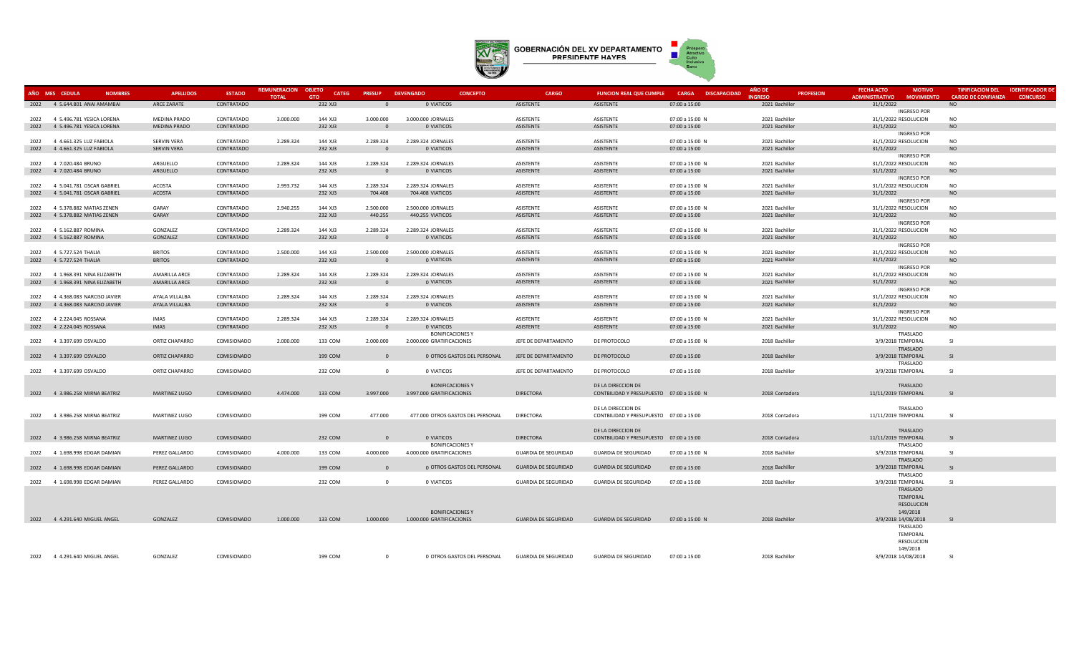

|      | AÑO MES CEDULA                 | <b>NOMBRES</b> | <b>APELLIDOS</b>        | <b>ESTADO</b>            | <b>REMUNERACION OBJETO</b><br><b>TOTAL</b> | <b>CATEG</b><br>GTO | <b>PRESUP</b>        | <b>DEVENGADO</b><br><b>CONCEPTO</b> | <b>CARGO</b>                  | <b>FUNCION REAL QUE CUMPLE</b>            | CARGA DISCAPACIDAD               | <b>AÑO DE</b><br><b>PROFESION</b><br><b>NGRESO</b> | <b>FECHA ACTO</b><br><b>MOTIVO</b><br><b>ADMINISTRATIVO</b><br><b>MOVIMIENTO</b> | <b>TIPIFICACION DEL</b><br><b>CARGO DE CONFIANZA</b> | <b>IDENTIFICADOR DE</b><br><b>CONCURSO</b> |
|------|--------------------------------|----------------|-------------------------|--------------------------|--------------------------------------------|---------------------|----------------------|-------------------------------------|-------------------------------|-------------------------------------------|----------------------------------|----------------------------------------------------|----------------------------------------------------------------------------------|------------------------------------------------------|--------------------------------------------|
| 2022 | 4 5.644.801 ANAI AMAMBAI       |                | ARCE ZARATE             | CONTRATADO               |                                            | 232 XJ3             | $\Omega$             | 0 VIATICOS                          | ASISTENTE                     | ASISTENTE                                 | 07:00 a 15:00                    | 2021 Bachiller                                     | 31/1/2022                                                                        | NO                                                   |                                            |
|      |                                |                |                         |                          |                                            |                     |                      |                                     |                               |                                           |                                  |                                                    | <b>INGRESO POR</b>                                                               |                                                      |                                            |
|      | 2022 4 5.496.781 YESICA LORENA |                | <b>MEDINA PRADO</b>     | CONTRATADO               | 3.000.000                                  | 144 XJ3             | 3.000.000            | 3.000.000 JORNALES                  | <b>ASISTENTE</b>              | <b>ASISTENTE</b>                          | 07:00 a 15:00 N                  | 2021 Bachiller                                     | 31/1/2022 RESOLUCION                                                             | <b>NO</b>                                            |                                            |
|      | 2022 4 5.496.781 YESICA LORENA |                | <b>MEDINA PRADO</b>     | CONTRATADO               |                                            | 232 XJ3             | $\Omega$             | 0 VIATICOS                          | ASISTENTE                     | ASISTENTE                                 | 07:00 a 15:00                    | 2021 Bachiller                                     | 31/1/2022                                                                        | NO                                                   |                                            |
|      |                                |                |                         |                          |                                            |                     |                      |                                     |                               |                                           |                                  |                                                    | <b>INGRESO POR</b>                                                               |                                                      |                                            |
| 2022 | 4 4.661.325 LUZ FABIOLA        |                | <b>SERVIN VERA</b>      | CONTRATADO               | 2.289.324                                  | 144 XJ3             | 2.289.324            | 2.289.324 JORNALES                  | <b>ASISTENTE</b>              | <b>ASISTENTE</b>                          | 07:00 a 15:00 N                  | 2021 Bachiller                                     | 31/1/2022 RESOLUCION                                                             | <b>NO</b>                                            |                                            |
| 2022 | 4 4.661.325 LUZ FABIOLA        |                | <b>SERVIN VERA</b>      | CONTRATADO               |                                            | 232 XJ3             | $\Omega$             | 0 VIATICOS                          | ASISTENTE                     | ASISTENTE                                 | 07:00 a 15:00                    | 2021 Bachiller                                     | 31/1/2022                                                                        | <b>NO</b>                                            |                                            |
|      |                                |                |                         |                          |                                            |                     |                      |                                     |                               |                                           |                                  |                                                    | <b>INGRESO POR</b>                                                               |                                                      |                                            |
| 2022 | 4 7.020.484 BRUNO              |                | ARGUELLO                | CONTRATADO               | 2.289.324                                  | 144 XJ3             | 2.289.324            | 2.289.324 JORNALES                  | ASISTENTE                     | <b>ASISTENTE</b>                          | 07:00 a 15:00 N                  | 2021 Bachiller                                     | 31/1/2022 RESOLUCION                                                             | <b>NO</b>                                            |                                            |
| 2022 | 4 7.020.484 BRUNO              |                | ARGUELLO                | CONTRATADO               |                                            | 232 XJ3             | $\Omega$             | 0 VIATICOS                          | ASISTENTE                     | ASISTENTE                                 | 07:00 a 15:00                    | 2021 Bachiller                                     | 31/1/2022                                                                        | <b>NO</b>                                            |                                            |
|      |                                |                |                         |                          |                                            |                     |                      |                                     |                               |                                           |                                  |                                                    | <b>INGRESO POR</b>                                                               |                                                      |                                            |
| 2022 | 4 5.041.781 OSCAR GABRIEL      |                | <b>ACOSTA</b><br>ACOSTA | CONTRATADO<br>CONTRATADO | 2.993.732                                  | 144 XJ3<br>232 XJ3  | 2.289.324<br>704.408 | 2.289.324 JORNALES                  | <b>ASISTENTE</b><br>ASISTENTE | <b>ASISTENTE</b>                          | 07:00 a 15:00 N<br>07:00 a 15:00 | 2021 Bachiller                                     | 31/1/2022 RESOLUCION                                                             | <b>NO</b><br><b>NO</b>                               |                                            |
| 2022 | 4 5.041.781 OSCAR GABRIEL      |                |                         |                          |                                            |                     |                      | 704.408 VIATICOS                    |                               | ASISTENTE                                 |                                  | 2021 Bachiller                                     | 31/1/2022<br><b>INGRESO POR</b>                                                  |                                                      |                                            |
| 2022 | 4 5.378.882 MATIAS ZENEN       |                | GARAY                   | CONTRATADO               | 2.940.255                                  | 144 XJ3             | 2.500.000            | 2.500.000 JORNALES                  | <b>ASISTENTE</b>              | <b>ASISTENTE</b>                          | 07:00 a 15:00 N                  | 2021 Bachiller                                     | 31/1/2022 RESOLUCION                                                             | <b>NO</b>                                            |                                            |
| 2022 | 4 5.378.882 MATIAS ZENEN       |                | GARAY                   | CONTRATADO               |                                            | 232 XJ3             | 440.255              | 440.255 VIATICOS                    | ASISTENTE                     | ASISTENTE                                 | 07:00 a 15:00                    | 2021 Bachiller                                     | 31/1/2022                                                                        | <b>NO</b>                                            |                                            |
|      |                                |                |                         |                          |                                            |                     |                      |                                     |                               |                                           |                                  |                                                    | <b>INGRESO POR</b>                                                               |                                                      |                                            |
| 2022 | 4 5.162.887 ROMINA             |                | GONZALEZ                | CONTRATADO               | 2.289.324                                  | 144 XJ3             | 2.289.324            | 2.289.324 JORNALES                  | ASISTENTE                     | ASISTENTE                                 | 07:00 a 15:00 N                  | 2021 Bachiller                                     | 31/1/2022 RESOLUCION                                                             | <b>NO</b>                                            |                                            |
| 2022 | 4 5.162.887 ROMINA             |                | GONZALEZ                | CONTRATADO               |                                            | 232 XJ3             | $\overline{0}$       | 0 VIATICOS                          | ASISTENTE                     | ASISTENTE                                 | 07:00 a 15:00                    | 2021 Bachiller                                     | 31/1/2022                                                                        | <b>NO</b>                                            |                                            |
|      |                                |                |                         |                          |                                            |                     |                      |                                     |                               |                                           |                                  |                                                    | <b>INGRESO POR</b>                                                               |                                                      |                                            |
| 2022 | 4 5.727.524 THALIA             |                | <b>BRITOS</b>           | CONTRATADO               | 2.500.000                                  | 144 XJ3             | 2.500.000            | 2.500.000 JORNALES                  | ASISTENTE                     | <b>ASISTENTE</b>                          | 07:00 a 15:00 N                  | 2021 Bachiller                                     | 31/1/2022 RESOLUCION                                                             | <b>NO</b>                                            |                                            |
|      | 2022 4 5.727.524 THALIA        |                | <b>BRITOS</b>           | CONTRATADO               |                                            | 232 XJ3             | $\Omega$             | 0 VIATICOS                          | ASISTENTE                     | ASISTENTE                                 | 07:00 a 15:00                    | 2021 Bachiller                                     | 31/1/2022                                                                        | <b>NO</b>                                            |                                            |
|      |                                |                |                         |                          |                                            |                     |                      |                                     |                               |                                           |                                  |                                                    | <b>INGRESO POR</b>                                                               |                                                      |                                            |
| 2022 | 4 1.968.391 NINA ELIZABETH     |                | <b>AMARILLA ARCE</b>    | CONTRATADO               | 2.289.324                                  | 144 XJ3             | 2.289.324            | 2.289.324 JORNALES                  | ASISTENTE                     | <b>ASISTENTE</b>                          | 07:00 a 15:00 N                  | 2021 Bachiller                                     | 31/1/2022 RESOLUCION                                                             | <b>NO</b>                                            |                                            |
| 2022 | 4 1.968.391 NINA ELIZABETH     |                | AMARILLA ARCE           | CONTRATADO               |                                            | 232 XJ3             | $\Omega$             | 0 VIATICOS                          | ASISTENTE                     | <b>ASISTENTE</b>                          | 07:00 a 15:00                    | 2021 Bachiller                                     | 31/1/2022                                                                        | <b>NO</b>                                            |                                            |
|      |                                |                |                         |                          |                                            |                     |                      |                                     |                               |                                           |                                  |                                                    | <b>INGRESO POR</b>                                                               |                                                      |                                            |
| 2022 | 4 4.368.083 NARCISO JAVIER     |                | AYALA VILLALBA          | CONTRATADO               | 2.289.324                                  | 144 XJ3             | 2.289.324            | 2.289.324 JORNALES                  | <b>ASISTENTE</b>              | <b>ASISTENTE</b>                          | 07:00 a 15:00 N                  | 2021 Bachiller                                     | 31/1/2022 RESOLUCION                                                             | <b>NO</b>                                            |                                            |
| 2022 | 4 4.368.083 NARCISO JAVIER     |                | AYALA VILLALBA          | CONTRATADO               |                                            | 232 XJ3             | $\Omega$             | 0 VIATICOS                          | ASISTENTE                     | ASISTENTE                                 | 07:00 a 15:00                    | 2021 Bachiller                                     | 31/1/2022                                                                        | <b>NO</b>                                            |                                            |
|      | 2022 4 2.224.045 ROSSANA       |                | <b>IMAS</b>             | CONTRATADO               | 2.289.324                                  | 144 XJ3             | 2.289.324            | 2.289.324 JORNALES                  | <b>ASISTENTE</b>              | ASISTENTE                                 | 07:00 a 15:00 N                  | 2021 Bachiller                                     | <b>INGRESO POR</b>                                                               | <b>NO</b>                                            |                                            |
|      | 2022 4 2.224.045 ROSSANA       |                | IMAS                    | CONTRATADO               |                                            | 232 XJ3             | $\Omega$             | 0 VIATICOS                          | ASISTENTE                     | ASISTENTE                                 | 07:00 a 15:00                    | 2021 Bachiller                                     | 31/1/2022 RESOLUCION<br>31/1/2022                                                | <b>NO</b>                                            |                                            |
|      |                                |                |                         |                          |                                            |                     |                      | <b>BONIFICACIONES Y</b>             |                               |                                           |                                  |                                                    | TRASLADO                                                                         |                                                      |                                            |
|      | 2022 4 3.397.699 OSVALDO       |                | ORTIZ CHAPARRO          | COMISIONADO              | 2.000.000                                  | 133 COM             | 2.000.000            | 2.000.000 GRATIFICACIONES           | JEFE DE DEPARTAMENTO          | DE PROTOCOLO                              | 07:00 a 15:00 N                  | 2018 Bachiller                                     | 3/9/2018 TEMPORAL                                                                | SI                                                   |                                            |
|      |                                |                |                         |                          |                                            |                     |                      |                                     |                               |                                           |                                  |                                                    | TRASLADO                                                                         |                                                      |                                            |
|      | 2022 4 3.397.699 OSVALDO       |                | <b>ORTIZ CHAPARRO</b>   | COMISIONADO              |                                            | 199 COM             | $\Omega$             | 0 OTROS GASTOS DEL PERSONAL         | JEFE DE DEPARTAMENTO          | DE PROTOCOLO                              | 07:00 a 15:00                    | 2018 Bachiller                                     | 3/9/2018 TEMPORAL                                                                | SI                                                   |                                            |
|      |                                |                |                         |                          |                                            |                     |                      |                                     |                               |                                           |                                  |                                                    | TRASLADO                                                                         |                                                      |                                            |
|      | 2022 4 3.397.699 OSVALDO       |                | ORTIZ CHAPARRO          | COMISIONADO              |                                            | 232 COM             | $\overline{0}$       | 0 VIATICOS                          | JEFE DE DEPARTAMENTO          | DE PROTOCOLO                              | 07:00 a 15:00                    | 2018 Bachiller                                     | 3/9/2018 TEMPORAL                                                                | - SI                                                 |                                            |
|      |                                |                |                         |                          |                                            |                     |                      |                                     |                               |                                           |                                  |                                                    |                                                                                  |                                                      |                                            |
|      |                                |                |                         |                          |                                            |                     |                      | <b>BONIFICACIONES Y</b>             |                               | DE LA DIRECCION DE                        |                                  |                                                    | TRASLADO                                                                         |                                                      |                                            |
|      | 2022 4 3.986.258 MIRNA BEATRIZ |                | MARTINEZ LUGO           | COMISIONADO              | 4.474.000                                  | 133 COM             | 3.997.000            | 3.997.000 GRATIFICACIONES           | <b>DIRECTORA</b>              | CONTBILIDAD Y PRESUPUESTO 07:00 a 15:00 N |                                  | 2018 Contadora                                     | 11/11/2019 TEMPORAL                                                              | -SI                                                  |                                            |
|      |                                |                |                         |                          |                                            |                     |                      |                                     |                               |                                           |                                  |                                                    |                                                                                  |                                                      |                                            |
|      |                                |                |                         |                          |                                            |                     |                      |                                     | <b>DIRECTORA</b>              | DE LA DIRECCION DE                        |                                  |                                                    | TRASLADO                                                                         | - SI                                                 |                                            |
| 2022 | 4 3.986.258 MIRNA BEATRIZ      |                | MARTINEZ LUGO           | COMISIONADO              |                                            | 199 COM             | 477.000              | 477.000 OTROS GASTOS DEL PERSONAL   |                               | CONTBILIDAD Y PRESUPUESTO 07:00 a 15:00   |                                  | 2018 Contadora                                     | 11/11/2019 TEMPORAL                                                              |                                                      |                                            |
|      |                                |                |                         |                          |                                            |                     |                      |                                     |                               | DE LA DIRECCION DE                        |                                  |                                                    | TRASLADO                                                                         |                                                      |                                            |
|      | 2022 4 3.986.258 MIRNA BEATRIZ |                | MARTINEZ LUGO           | COMISIONADO              |                                            | 232 COM             | $\overline{0}$       | 0 VIATICOS                          | <b>DIRECTORA</b>              | CONTBILIDAD Y PRESUPUESTO 07:00 a 15:00   |                                  | 2018 Contadora                                     | 11/11/2019 TEMPORAL                                                              | SI                                                   |                                            |
|      |                                |                |                         |                          |                                            |                     |                      | <b>BONIFICACIONES Y</b>             |                               |                                           |                                  |                                                    | TRASLADO                                                                         |                                                      |                                            |
|      | 2022 4 1.698.998 EDGAR DAMIAN  |                | PEREZ GALLARDO          | COMISIONADO              | 4.000.000                                  | 133 COM             | 4.000.000            | 4.000.000 GRATIFICACIONES           | <b>GUARDIA DE SEGURIDAD</b>   | <b>GUARDIA DE SEGURIDAD</b>               | 07:00 a 15:00 N                  | 2018 Bachiller                                     | 3/9/2018 TEMPORAL                                                                | SI                                                   |                                            |
|      |                                |                |                         |                          |                                            |                     |                      |                                     |                               |                                           |                                  |                                                    | TRASLADO                                                                         |                                                      |                                            |
| 2022 | 4 1.698.998 EDGAR DAMIAN       |                | PEREZ GALLARDO          | COMISIONADO              |                                            | 199 COM             | $\Omega$             | 0 OTROS GASTOS DEL PERSONAL         | <b>GUARDIA DE SEGURIDAD</b>   | <b>GUARDIA DE SEGURIDAD</b>               | 07:00 a 15:00                    | 2018 Bachiller                                     | 3/9/2018 TEMPORAL                                                                | SI                                                   |                                            |
|      |                                |                |                         |                          |                                            |                     |                      |                                     |                               |                                           |                                  |                                                    | TRASLADO                                                                         |                                                      |                                            |
|      | 2022 4 1.698.998 EDGAR DAMIAN  |                | PEREZ GALLARDO          | COMISIONADO              |                                            | 232 COM             | $\overline{0}$       | 0 VIATICOS                          | <b>GUARDIA DE SEGURIDAD</b>   | <b>GUARDIA DE SEGURIDAD</b>               | 07:00 a 15:00                    | 2018 Bachiller                                     | 3/9/2018 TEMPORAL                                                                | <b>SI</b>                                            |                                            |
|      |                                |                |                         |                          |                                            |                     |                      |                                     |                               |                                           |                                  |                                                    | TRASLADO                                                                         |                                                      |                                            |
|      |                                |                |                         |                          |                                            |                     |                      |                                     |                               |                                           |                                  |                                                    | TEMPORAL                                                                         |                                                      |                                            |
|      |                                |                |                         |                          |                                            |                     |                      |                                     |                               |                                           |                                  |                                                    | RESOLUCION                                                                       |                                                      |                                            |
|      |                                |                |                         |                          |                                            |                     |                      | <b>BONIFICACIONES Y</b>             |                               |                                           |                                  |                                                    | 149/2018                                                                         |                                                      |                                            |
|      | 2022 4 4.291.640 MIGUEL ANGEL  |                | GONZALEZ                | COMISIONADO              | 1.000.000                                  | 133 COM             | 1.000.000            | 1.000.000 GRATIFICACIONES           | <b>GUARDIA DE SEGURIDAD</b>   | GUARDIA DE SEGURIDAD                      | 07:00 a 15:00 N                  | 2018 Bachiller                                     | 3/9/2018 14/08/2018                                                              | SI                                                   |                                            |
|      |                                |                |                         |                          |                                            |                     |                      |                                     |                               |                                           |                                  |                                                    | TRASLADO<br>TEMPORAL                                                             |                                                      |                                            |
|      |                                |                |                         |                          |                                            |                     |                      |                                     |                               |                                           |                                  |                                                    | RESOLUCION                                                                       |                                                      |                                            |
|      |                                |                |                         |                          |                                            |                     |                      |                                     |                               |                                           |                                  |                                                    | 149/2018                                                                         |                                                      |                                            |
|      | 2022 4 4.291.640 MIGUEL ANGEL  |                | GONZALEZ                | COMISIONADO              |                                            | 199 COM             | $\overline{0}$       | 0 OTROS GASTOS DEL PERSONAL         | <b>GUARDIA DE SEGURIDAD</b>   | <b>GUARDIA DE SEGURIDAD</b>               | 07:00 a 15:00                    | 2018 Bachiller                                     | 3/9/2018 14/08/2018                                                              | -SI                                                  |                                            |
|      |                                |                |                         |                          |                                            |                     |                      |                                     |                               |                                           |                                  |                                                    |                                                                                  |                                                      |                                            |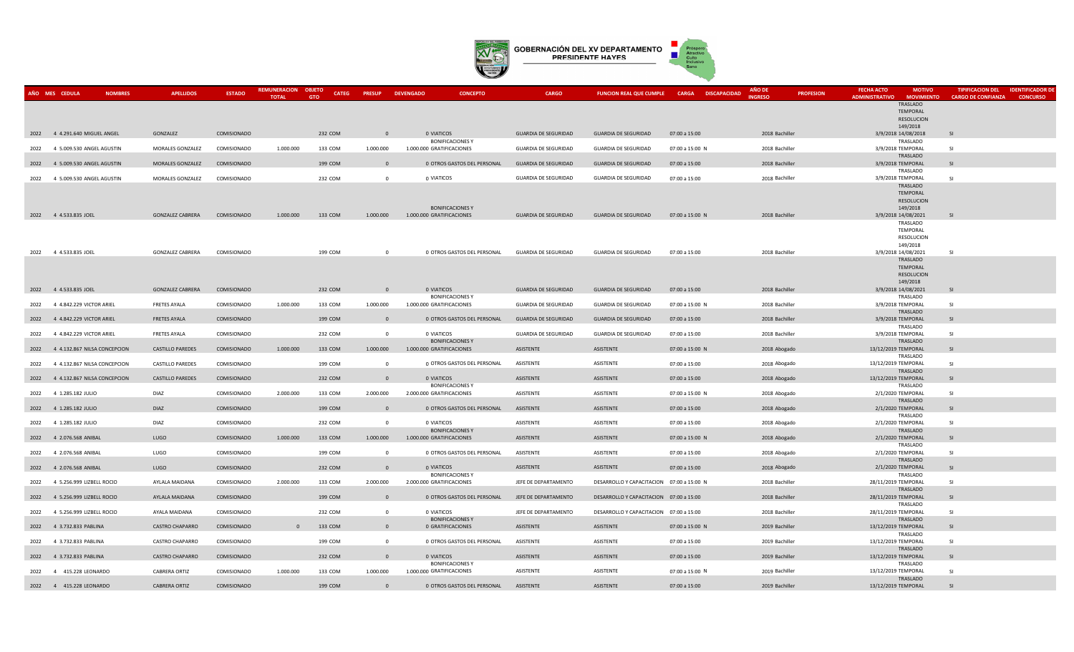

|      | AÑO MES CEDULA<br><b>NOMBRES</b>  | <b>APELLIDOS</b>        | <b>ESTADO</b> | <b>REMUNERACION</b><br><b>TOTAL</b> | <b>OBJETO</b><br><b>CATEG</b><br><b>GTO</b> | <b>PRESUP</b>            | <b>DEVENGADO</b><br><b>CONCEPTO</b>                  | <b>CARGO</b>                | FUNCION REAL QUE CUMPLE CARGA DISCAPACIDAD |                 | AÑO DE<br><b>PROFESION</b><br><b>INGRESO</b> | <b>FECHA ACTO</b><br><b>MOTIVO</b><br><b>ADMINISTRATIVO</b><br><b>MOVIMIENTO</b> | <b>TIPIFICACION DEL</b><br><b>CARGO DE CONFIANZA</b> | <b>IDENTIFICADOR DE</b><br><b>CONCURSO</b> |
|------|-----------------------------------|-------------------------|---------------|-------------------------------------|---------------------------------------------|--------------------------|------------------------------------------------------|-----------------------------|--------------------------------------------|-----------------|----------------------------------------------|----------------------------------------------------------------------------------|------------------------------------------------------|--------------------------------------------|
|      |                                   |                         |               |                                     |                                             |                          |                                                      |                             |                                            |                 |                                              | TRASLADO                                                                         |                                                      |                                            |
|      |                                   |                         |               |                                     |                                             |                          |                                                      |                             |                                            |                 |                                              | TEMPORAL<br>RESOLUCION                                                           |                                                      |                                            |
|      | 2022 4 4.291.640 MIGUEL ANGEL     | GONZALEZ                | COMISIONADO   |                                     | 232 COM                                     | $\Omega$                 | 0 VIATICOS                                           | <b>GUARDIA DE SEGURIDAD</b> | <b>GUARDIA DE SEGURIDAD</b>                | 07:00 a 15:00   | 2018 Bachiller                               | 149/2018<br>3/9/2018 14/08/2018                                                  | SI                                                   |                                            |
|      |                                   |                         |               |                                     |                                             |                          | <b>BONIFICACIONES Y</b>                              |                             |                                            |                 |                                              | TRASLADO                                                                         |                                                      |                                            |
| 2022 | 4 5.009.530 ANGEL AGUSTIN         | MORALES GONZALEZ        | COMISIONADO   | 1.000.000                           | 133 COM                                     | 1.000.000                | 1.000.000 GRATIFICACIONES                            | <b>GUARDIA DE SEGURIDAD</b> | <b>GUARDIA DE SEGURIDAD</b>                | 07:00 a 15:00 N | 2018 Bachiller                               | 3/9/2018 TEMPORAL<br>TRASLADO                                                    | -SI                                                  |                                            |
|      | 2022 4 5.009.530 ANGEL AGUSTIN    | MORALES GONZALEZ        | COMISIONADO   |                                     | 199 COM                                     | $\Omega$                 | 0 OTROS GASTOS DEL PERSONAL                          | <b>GUARDIA DE SEGURIDAD</b> | <b>GUARDIA DE SEGURIDAD</b>                | 07:00 a 15:00   | 2018 Bachiller                               | 3/9/2018 TEMPORAL                                                                | <b>SI</b>                                            |                                            |
|      | 2022 4 5.009.530 ANGEL AGUSTIN    | MORALES GONZALEZ        | COMISIONADO   |                                     | 232 COM                                     | $\overline{0}$           | 0 VIATICOS                                           | <b>GUARDIA DE SEGURIDAD</b> | <b>GUARDIA DE SEGURIDAD</b>                | 07:00 a 15:00   | 2018 Bachiller                               | TRASLADO<br>3/9/2018 TEMPORAL                                                    | SI                                                   |                                            |
|      |                                   |                         |               |                                     |                                             |                          |                                                      |                             |                                            |                 |                                              | TRASLADO<br>TEMPORAL                                                             |                                                      |                                            |
|      |                                   |                         |               |                                     |                                             |                          |                                                      |                             |                                            |                 |                                              | RESOLUCION                                                                       |                                                      |                                            |
|      | 2022 4 4.533.835 JOEL             | <b>GONZALEZ CABRERA</b> | COMISIONADO   | 1.000.000                           | 133 COM                                     | 1.000.000                | <b>BONIFICACIONES Y</b><br>1.000.000 GRATIFICACIONES | <b>GUARDIA DE SEGURIDAD</b> | <b>GUARDIA DE SEGURIDAD</b>                | 07:00 a 15:00 N | 2018 Bachiller                               | 149/2018<br>3/9/2018 14/08/2021                                                  | <b>SI</b>                                            |                                            |
|      |                                   |                         |               |                                     |                                             |                          |                                                      |                             |                                            |                 |                                              | TRASLADO<br>TEMPORAL                                                             |                                                      |                                            |
|      |                                   |                         |               |                                     |                                             |                          |                                                      |                             |                                            |                 |                                              | RESOLUCION                                                                       |                                                      |                                            |
|      | 2022 4 4.533.835 JOEL             | <b>GONZALEZ CABRERA</b> | COMISIONADO   |                                     | 199 COM                                     | $\Omega$                 | 0 OTROS GASTOS DEL PERSONAL                          | <b>GUARDIA DE SEGURIDAD</b> | <b>GUARDIA DE SEGURIDAD</b>                | 07:00 a 15:00   | 2018 Bachiller                               | 149/2018<br>3/9/2018 14/08/2021                                                  | -SI                                                  |                                            |
|      |                                   |                         |               |                                     |                                             |                          |                                                      |                             |                                            |                 |                                              | TRASLADO                                                                         |                                                      |                                            |
|      |                                   |                         |               |                                     |                                             |                          |                                                      |                             |                                            |                 |                                              | TEMPORAL<br>RESOLUCION                                                           |                                                      |                                            |
| 2022 | 4 4.533.835 JOEL                  | <b>GONZALEZ CABRERA</b> | COMISIONADO   |                                     | 232 COM                                     | $\overline{0}$           | 0 VIATICOS                                           | <b>GUARDIA DE SEGURIDAD</b> | <b>GUARDIA DE SEGURIDAD</b>                | 07:00 a 15:00   | 2018 Bachiller                               | 149/2018<br>3/9/2018 14/08/2021                                                  | SI                                                   |                                            |
|      |                                   |                         |               |                                     |                                             |                          | <b>BONIFICACIONES Y</b>                              |                             |                                            |                 |                                              | TRASLADO                                                                         |                                                      |                                            |
| 2022 | 4 4.842.229 VICTOR ARIEL          | <b>FRETES AYALA</b>     | COMISIONADO   | 1.000.000                           | 133 COM                                     | 1.000.000                | 1.000.000 GRATIFICACIONES                            | <b>GUARDIA DE SEGURIDAD</b> | <b>GUARDIA DE SEGURIDAD</b>                | 07:00 a 15:00 N | 2018 Bachiller                               | 3/9/2018 TEMPORAL<br>TRASLADO                                                    | $\overline{S}$                                       |                                            |
| 2022 | 4 4.842.229 VICTOR ARIEL          | <b>FRETES AYALA</b>     | COMISIONADO   |                                     | 199 COM                                     | $\Omega$                 | 0 OTROS GASTOS DEL PERSONAL                          | <b>GUARDIA DE SEGURIDAD</b> | <b>GUARDIA DE SEGURIDAD</b>                | 07:00 a 15:00   | 2018 Bachiller                               | 3/9/2018 TEMPORAL                                                                | <b>SI</b>                                            |                                            |
| 2022 | 4 4.842.229 VICTOR ARIEL          | <b>FRETES AYALA</b>     | COMISIONADO   |                                     | 232 COM                                     | $\overline{0}$           | 0 VIATICOS                                           | <b>GUARDIA DE SEGURIDAD</b> | <b>GUARDIA DE SEGURIDAD</b>                | 07:00 a 15:00   | 2018 Bachiller                               | TRASLADO<br>3/9/2018 TEMPORAL                                                    | -SI                                                  |                                            |
| 2022 | 4 4.132.867 NILSA CONCEPCION      | <b>CASTILLO PAREDES</b> | COMISIONADO   | 1.000.000                           | 133 COM                                     | 1.000.000                | <b>BONIFICACIONES Y</b><br>1.000.000 GRATIFICACIONES | ASISTENTE                   | ASISTENTE                                  | 07:00 a 15:00 N | 2018 Abogado                                 | TRASLADO<br>13/12/2019 TEMPORAL                                                  | <b>SI</b>                                            |                                            |
|      |                                   |                         |               |                                     |                                             |                          |                                                      |                             |                                            |                 |                                              | TRASLADO                                                                         |                                                      |                                            |
| 2022 | 4 4.132.867 NILSA CONCEPCION      | CASTILLO PAREDES        | COMISIONADO   |                                     | 199 COM                                     | $\mathbf 0$              | 0 OTROS GASTOS DEL PERSONAL                          | ASISTENTE                   | ASISTENTE                                  | 07:00 a 15:00   | 2018 Abogado                                 | 13/12/2019 TEMPORAL<br>TRASLADO                                                  | <b>SI</b>                                            |                                            |
|      | 2022 4 4.132.867 NILSA CONCEPCION | CASTILLO PAREDES        | COMISIONADO   |                                     | 232 COM                                     | $\overline{\phantom{0}}$ | 0 VIATICOS                                           | ASISTENTE                   | ASISTENTE                                  | 07:00 a 15:00   | 2018 Abogado                                 | 13/12/2019 TEMPORAL                                                              | <b>SI</b>                                            |                                            |
|      | 2022 4 1.285.182 JULIO            | <b>DIAZ</b>             | COMISIONADO   | 2.000.000                           | 133 COM                                     | 2.000.000                | <b>BONIFICACIONES Y</b><br>2.000.000 GRATIFICACIONES | ASISTENTE                   | ASISTENTE                                  | 07:00 a 15:00 N | 2018 Abogado                                 | TRASLADO<br>2/1/2020 TEMPORAL                                                    | SI.                                                  |                                            |
|      | 2022 4 1.285.182 JULIO            | <b>DIAZ</b>             | COMISIONADO   |                                     | 199 COM                                     | $\Omega$                 | 0 OTROS GASTOS DEL PERSONAL                          | ASISTENTE                   | ASISTENTE                                  | 07:00 a 15:00   | 2018 Abogado                                 | TRASLADO<br>2/1/2020 TEMPORAL                                                    | <b>SI</b>                                            |                                            |
|      |                                   |                         |               |                                     |                                             |                          |                                                      |                             |                                            |                 |                                              | TRASLADO                                                                         |                                                      |                                            |
| 2022 | 4 1.285.182 JULIO                 | <b>DIAZ</b>             | COMISIONADO   |                                     | 232 COM                                     | $\mathbf 0$              | 0 VIATICOS<br><b>BONIFICACIONES Y</b>                | ASISTENTE                   | ASISTENTE                                  | 07:00 a 15:00   | 2018 Abogado                                 | 2/1/2020 TEMPORAL<br>TRASLADO                                                    | <b>SI</b>                                            |                                            |
| 2022 | 4 2.076.568 ANIBAL                | LUGO                    | COMISIONADO   | 1.000.000                           | 133 COM                                     | 1.000.000                | 1.000.000 GRATIFICACIONES                            | ASISTENTE                   | ASISTENTE                                  | 07:00 a 15:00 N | 2018 Abogado                                 | 2/1/2020 TEMPORAL<br>TRASLADO                                                    | <b>SI</b>                                            |                                            |
| 2022 | 4 2.076.568 ANIBAL                | LUGO                    | COMISIONADO   |                                     | 199 COM                                     | $\mathbf{0}$             | 0 OTROS GASTOS DEL PERSONAL                          | ASISTENTE                   | ASISTENTE                                  | 07:00 a 15:00   | 2018 Abogado                                 | 2/1/2020 TEMPORAL                                                                | <b>SI</b>                                            |                                            |
| 2022 | 4 2.076.568 ANIBAL                | LUGO                    | COMISIONADO   |                                     | 232 COM                                     | $\overline{0}$           | 0 VIATICOS                                           | ASISTENTE                   | ASISTENTE                                  | 07:00 a 15:00   | 2018 Abogado                                 | TRASLADO<br>2/1/2020 TEMPORAL                                                    | <b>SI</b>                                            |                                            |
|      |                                   |                         |               |                                     |                                             |                          | <b>BONIFICACIONES Y</b>                              |                             |                                            |                 |                                              | TRASLADO                                                                         |                                                      |                                            |
|      | 2022 4 5.256.999 LIZBELL ROCIO    | AYLALA MAIDANA          | COMISIONADO   | 2.000.000                           | 133 COM                                     | 2.000.000                | 2,000,000 GRATIFICACIONES                            | JEFE DE DEPARTAMENTO        | DESARROLLO Y CAPACITACION 07:00 a 15:00 N  |                 | 2018 Bachiller                               | 28/11/2019 TEMPORAL<br>TRASLADO                                                  | SI                                                   |                                            |
|      | 2022 4 5.256.999 LIZBELL ROCIO    | AYLALA MAIDANA          | COMISIONADO   |                                     | 199 COM                                     | $\overline{0}$           | 0 OTROS GASTOS DEL PERSONAL                          | JEFE DE DEPARTAMENTO        | DESARROLLO Y CAPACITACION 07:00 a 15:00    |                 | 2018 Bachiller                               | 28/11/2019 TEMPORAL<br>TRASLADO                                                  | <b>SI</b>                                            |                                            |
| 2022 | 4 5.256.999 LIZBELL ROCIO         | AYALA MAIDANA           | COMISIONADO   |                                     | 232 COM                                     | $\mathbf 0$              | 0 VIATICOS                                           | JEFE DE DEPARTAMENTO        | DESARROLLO Y CAPACITACION 07:00 a 15:00    |                 | 2018 Bachiller                               | 28/11/2019 TEMPORAL                                                              | -SI                                                  |                                            |
|      | 2022 4 3.732.833 PABLINA          | CASTRO CHAPARRO         | COMISIONADO   | $\mathbf{0}$                        | 133 COM                                     | $\overline{0}$           | <b>BONIFICACIONES Y</b><br>0 GRATIFICACIONES         | ASISTENTE                   | ASISTENTE                                  | 07:00 a 15:00 N | 2019 Bachiller                               | TRASLADO<br>13/12/2019 TEMPORAL                                                  | SI                                                   |                                            |
|      |                                   | CASTRO CHAPARRO         |               |                                     | 199 COM                                     | $\overline{0}$           |                                                      | ASISTENTE                   |                                            |                 |                                              | TRASLADO<br>13/12/2019 TEMPORAL                                                  | <b>SI</b>                                            |                                            |
|      | 2022 4 3.732.833 PABLINA          |                         | COMISIONADO   |                                     |                                             |                          | 0 OTROS GASTOS DEL PERSONAL                          |                             | ASISTENTE                                  | 07:00 a 15:00   | 2019 Bachiller                               | TRASLADO                                                                         |                                                      |                                            |
| 2022 | 4 3.732.833 PABLINA               | CASTRO CHAPARRO         | COMISIONADO   |                                     | 232 COM                                     | $\overline{0}$           | 0 VIATICOS<br><b>BONIFICACIONES Y</b>                | ASISTENTE                   | ASISTENTE                                  | 07:00 a 15:00   | 2019 Bachiller                               | 13/12/2019 TEMPORAL<br>TRASLADO                                                  | SI                                                   |                                            |
|      | 2022 4 415.228 LEONARDO           | <b>CABRERA ORTIZ</b>    | COMISIONADO   | 1.000.000                           | 133 COM                                     | 1.000.000                | 1,000,000 GRATIFICACIONES                            | ASISTENTE                   | ASISTENTE                                  | 07:00 a 15:00 N | 2019 Bachiller                               | 13/12/2019 TEMPORAL                                                              | -SI                                                  |                                            |
|      | 2022 4 415.228 LEONARDO           | <b>CABRERA ORTIZ</b>    | COMISIONADO   |                                     | 199 COM                                     | $\Omega$                 | 0 OTROS GASTOS DEL PERSONAL                          | ASISTENTE                   | ASISTENTE                                  | 07:00 a 15:00   | 2019 Bachiller                               | TRASLADO<br>13/12/2019 TEMPORAL                                                  | -SI                                                  |                                            |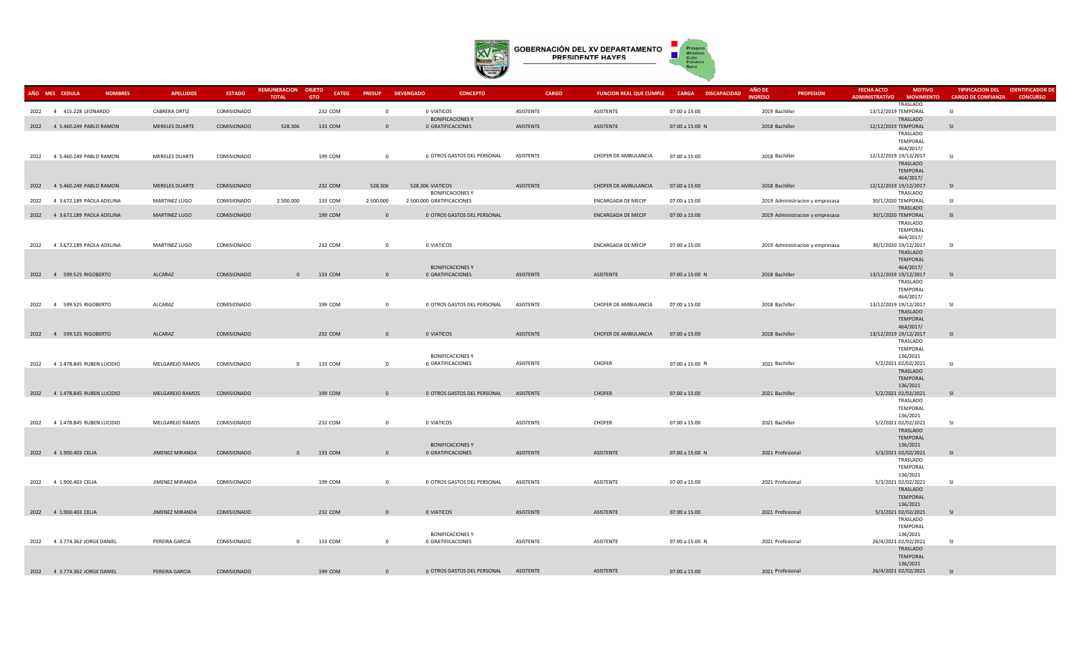

| AÑO MES CEDULA | <b>NOMBRES</b>                 | <b>APELLIDOS</b>     | <b>ESTADO</b> | REMUNERACION OBJETO<br><b>TOTAL</b> | <b>CATEG</b><br><b>GTO</b> | <b>PRESUP</b>  | <b>DEVENGADO</b><br><b>CONCEPTO</b>          | <b>CARGO</b> | FUNCION REAL QUE CUMPLE CARGA DISCAPACIDAD |                 | AÑO DE<br><b>INGRESO</b> | <b>PROFESION</b>                | <b>FECHA ACTO</b><br><b>ADMINISTRATIVO</b> | <b>MOTIVO</b><br><b>MOVIMIENTO</b> | <b>TIPIFICACION DEL</b><br><b>CARGO DE CONFIANZA</b> | <b>IDENTIFICADOR DI</b><br><b>CONCURSO</b> |
|----------------|--------------------------------|----------------------|---------------|-------------------------------------|----------------------------|----------------|----------------------------------------------|--------------|--------------------------------------------|-----------------|--------------------------|---------------------------------|--------------------------------------------|------------------------------------|------------------------------------------------------|--------------------------------------------|
|                | 2022 4 415.228 LEONARDO        | <b>CABRERA ORTIZ</b> | COMISIONADO   |                                     | 232 COM                    | $\overline{0}$ | 0 VIATICOS                                   | ASISTENTE    | ASISTENTE                                  | 07:00 a 15:00   | 2019 Bachiller           |                                 | 13/12/2019 TEMPORAL                        | <b>TRASLADO</b>                    | <b>SI</b>                                            |                                            |
|                | 2022 4 5.460.249 PABLO RAMON   | MERELES DUARTE       | COMISIONADO   | 528.306                             | 133 COM                    | $\overline{0}$ | <b>BONIFICACIONES Y</b><br>0 GRATIFICACIONES | ASISTENTE    | ASISTENTE                                  | 07:00 a 15:00 N | 2018 Bachiller           |                                 | 12/12/2019 TEMPORAL                        | TRASLADO                           | SI                                                   |                                            |
|                |                                |                      |               |                                     |                            |                |                                              |              |                                            |                 |                          |                                 |                                            | TRASLADO                           |                                                      |                                            |
|                |                                |                      |               |                                     |                            |                |                                              |              |                                            |                 |                          |                                 |                                            | <b>TEMPORAL</b><br>464/2017/       |                                                      |                                            |
|                | 2022 4 5.460.249 PABLO RAMON   | MERELES DUARTE       | COMISIONADO   |                                     | 199 COM                    | $\overline{0}$ | 0 OTROS GASTOS DEL PERSONAL                  | ASISTENTE    | CHOFER DE AMBULANCIA                       | 07:00 a 15:00   | 2018 Bachiller           |                                 | 12/12/2019 19/12/2017                      |                                    | <b>SI</b>                                            |                                            |
|                |                                |                      |               |                                     |                            |                |                                              |              |                                            |                 |                          |                                 |                                            | TRASLADO<br><b>TEMPORAL</b>        |                                                      |                                            |
|                | 2022 4 5.460.249 PABLO RAMON   | MERELES DUARTE       | COMISIONADO   |                                     | 232 COM                    | 528.306        | 528.306 VIATICOS                             | ASISTENTE    | CHOFER DE AMBULANCIA                       | 07:00 a 15:00   | 2018 Bachiller           |                                 | 12/12/2019 19/12/2017                      | 464/2017/                          | SI                                                   |                                            |
|                |                                |                      |               |                                     |                            |                | <b>BONIFICACIONES Y</b>                      |              |                                            |                 |                          |                                 |                                            | TRASLADO                           |                                                      |                                            |
| 2022           | 4 3.672.189 PAOLA ADELINA      | MARTINEZ LUGO        | COMISIONADO   | 2.500.000                           | 133 COM                    | 2.500.000      | 2.500.000 GRATIFICACIONES                    |              | ENCARGADA DE MECIP                         | 07:00 a 15:00   |                          | 2019 Administracion y empresasa | 30/1/2020 TEMPORAL                         | TRASLADO                           | <b>SI</b>                                            |                                            |
|                | 2022 4 3.672.189 PAOLA ADELINA | MARTINEZ LUGO        | COMISIONADO   |                                     | 199 COM                    | $\overline{0}$ | 0 OTROS GASTOS DEL PERSONAL                  |              | <b>ENCARGADA DE MECIP</b>                  | 07:00 a 15:00   |                          | 2019 Administracion y empresasa | 30/1/2020 TEMPORAL                         |                                    | SI                                                   |                                            |
|                |                                |                      |               |                                     |                            |                |                                              |              |                                            |                 |                          |                                 |                                            | TRASLADO<br>TEMPORAL               |                                                      |                                            |
|                |                                |                      |               |                                     |                            |                |                                              |              |                                            |                 |                          |                                 |                                            | 464/2017/                          |                                                      |                                            |
|                | 2022 4 3.672.189 PAOLA ADELINA | MARTINEZ LUGO        | COMISIONADO   |                                     | 232 COM                    | $\overline{0}$ | 0 VIATICOS                                   |              | ENCARGADA DE MECIP                         | 07:00 a 15:00   |                          | 2019 Administracion y empresasa | 30/1/2020 19/12/2017                       | TRASLADO                           | <b>SI</b>                                            |                                            |
|                |                                |                      |               |                                     |                            |                | <b>BONIFICACIONES Y</b>                      |              |                                            |                 |                          |                                 |                                            | <b>TEMPORAL</b><br>464/2017/       |                                                      |                                            |
|                | 2022 4 599.525 RIGOBERTO       | ALCARAZ              | COMISIONADO   | $\mathbf{0}$                        | 133 COM                    | $\overline{0}$ | 0 GRATIFICACIONES                            | ASISTENTE    | ASISTENTE                                  | 07:00 a 15:00 N | 2018 Bachiller           |                                 | 13/12/2019 19/12/2017                      |                                    | -SI                                                  |                                            |
|                |                                |                      |               |                                     |                            |                |                                              |              |                                            |                 |                          |                                 |                                            | TRASLADO<br><b>TEMPORAL</b>        |                                                      |                                            |
|                |                                |                      |               |                                     |                            |                |                                              |              |                                            |                 |                          |                                 |                                            | 464/2017/                          |                                                      |                                            |
|                | 2022 4 599.525 RIGOBERTO       | ALCARAZ              | COMISIONADO   |                                     | 199 COM                    | $\overline{0}$ | 0 OTROS GASTOS DEL PERSONAL                  | ASISTENTE    | CHOFER DE AMBULANCIA                       | 07:00 a 15:00   | 2018 Bachiller           |                                 | 13/12/2019 19/12/2017                      | TRASLADO                           | <b>SI</b>                                            |                                            |
|                |                                |                      |               |                                     |                            |                |                                              |              |                                            |                 |                          |                                 |                                            | <b>TEMPORAL</b><br>464/2017/       |                                                      |                                            |
|                | 2022 4 599.525 RIGOBERTO       | ALCARAZ              | COMISIONADO   |                                     | 232 COM                    | $\overline{0}$ | 0 VIATICOS                                   | ASISTENTE    | CHOFER DE AMBULANCIA                       | 07:00 a 15:00   | 2018 Bachiller           |                                 | 13/12/2019 19/12/2017                      |                                    | SI.                                                  |                                            |
|                |                                |                      |               |                                     |                            |                |                                              |              |                                            |                 |                          |                                 |                                            | TRASLADO<br>TEMPORAL               |                                                      |                                            |
|                |                                |                      |               |                                     |                            |                | <b>BONIFICACIONES Y</b>                      |              |                                            |                 |                          |                                 |                                            | 136/2021                           |                                                      |                                            |
|                | 2022 4 1.478.845 RUBEN LUCIDIO | MELGAREJO RAMOS      | COMISIONADO   | $\Omega$                            | 133 COM                    | $\overline{0}$ | 0 GRATIFICACIONES                            | ASISTENTE    | <b>CHOFER</b>                              | 07:00 a 15:00 N | 2021 Bachiller           |                                 | 5/2/2021 02/02/2021                        | TRASLADO                           | <b>SI</b>                                            |                                            |
|                |                                |                      |               |                                     |                            |                |                                              |              |                                            |                 |                          |                                 |                                            | <b>TEMPORAL</b>                    |                                                      |                                            |
|                | 2022 4 1.478.845 RUBEN LUCIDIO | MELGAREJO RAMOS      | COMISIONADO   |                                     | 199 COM                    | $\overline{0}$ | 0 OTROS GASTOS DEL PERSONAL                  | ASISTENTE    | CHOFER                                     | 07:00 a 15:00   | 2021 Bachiller           |                                 | 5/2/2021 02/02/2021                        | 136/2021                           | SI                                                   |                                            |
|                |                                |                      |               |                                     |                            |                |                                              |              |                                            |                 |                          |                                 |                                            | TRASLADO<br><b>TEMPORAL</b>        |                                                      |                                            |
|                |                                |                      |               |                                     |                            |                |                                              |              |                                            |                 |                          |                                 |                                            | 136/2021                           |                                                      |                                            |
|                | 2022 4 1.478.845 RUBEN LUCIDIO | MELGAREJO RAMOS      | COMISIONADO   |                                     | 232 COM                    | $\overline{0}$ | 0 VIATICOS                                   | ASISTENTE    | <b>CHOFER</b>                              | 07:00 a 15:00   | 2021 Bachiller           |                                 | 5/2/2021 02/02/2021                        | TRASLADO                           | <b>SI</b>                                            |                                            |
|                |                                |                      |               |                                     |                            |                |                                              |              |                                            |                 |                          |                                 |                                            | <b>TEMPORAL</b>                    |                                                      |                                            |
|                | 2022 4 1.900.403 CELIA         | JIMENEZ MIRANDA      | COMISIONADO   | $\mathbf{0}$                        | 133 COM                    | $\overline{0}$ | <b>BONIFICACIONES Y</b><br>0 GRATIFICACIONES | ASISTENTE    | ASISTENTE                                  | 07:00 a 15:00 N |                          | 2021 Profesional                | 5/3/2021 02/02/2021                        | 136/2021                           | SI                                                   |                                            |
|                |                                |                      |               |                                     |                            |                |                                              |              |                                            |                 |                          |                                 |                                            | TRASLADO<br>TEMPORAL               |                                                      |                                            |
|                |                                |                      |               |                                     |                            |                |                                              |              |                                            |                 |                          |                                 |                                            | 136/2021                           |                                                      |                                            |
|                | 2022 4 1.900.403 CELIA         | JIMENEZ MIRANDA      | COMISIONADO   |                                     | 199 COM                    | $\overline{0}$ | 0 OTROS GASTOS DEL PERSONAL                  | ASISTENTE    | ASISTENTE                                  | 07:00 a 15:00   |                          | 2021 Profesional                | 5/3/2021 02/02/2021                        | TRASLADO                           | <b>SI</b>                                            |                                            |
|                |                                |                      |               |                                     |                            |                |                                              |              |                                            |                 |                          |                                 |                                            | TEMPORAL                           |                                                      |                                            |
|                | 2022 4 1.900.403 CELIA         | JIMENEZ MIRANDA      | COMISIONADO   |                                     | 232 COM                    | $\overline{0}$ | 0 VIATICOS                                   | ASISTENTE    | ASISTENTE                                  | 07:00 a 15:00   |                          | 2021 Profesional                | 5/3/2021 02/02/2021                        | 136/2021                           | SI.                                                  |                                            |
|                |                                |                      |               |                                     |                            |                |                                              |              |                                            |                 |                          |                                 |                                            | TRASLADO                           |                                                      |                                            |
|                |                                |                      |               |                                     |                            |                | <b>BONIFICACIONES Y</b>                      |              |                                            |                 |                          |                                 |                                            | TEMPORAL<br>136/2021               |                                                      |                                            |
|                | 2022 4 3.774.362 JORGE DANIEL  | PEREIRA GARCIA       | COMISIONADO   | $\mathbf{0}$                        | 133 COM                    | $\overline{0}$ | 0 GRATIFICACIONES                            | ASISTENTE    | ASISTENTE                                  | 07:00 a 15:00 N |                          | 2021 Profesional                | 26/4/2021 02/02/2021                       | TRASLADO                           | <b>SI</b>                                            |                                            |
|                |                                |                      |               |                                     |                            |                |                                              |              |                                            |                 |                          |                                 |                                            | TEMPORAL                           |                                                      |                                            |
|                | 2022 4 3.774.362 JORGE DANIEL  | PEREIRA GARCIA       | COMISIONADO   |                                     | 199 COM                    | $\overline{0}$ | 0 OTROS GASTOS DEL PERSONAL                  | ASISTENTE    | ASISTENTE                                  | 07:00 a 15:00   |                          | 2021 Profesional                | 26/4/2021 02/02/2021                       | 136/2021                           | <b>SI</b>                                            |                                            |
|                |                                |                      |               |                                     |                            |                |                                              |              |                                            |                 |                          |                                 |                                            |                                    |                                                      |                                            |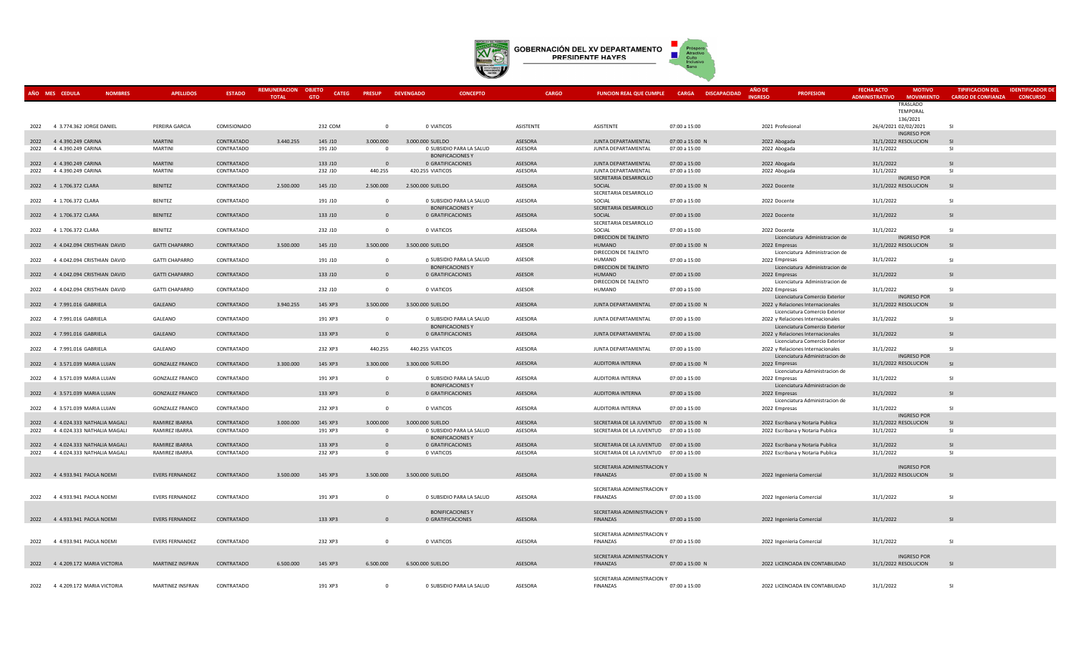

| AÑO MES CEDULA | <b>NOMBRES</b>                   | <b>APELLIDOS</b>        | <b>ESTADO</b> | <b>REMUNERACION</b> | <b>OBJETC</b><br><b>CATEG</b> | <b>PRESUP</b>  | <b>DEVENGADO</b><br><b>CONCEPTO</b>                 | <b>CARGO</b>   | <b>FUNCION REAL QUE CUMPLE</b>            | <b>CARGA DISCAPACIDAD</b> | AÑO D            | <b>PROFESION</b>                                                     | <b>FECHA ACTO</b>     | <b>MOTIVO</b>                                         | <b>TIPIFICACION DEL</b>   | <b>IDENTIFICADOR DE</b> |
|----------------|----------------------------------|-------------------------|---------------|---------------------|-------------------------------|----------------|-----------------------------------------------------|----------------|-------------------------------------------|---------------------------|------------------|----------------------------------------------------------------------|-----------------------|-------------------------------------------------------|---------------------------|-------------------------|
|                |                                  |                         |               | <b>TOTAL</b>        | <b>GTO</b>                    |                |                                                     |                |                                           |                           | <b>NGRESC</b>    |                                                                      | <b>ADMINISTRATIVO</b> | <b>MOVIMIENTO</b><br>TRASLADO<br>TEMPORAL<br>136/2021 | <b>CARGO DE CONFIANZA</b> | <b>CONCURSO</b>         |
| 2022           | 4 3.774.362 JORGE DANIEL         | PEREIRA GARCIA          | COMISIONADO   |                     | 232 COM                       | $\mathbf 0$    | 0 VIATICOS                                          | ASISTENTE      | ASISTENTE                                 | 07:00 a 15:00             | 2021 Profesional |                                                                      |                       | 26/4/2021 02/02/2021                                  | <b>SI</b>                 |                         |
| 2022           | 4 4.390.249 CARINA               | <b>MARTINI</b>          | CONTRATADO    | 3.440.255           | 145 J10                       | 3.000.000      | 3.000.000 SUELDO                                    | ASESORA        | JUNTA DEPARTAMENTAL                       | 07:00 a 15:00 N           | 2022 Abogada     |                                                                      |                       | <b>INGRESO POR</b><br>31/1/2022 RESOLUCION            | SI                        |                         |
| 2022           | 4 4.390.249 CARINA               | MARTINI                 | CONTRATADO    |                     | 191 J10                       | $\mathbf{0}$   | 0 SUBSIDIO PARA LA SALUD                            | ASESORA        | JUNTA DEPARTAMENTAL                       | 07:00 a 15:00             | 2022 Abogada     |                                                                      | 31/1/2022             |                                                       | <b>SI</b>                 |                         |
| 2022           | 4 4.390.249 CARINA               | <b>MARTINI</b>          | CONTRATADO    |                     | 133 J10                       | $\overline{0}$ | <b>BONIFICACIONES Y</b><br>0 GRATIFICACIONES        | ASESORA        | <b>JUNTA DEPARTAMENTAL</b>                | 07:00 a 15:00             | 2022 Abogada     |                                                                      | 31/1/2022             |                                                       | -SI                       |                         |
| 2022           | 4 4.390.249 CARINA               | <b>MARTINI</b>          | CONTRATADO    |                     | 232 J10                       | 440.255        | 420.255 VIATICOS                                    | ASESORA        | JUNTA DEPARTAMENTAL                       | 07:00 a 15:00             | 2022 Abogada     |                                                                      | 31/1/2022             |                                                       | -SI                       |                         |
|                | 2022 4 1.706.372 CLARA           | <b>BENITEZ</b>          | CONTRATADO    | 2.500.000           | 145 J10                       | 2.500.000      | 2.500.000 SUELDO                                    | ASESORA        | SECRETARIA DESARROLLO<br>SOCIAL           | 07:00 a 15:00 N           | 2022 Docente     |                                                                      |                       | <b>INGRESO POR</b><br>31/1/2022 RESOLUCION            | SI                        |                         |
|                |                                  |                         |               |                     |                               |                |                                                     |                | SECRETARIA DESARROLLO                     |                           |                  |                                                                      |                       |                                                       |                           |                         |
|                | 2022 4 1.706.372 CLARA           | <b>BENITEZ</b>          | CONTRATADO    |                     | 191 J10                       | $\mathbf{0}$   | 0 SUBSIDIO PARA LA SALUD<br><b>BONIFICACIONES Y</b> | ASESORA        | SOCIAL<br>SECRETARIA DESARROLLO           | 07:00 a 15:00             | 2022 Docente     |                                                                      | 31/1/2022             |                                                       | <b>SI</b>                 |                         |
|                | 2022 4 1.706.372 CLARA           | <b>BENITEZ</b>          | CONTRATADO    |                     | 133 J10                       | $\Omega$       | 0 GRATIFICACIONES                                   | ASESORA        | SOCIAL                                    | 07:00 a 15:00             | 2022 Docente     |                                                                      | 31/1/2022             |                                                       | <b>SI</b>                 |                         |
|                | 2022 4 1.706.372 CLARA           | <b>BENITEZ</b>          | CONTRATADO    |                     | 232 J10                       | $\overline{0}$ | 0 VIATICOS                                          | ASESORA        | SECRETARIA DESARROLLO<br>SOCIAL           | 07:00 a 15:00             | 2022 Docente     |                                                                      | 31/1/2022             |                                                       | SI                        |                         |
|                |                                  |                         |               |                     |                               |                |                                                     |                | DIRECCION DE TALENTO                      |                           |                  | Licenciatura Administracion de                                       |                       | <b>INGRESO POR</b>                                    |                           |                         |
| 2022           | 4 4.042.094 CRISTHIAN DAVID      | <b>GATTI CHAPARRO</b>   | CONTRATADO    | 3.500.000           | 145 J10                       | 3.500.000      | 3.500.000 SUELDO                                    | ASESOR         | HUMANO<br>DIRECCION DE TALENTO            | 07:00 a 15:00 N           | 2022 Empresas    | Licenciatura Administracion de                                       |                       | 31/1/2022 RESOLUCION                                  | <b>SI</b>                 |                         |
| 2022           | 4 4.042.094 CRISTHIAN DAVID      | <b>GATTI CHAPARRO</b>   | CONTRATADO    |                     | 191 J10                       | $\mathbf{0}$   | 0 SUBSIDIO PARA LA SALUD                            | ASESOR         | <b>HUMANO</b>                             | 07:00 a 15:00             | 2022 Empresas    |                                                                      | 31/1/2022             |                                                       | SI.                       |                         |
| 2022           | 4 4.042.094 CRISTHIAN DAVID      | <b>GATTI CHAPARRO</b>   | CONTRATADO    |                     | 133 J10                       | $\mathbf{0}$   | <b>BONIFICACIONES Y</b><br>0 GRATIFICACIONES        | ASESOR         | DIRECCION DE TALENTO<br>HUMANO            | 07:00 a 15:00             | 2022 Empresas    | Licenciatura Administracion de                                       | 31/1/2022             |                                                       | <b>SI</b>                 |                         |
|                |                                  |                         |               |                     |                               |                |                                                     |                | DIRECCION DE TALENTO                      |                           |                  | Licenciatura Administracion de                                       |                       |                                                       |                           |                         |
|                | 2022 4 4.042.094 CRISTHIAN DAVID | <b>GATTI CHAPARRO</b>   | CONTRATADO    |                     | 232 J10                       | $\Omega$       | 0 VIATICOS                                          | ASESOR         | HUMANO                                    | 07:00 a 15:00             | 2022 Empresas    | Licenciatura Comercio Exterior                                       | 31/1/2022             | <b>INGRESO POR</b>                                    | SI                        |                         |
|                | 2022 4 7.991.016 GABRIELA        | GALEANO                 | CONTRATADO    | 3.940.255           | 145 XP3                       | 3.500.000      | 3.500.000 SUELDO                                    | <b>ASESORA</b> | <b>JUNTA DEPARTAMENTAL</b>                | 07:00 a 15:00 N           |                  | 2022 y Relaciones Internacionales                                    |                       | 31/1/2022 RESOLUCION                                  | SI                        |                         |
|                | 2022 4 7.991.016 GABRIELA        | GALEANO                 | CONTRATADO    |                     | 191 XP3                       | $\Omega$       | 0 SUBSIDIO PARA LA SALUD                            | ASESORA        | JUNTA DEPARTAMENTAL                       | 07:00 a 15:00             |                  | Licenciatura Comercio Exterior<br>2022 y Relaciones Internacionales  | 31/1/2022             |                                                       | <b>SI</b>                 |                         |
|                |                                  |                         |               |                     |                               |                | <b>BONIFICACIONES Y</b>                             |                |                                           |                           |                  | Licenciatura Comercio Exterior                                       |                       |                                                       |                           |                         |
|                | 2022 4 7.991.016 GABRIELA        | GALEANO                 | CONTRATADO    |                     | 133 XP3                       | $\Omega$       | 0 GRATIFICACIONES                                   | ASESORA        | JUNTA DEPARTAMENTAL                       | 07:00 a 15:00             |                  | 2022 y Relaciones Internacionales<br>Licenciatura Comercio Exterior  | 31/1/2022             |                                                       | SI.                       |                         |
| 2022           | 4 7.991.016 GABRIELA             | GALEANO                 | CONTRATADO    |                     | 232 XP3                       | 440.255        | 440.255 VIATICOS                                    | ASESORA        | JUNTA DEPARTAMENTAL                       | 07:00 a 15:00             |                  | 2022 y Relaciones Internacionales                                    | 31/1/2022             |                                                       | <b>SI</b>                 |                         |
|                | 2022 4 3.571.039 MARIA LUJAN     | <b>GONZALEZ FRANCO</b>  | CONTRATADO    | 3.300.000           | 145 XP3                       | 3.300.000      | 3.300.000 SUELDO                                    | ASESORA        | AUDITORIA INTERNA                         | 07:00 a 15:00 N           | 2022 Empresas    | Licenciatura Administracion de                                       |                       | <b>INGRESO POR</b><br>31/1/2022 RESOLUCION            | SI                        |                         |
|                |                                  |                         |               |                     |                               | $\Omega$       |                                                     |                |                                           |                           |                  | Licenciatura Administracion de                                       |                       |                                                       | SI                        |                         |
|                | 2022 4 3.571.039 MARIA LUJAN     | <b>GONZALEZ FRANCO</b>  | CONTRATADO    |                     | 191 XP3                       |                | 0 SUBSIDIO PARA LA SALUD<br><b>BONIFICACIONES Y</b> | ASESORA        | AUDITORIA INTERNA                         | 07:00 a 15:00             | 2022 Empresas    | Licenciatura Administracion de                                       | 31/1/2022             |                                                       |                           |                         |
|                | 2022 4 3.571.039 MARIA LUJAN     | <b>GONZALEZ FRANCO</b>  | CONTRATADO    |                     | 133 XP3                       | $\mathbf{0}$   | 0 GRATIFICACIONES                                   | ASESORA        | AUDITORIA INTERNA                         | 07:00 a 15:00             | 2022 Empresas    |                                                                      | 31/1/2022             |                                                       | <b>SI</b>                 |                         |
| 2022           | 4 3.571.039 MARIA LUJAN          | <b>GONZALEZ FRANCO</b>  | CONTRATADO    |                     | 232 XP3                       | $\Omega$       | 0 VIATICOS                                          | ASESORA        | AUDITORIA INTERNA                         | 07:00 a 15:00             | 2022 Empresas    | Licenciatura Administracion de                                       | 31/1/2022             |                                                       | SI.                       |                         |
| 2022           | 4 4.024.333 NATHALIA MAGALI      | RAMIREZ IBARRA          | CONTRATADO    | 3.000.000           | 145 XP3                       | 3.000.000      | 3.000.000 SUELDO                                    | ASESORA        | SECRETARIA DE LA JUVENTUD 07:00 a 15:00 N |                           |                  |                                                                      |                       | <b>INGRESO POR</b><br>31/1/2022 RESOLUCION            | SI                        |                         |
| 2022           | 4 4.024.333 NATHALIA MAGALI      | RAMIREZ IBARRA          | CONTRATADO    |                     | 191 XP3                       | $\mathbf{0}$   | 0 SUBSIDIO PARA LA SALUD                            | ASESORA        | SECRETARIA DE LA JUVENTUD 07:00 a 15:00   |                           |                  | 2022 Escribana y Notaria Publica<br>2022 Escribana y Notaria Publica | 31/1/2022             |                                                       | SI.                       |                         |
|                | 2022 4 4.024.333 NATHALIA MAGALI | RAMIREZ IBARRA          | CONTRATADO    |                     | 133 XP3                       | $\Omega$       | <b>BONIFICACIONES Y</b><br>0 GRATIFICACIONES        | ASESORA        | SECRETARIA DE LA JUVENTUD 07:00 a 15:00   |                           |                  |                                                                      | 31/1/2022             |                                                       | <sub>SI</sub>             |                         |
| 2022           | 4 4.024.333 NATHALIA MAGALI      | RAMIREZ IBARRA          | CONTRATADO    |                     | 232 XP3                       | $\Omega$       | 0 VIATICOS                                          | ASESORA        | SECRETARIA DE LA JUVENTUD 07:00 a 15:00   |                           |                  | 2022 Escribana y Notaria Publica<br>2022 Escribana y Notaria Publica | 31/1/2022             |                                                       | $\mathsf{S}$              |                         |
|                |                                  |                         |               |                     |                               |                |                                                     |                | SECRETARIA ADMINISTRACION Y               |                           |                  |                                                                      |                       | <b>INGRESO POR</b>                                    |                           |                         |
|                | 2022 4 4.933.941 PAOLA NOEMI     | <b>EVERS FERNANDEZ</b>  | CONTRATADO    | 3.500.000           | 145 XP3                       | 3.500.000      | 3.500.000 SUELDO                                    | ASESORA        | FINANZAS                                  | 07:00 a 15:00 N           |                  | 2022 Ingenieria Comercial                                            |                       | 31/1/2022 RESOLUCION                                  | SI                        |                         |
|                |                                  |                         |               |                     |                               |                |                                                     |                | SECRETARIA ADMINISTRACION Y               |                           |                  |                                                                      |                       |                                                       |                           |                         |
| 2022           | 4 4.933.941 PAOLA NOEMI          | <b>EVERS FERNANDEZ</b>  | CONTRATADO    |                     | 191 XP3                       | $\mathbf{0}$   | 0 SUBSIDIO PARA LA SALUD                            | ASESORA        | FINANZAS                                  | 07:00 a 15:00             |                  | 2022 Ingenieria Comercial                                            | 31/1/2022             |                                                       | SI.                       |                         |
|                |                                  |                         |               |                     |                               |                | <b>BONIFICACIONES Y</b>                             |                | SECRETARIA ADMINISTRACION Y               |                           |                  |                                                                      |                       |                                                       |                           |                         |
|                | 2022 4 4.933.941 PAOLA NOEMI     | <b>EVERS FERNANDEZ</b>  | CONTRATADO    |                     | 133 XP3                       | $\Omega$       | 0 GRATIFICACIONES                                   | ASESORA        | FINANZAS                                  | 07:00 a 15:00             |                  | 2022 Ingenieria Comercial                                            | 31/1/2022             |                                                       | <b>SI</b>                 |                         |
|                |                                  |                         |               |                     |                               |                |                                                     |                | SECRETARIA ADMINISTRACION Y               |                           |                  |                                                                      |                       |                                                       |                           |                         |
|                | 2022 4 4.933.941 PAOLA NOEMI     | <b>EVERS FERNANDEZ</b>  | CONTRATADO    |                     | 232 XP3                       | $\mathbf{0}$   | 0 VIATICOS                                          | ASESORA        | <b>FINANZAS</b>                           | 07:00 a 15:00             |                  | 2022 Ingenieria Comercial                                            | 31/1/2022             |                                                       | SI                        |                         |
|                |                                  |                         |               |                     |                               |                |                                                     |                | SECRETARIA ADMINISTRACION Y               |                           |                  |                                                                      |                       | <b>INGRESO POR</b>                                    |                           |                         |
|                | 2022 4 4.209.172 MARIA VICTORIA  | <b>MARTINEZ INSFRAN</b> | CONTRATADO    | 6.500.000           | 145 XP3                       | 6.500.000      | 6.500.000 SUELDO                                    | ASESORA        | FINANZAS                                  | 07:00 a 15:00 N           |                  | 2022 LICENCIADA EN CONTABILIDAD                                      |                       | 31/1/2022 RESOLUCION                                  | SI                        |                         |
|                |                                  |                         |               |                     |                               |                |                                                     |                | SECRETARIA ADMINISTRACION Y               |                           |                  |                                                                      |                       |                                                       |                           |                         |
|                | 2022 4 4.209.172 MARIA VICTORIA  | MARTINEZ INSFRAN        | CONTRATADO    |                     | 191 XP3                       | $\Omega$       | 0 SUBSIDIO PARA LA SALUD                            | ASESORA        | FINANZAS                                  | 07:00 a 15:00             |                  | 2022 LICENCIADA EN CONTABILIDAD                                      | 31/1/2022             |                                                       | <b>SI</b>                 |                         |